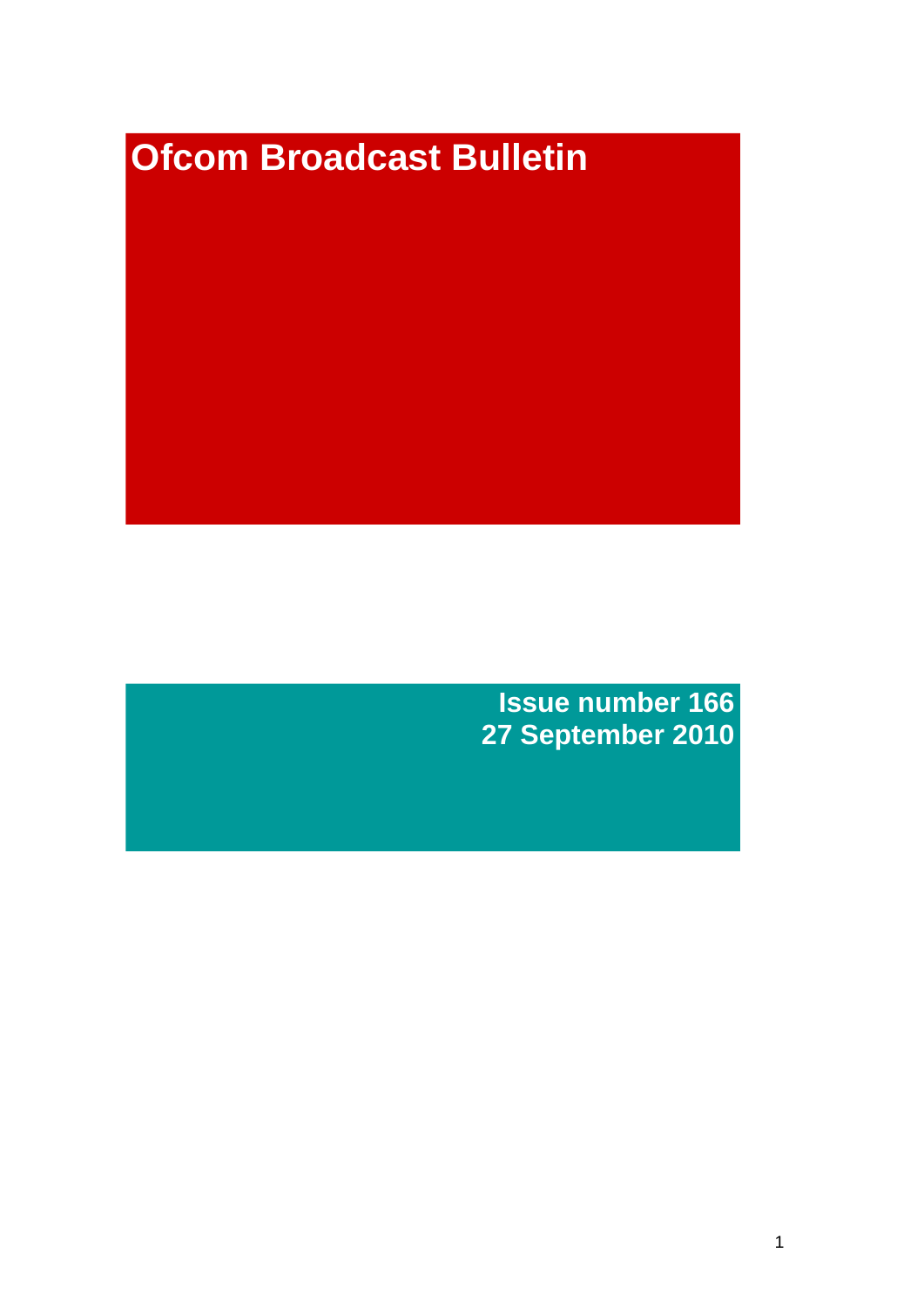# **Ofcom Broadcast Bulletin**

**Issue number 166 27 September 2010**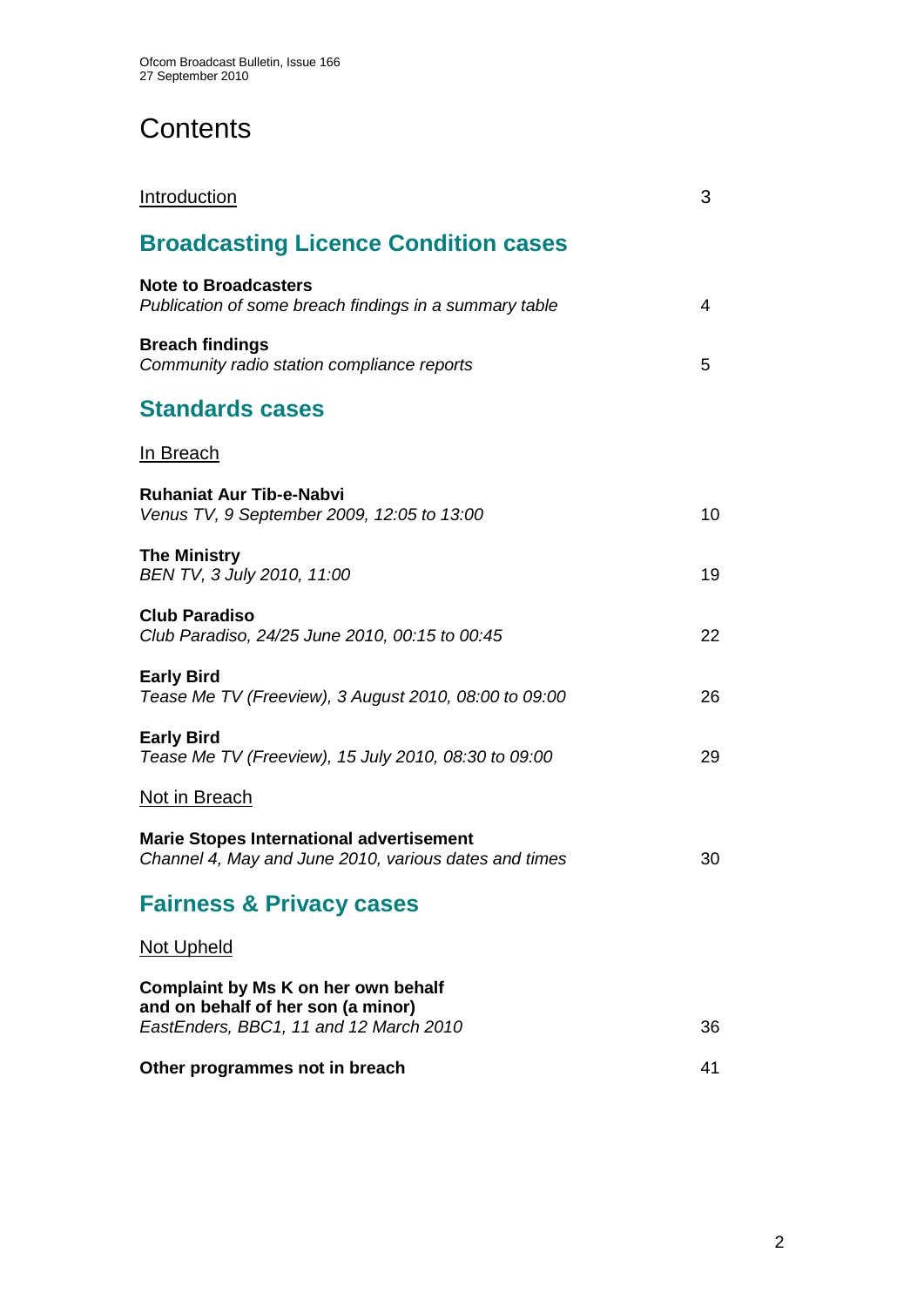# **Contents**

| <b>Introduction</b>                                                                                                 | 3  |
|---------------------------------------------------------------------------------------------------------------------|----|
| <b>Broadcasting Licence Condition cases</b>                                                                         |    |
| <b>Note to Broadcasters</b><br>Publication of some breach findings in a summary table                               | 4  |
| <b>Breach findings</b><br>Community radio station compliance reports                                                | 5  |
| <b>Standards cases</b>                                                                                              |    |
| <b>In Breach</b>                                                                                                    |    |
| <b>Ruhaniat Aur Tib-e-Nabvi</b><br>Venus TV, 9 September 2009, 12:05 to 13:00                                       | 10 |
| <b>The Ministry</b><br>BEN TV, 3 July 2010, 11:00                                                                   | 19 |
| <b>Club Paradiso</b><br>Club Paradiso, 24/25 June 2010, 00:15 to 00:45                                              | 22 |
| <b>Early Bird</b><br>Tease Me TV (Freeview), 3 August 2010, 08:00 to 09:00                                          | 26 |
| <b>Early Bird</b><br>Tease Me TV (Freeview), 15 July 2010, 08:30 to 09:00                                           | 29 |
| Not in Breach                                                                                                       |    |
| <b>Marie Stopes International advertisement</b><br>Channel 4, May and June 2010, various dates and times            | 30 |
| <b>Fairness &amp; Privacy cases</b>                                                                                 |    |
| <b>Not Upheld</b>                                                                                                   |    |
| Complaint by Ms K on her own behalf<br>and on behalf of her son (a minor)<br>EastEnders, BBC1, 11 and 12 March 2010 | 36 |
| Other programmes not in breach                                                                                      | 41 |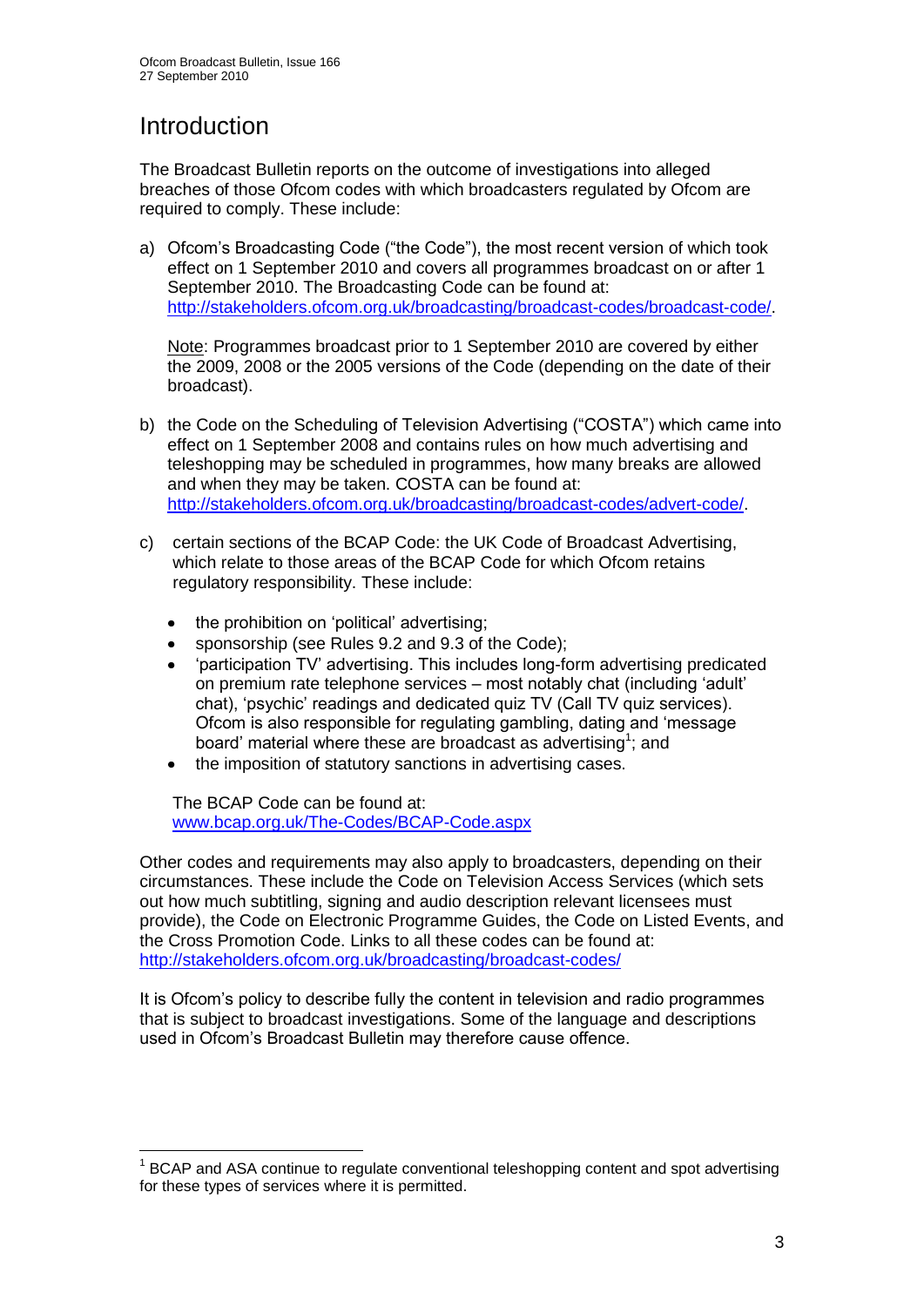# **Introduction**

1

The Broadcast Bulletin reports on the outcome of investigations into alleged breaches of those Ofcom codes with which broadcasters regulated by Ofcom are required to comply. These include:

a) Ofcom"s Broadcasting Code ("the Code"), the most recent version of which took effect on 1 September 2010 and covers all programmes broadcast on or after 1 September 2010. The Broadcasting Code can be found at: [http://stakeholders.ofcom.org.uk/broadcasting/broadcast-codes/broadcast-code/.](http://stakeholders.ofcom.org.uk/broadcasting/broadcast-codes/broadcast-code/)

Note: Programmes broadcast prior to 1 September 2010 are covered by either the 2009, 2008 or the 2005 versions of the Code (depending on the date of their broadcast).

- b) the Code on the Scheduling of Television Advertising ("COSTA") which came into effect on 1 September 2008 and contains rules on how much advertising and teleshopping may be scheduled in programmes, how many breaks are allowed and when they may be taken. COSTA can be found at: [http://stakeholders.ofcom.org.uk/broadcasting/broadcast-codes/advert-code/.](http://stakeholders.ofcom.org.uk/broadcasting/broadcast-codes/advert-code/)
- c) certain sections of the BCAP Code: the UK Code of Broadcast Advertising, which relate to those areas of the BCAP Code for which Ofcom retains regulatory responsibility. These include:
	- the prohibition on "political" advertising;
	- sponsorship (see Rules 9.2 and 9.3 of the Code);
	- "participation TV" advertising. This includes long-form advertising predicated on premium rate telephone services – most notably chat (including "adult" chat), "psychic" readings and dedicated quiz TV (Call TV quiz services). Ofcom is also responsible for regulating gambling, dating and "message board' material where these are broadcast as advertising<sup>1</sup>; and
	- the imposition of statutory sanctions in advertising cases.

The BCAP Code can be found at: [www.bcap.org.uk/The-Codes/BCAP-Code.aspx](http://www.bcap.org.uk/The-Codes/BCAP-Code.aspx)

Other codes and requirements may also apply to broadcasters, depending on their circumstances. These include the Code on Television Access Services (which sets out how much subtitling, signing and audio description relevant licensees must provide), the Code on Electronic Programme Guides, the Code on Listed Events, and the Cross Promotion Code. Links to all these codes can be found at: <http://stakeholders.ofcom.org.uk/broadcasting/broadcast-codes/>

It is Ofcom"s policy to describe fully the content in television and radio programmes that is subject to broadcast investigations. Some of the language and descriptions used in Ofcom"s Broadcast Bulletin may therefore cause offence.

<sup>&</sup>lt;sup>1</sup> BCAP and ASA continue to regulate conventional teleshopping content and spot advertising for these types of services where it is permitted.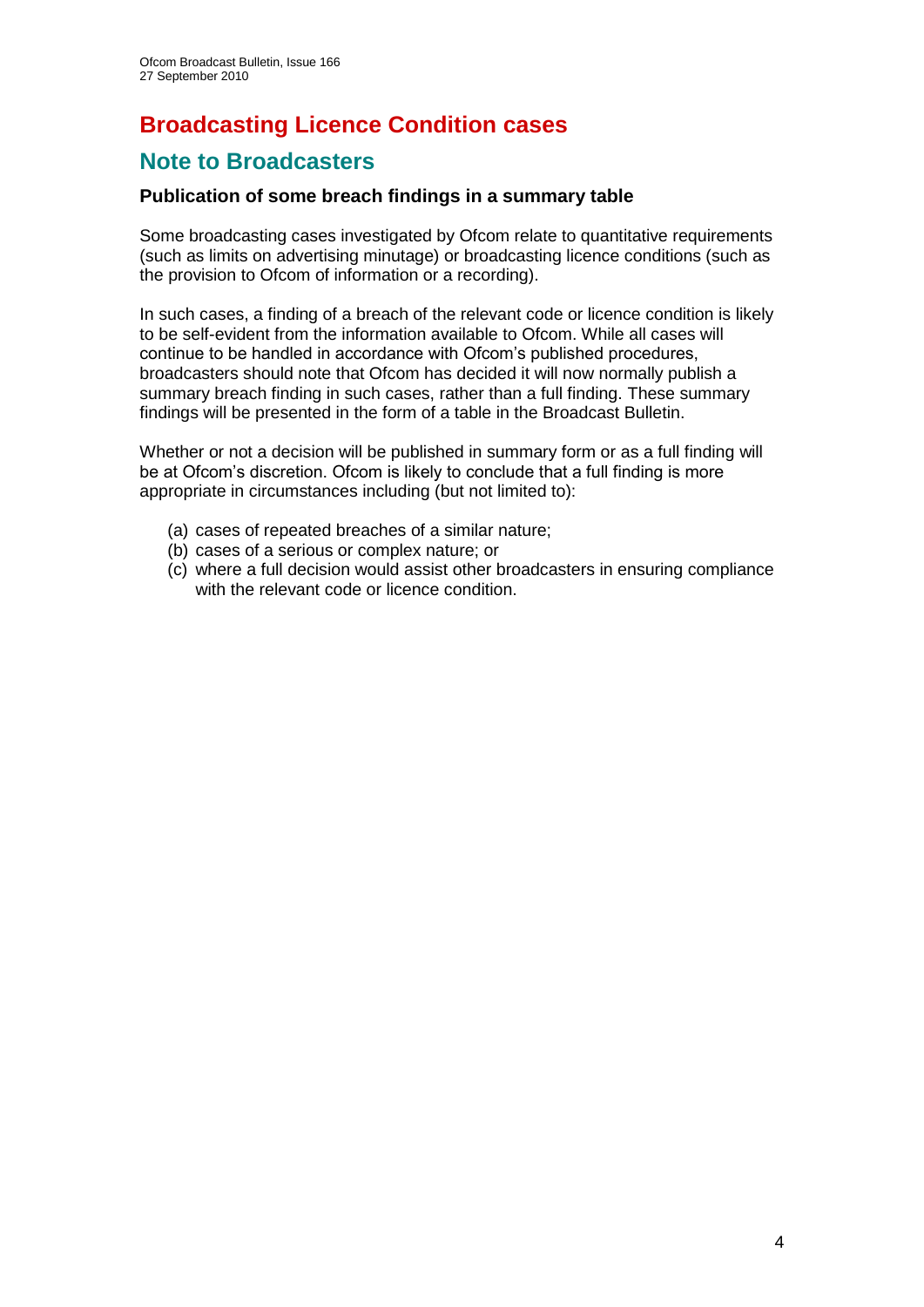# **Broadcasting Licence Condition cases**

## **Note to Broadcasters**

#### **Publication of some breach findings in a summary table**

Some broadcasting cases investigated by Ofcom relate to quantitative requirements (such as limits on advertising minutage) or broadcasting licence conditions (such as the provision to Ofcom of information or a recording).

In such cases, a finding of a breach of the relevant code or licence condition is likely to be self-evident from the information available to Ofcom. While all cases will continue to be handled in accordance with Ofcom"s published procedures, broadcasters should note that Ofcom has decided it will now normally publish a summary breach finding in such cases, rather than a full finding. These summary findings will be presented in the form of a table in the Broadcast Bulletin.

Whether or not a decision will be published in summary form or as a full finding will be at Ofcom"s discretion. Ofcom is likely to conclude that a full finding is more appropriate in circumstances including (but not limited to):

- (a) cases of repeated breaches of a similar nature;
- (b) cases of a serious or complex nature; or
- (c) where a full decision would assist other broadcasters in ensuring compliance with the relevant code or licence condition.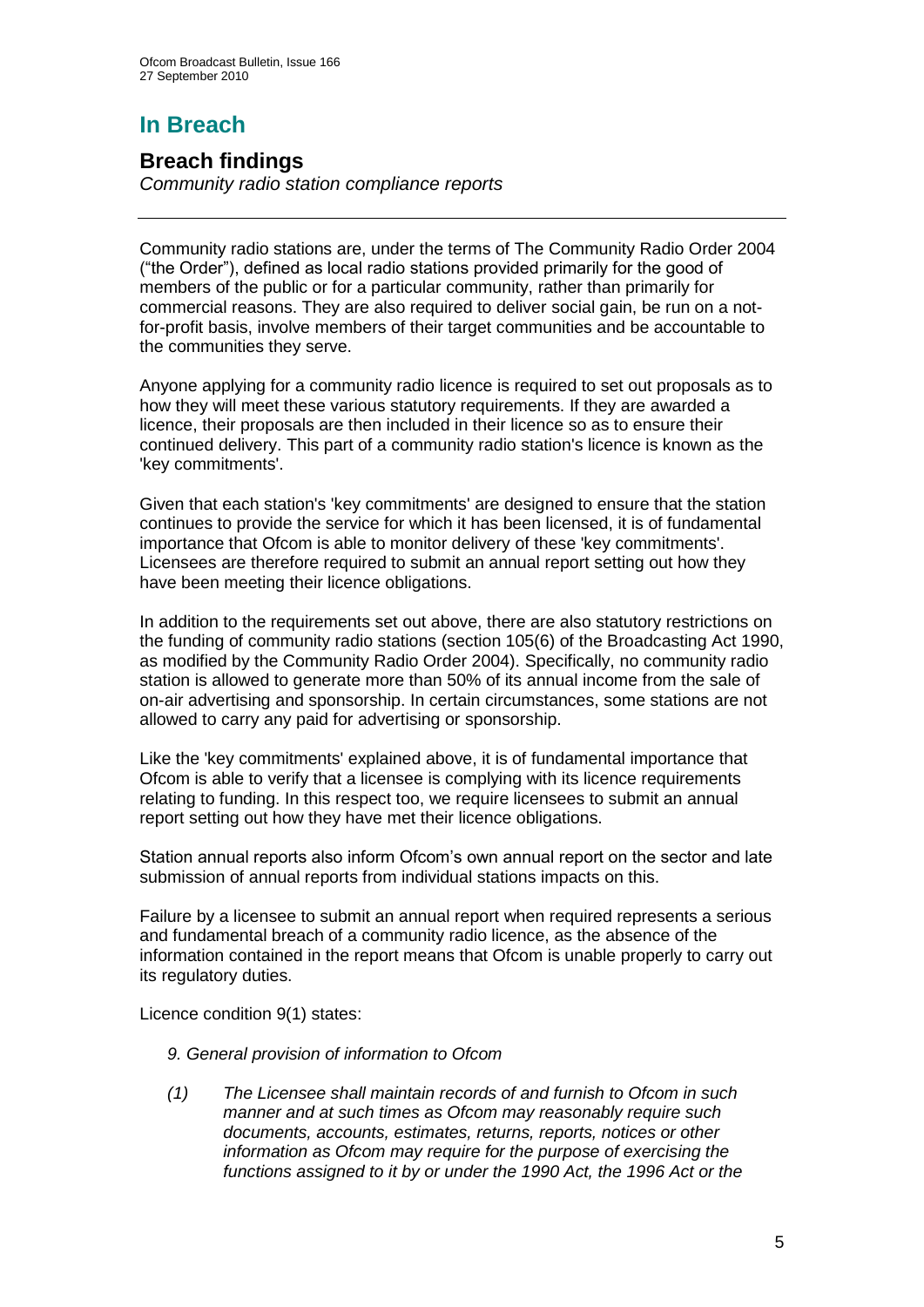# **In Breach**

## **Breach findings**

*Community radio station compliance reports*

Community radio stations are, under the terms of The Community Radio Order 2004 ("the Order"), defined as local radio stations provided primarily for the good of members of the public or for a particular community, rather than primarily for commercial reasons. They are also required to deliver social gain, be run on a notfor-profit basis, involve members of their target communities and be accountable to the communities they serve.

Anyone applying for a community radio licence is required to set out proposals as to how they will meet these various statutory requirements. If they are awarded a licence, their proposals are then included in their licence so as to ensure their continued delivery. This part of a community radio station's licence is known as the 'key commitments'.

Given that each station's 'key commitments' are designed to ensure that the station continues to provide the service for which it has been licensed, it is of fundamental importance that Ofcom is able to monitor delivery of these 'key commitments'. Licensees are therefore required to submit an annual report setting out how they have been meeting their licence obligations.

In addition to the requirements set out above, there are also statutory restrictions on the funding of community radio stations (section 105(6) of the Broadcasting Act 1990, as modified by the Community Radio Order 2004). Specifically, no community radio station is allowed to generate more than 50% of its annual income from the sale of on-air advertising and sponsorship. In certain circumstances, some stations are not allowed to carry any paid for advertising or sponsorship.

Like the 'key commitments' explained above, it is of fundamental importance that Ofcom is able to verify that a licensee is complying with its licence requirements relating to funding. In this respect too, we require licensees to submit an annual report setting out how they have met their licence obligations.

Station annual reports also inform Ofcom"s own annual report on the sector and late submission of annual reports from individual stations impacts on this.

Failure by a licensee to submit an annual report when required represents a serious and fundamental breach of a community radio licence, as the absence of the information contained in the report means that Ofcom is unable properly to carry out its regulatory duties.

Licence condition 9(1) states:

- *9. General provision of information to Ofcom*
- *(1) The Licensee shall maintain records of and furnish to Ofcom in such manner and at such times as Ofcom may reasonably require such documents, accounts, estimates, returns, reports, notices or other information as Ofcom may require for the purpose of exercising the functions assigned to it by or under the 1990 Act, the 1996 Act or the*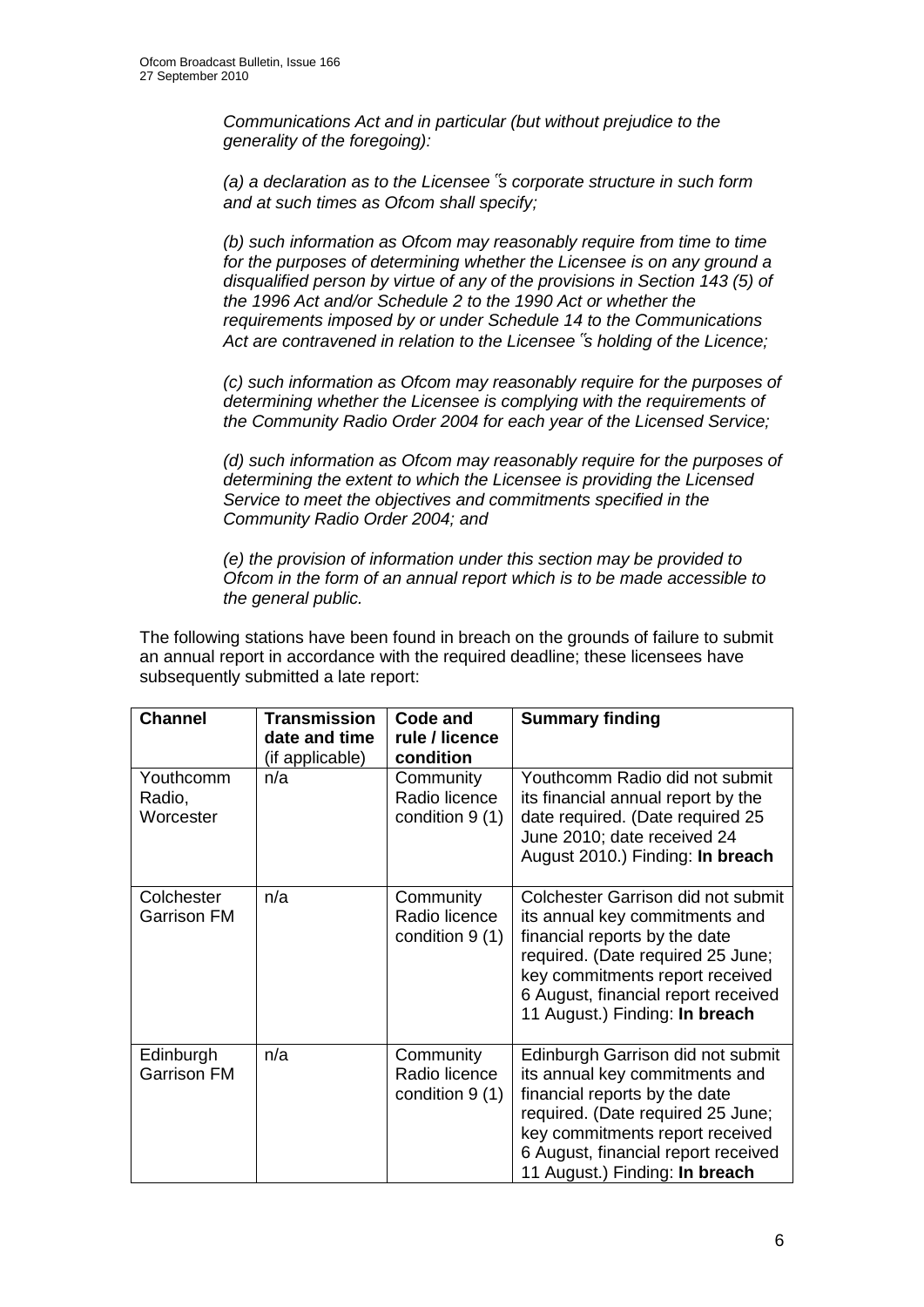*Communications Act and in particular (but without prejudice to the generality of the foregoing):*

*(a) a declaration as to the Licensee*"*s corporate structure in such form and at such times as Ofcom shall specify;*

*(b) such information as Ofcom may reasonably require from time to time for the purposes of determining whether the Licensee is on any ground a disqualified person by virtue of any of the provisions in Section 143 (5) of the 1996 Act and/or Schedule 2 to the 1990 Act or whether the requirements imposed by or under Schedule 14 to the Communications Act are contravened in relation to the Licensee*"*s holding of the Licence;*

*(c) such information as Ofcom may reasonably require for the purposes of determining whether the Licensee is complying with the requirements of the Community Radio Order 2004 for each year of the Licensed Service;*

*(d) such information as Ofcom may reasonably require for the purposes of determining the extent to which the Licensee is providing the Licensed Service to meet the objectives and commitments specified in the Community Radio Order 2004; and*

*(e) the provision of information under this section may be provided to Ofcom in the form of an annual report which is to be made accessible to the general public.*

The following stations have been found in breach on the grounds of failure to submit an annual report in accordance with the required deadline; these licensees have subsequently submitted a late report:

| <b>Channel</b>                   | <b>Transmission</b><br>date and time<br>(if applicable) | Code and<br>rule / licence<br>condition        | <b>Summary finding</b>                                                                                                                                                                                                                                 |
|----------------------------------|---------------------------------------------------------|------------------------------------------------|--------------------------------------------------------------------------------------------------------------------------------------------------------------------------------------------------------------------------------------------------------|
| Youthcomm<br>Radio,<br>Worcester | n/a                                                     | Community<br>Radio licence<br>condition $9(1)$ | Youthcomm Radio did not submit<br>its financial annual report by the<br>date required. (Date required 25<br>June 2010; date received 24<br>August 2010.) Finding: In breach                                                                            |
| Colchester<br><b>Garrison FM</b> | n/a                                                     | Community<br>Radio licence<br>condition $9(1)$ | Colchester Garrison did not submit<br>its annual key commitments and<br>financial reports by the date<br>required. (Date required 25 June;<br>key commitments report received<br>6 August, financial report received<br>11 August.) Finding: In breach |
| Edinburgh<br><b>Garrison FM</b>  | n/a                                                     | Community<br>Radio licence<br>condition $9(1)$ | Edinburgh Garrison did not submit<br>its annual key commitments and<br>financial reports by the date<br>required. (Date required 25 June;<br>key commitments report received<br>6 August, financial report received<br>11 August.) Finding: In breach  |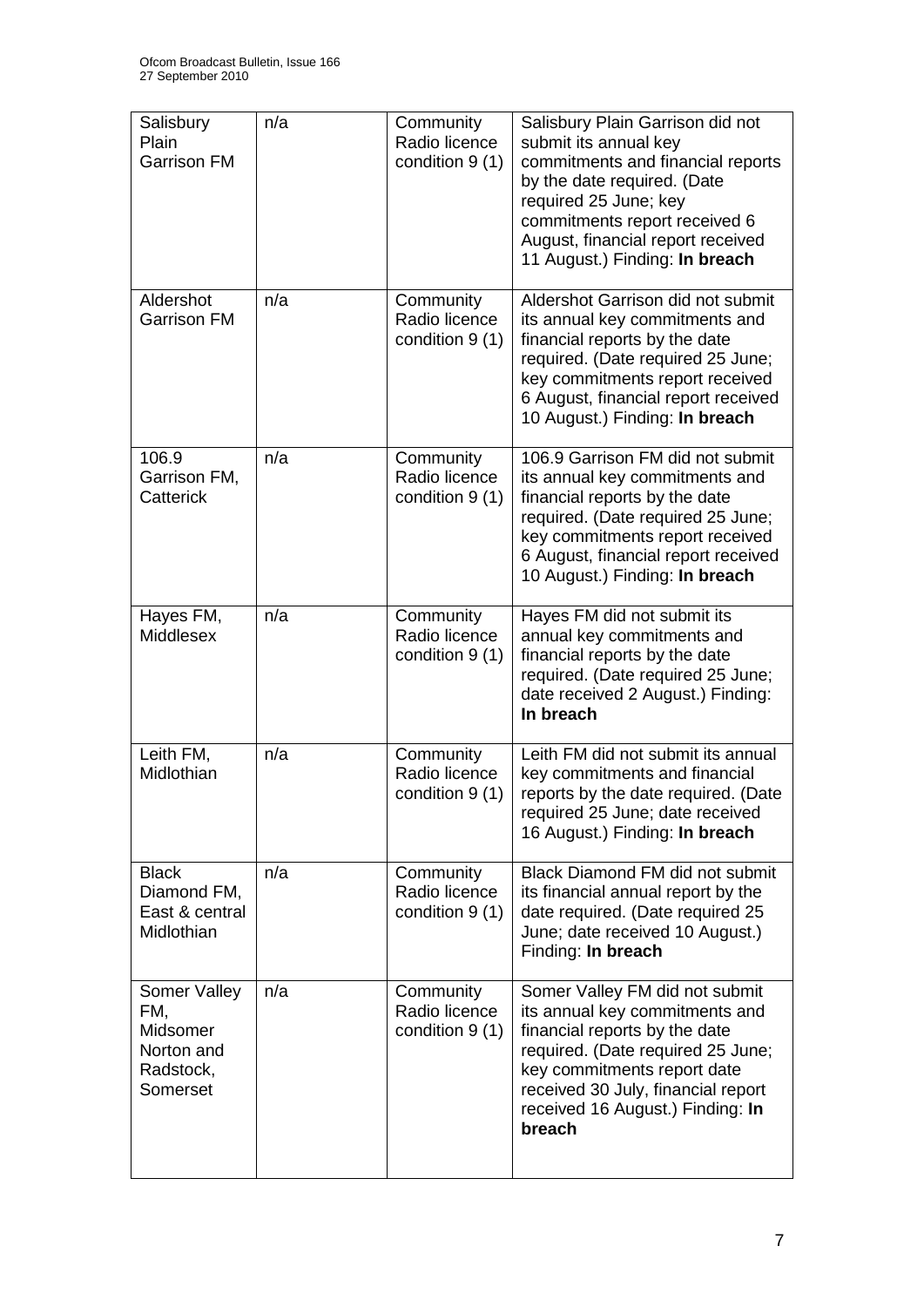| Salisbury<br>Plain<br><b>Garrison FM</b>                               | n/a | Community<br>Radio licence<br>condition 9 (1)  | Salisbury Plain Garrison did not<br>submit its annual key<br>commitments and financial reports<br>by the date required. (Date<br>required 25 June; key<br>commitments report received 6<br>August, financial report received<br>11 August.) Finding: In breach |
|------------------------------------------------------------------------|-----|------------------------------------------------|----------------------------------------------------------------------------------------------------------------------------------------------------------------------------------------------------------------------------------------------------------------|
| Aldershot<br><b>Garrison FM</b>                                        | n/a | Community<br>Radio licence<br>condition $9(1)$ | Aldershot Garrison did not submit<br>its annual key commitments and<br>financial reports by the date<br>required. (Date required 25 June;<br>key commitments report received<br>6 August, financial report received<br>10 August.) Finding: In breach          |
| 106.9<br>Garrison FM,<br>Catterick                                     | n/a | Community<br>Radio licence<br>condition 9 (1)  | 106.9 Garrison FM did not submit<br>its annual key commitments and<br>financial reports by the date<br>required. (Date required 25 June;<br>key commitments report received<br>6 August, financial report received<br>10 August.) Finding: In breach           |
| Hayes FM,<br><b>Middlesex</b>                                          | n/a | Community<br>Radio licence<br>condition 9 (1)  | Hayes FM did not submit its<br>annual key commitments and<br>financial reports by the date<br>required. (Date required 25 June;<br>date received 2 August.) Finding:<br>In breach                                                                              |
| Leith FM,<br>Midlothian                                                | n/a | Community<br>Radio licence<br>condition 9 (1)  | Leith FM did not submit its annual<br>key commitments and financial<br>reports by the date required. (Date<br>required 25 June; date received<br>16 August.) Finding: In breach                                                                                |
| <b>Black</b><br>Diamond FM,<br>East & central<br>Midlothian            | n/a | Community<br>Radio licence<br>condition $9(1)$ | <b>Black Diamond FM did not submit</b><br>its financial annual report by the<br>date required. (Date required 25<br>June; date received 10 August.)<br>Finding: In breach                                                                                      |
| Somer Valley<br>FM,<br>Midsomer<br>Norton and<br>Radstock,<br>Somerset | n/a | Community<br>Radio licence<br>condition 9 (1)  | Somer Valley FM did not submit<br>its annual key commitments and<br>financial reports by the date<br>required. (Date required 25 June;<br>key commitments report date<br>received 30 July, financial report<br>received 16 August.) Finding: In<br>breach      |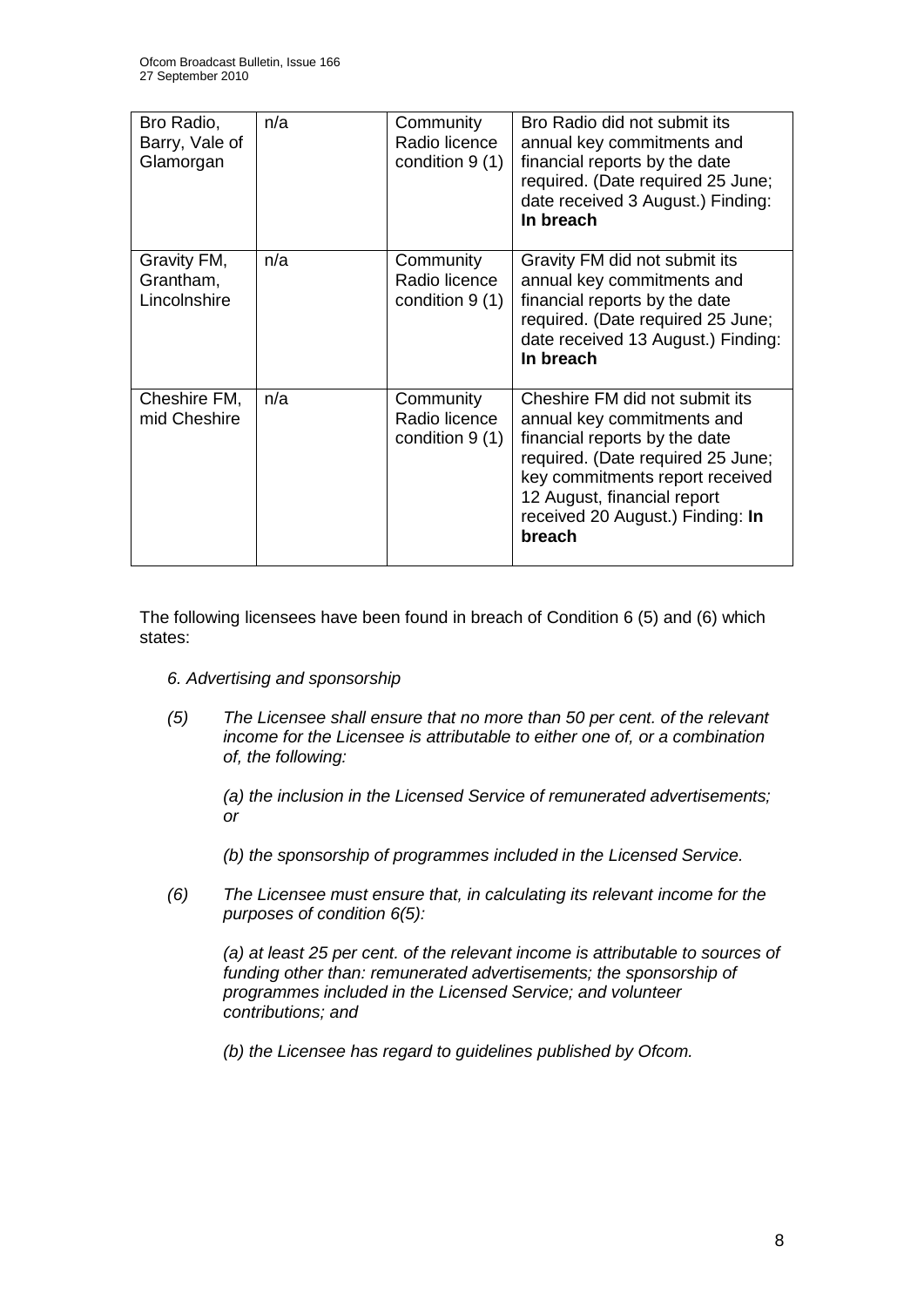| Bro Radio,<br>Barry, Vale of<br>Glamorgan | n/a | Community<br>Radio licence<br>condition $9(1)$ | Bro Radio did not submit its<br>annual key commitments and<br>financial reports by the date<br>required. (Date required 25 June;<br>date received 3 August.) Finding:<br>In breach                                                                 |
|-------------------------------------------|-----|------------------------------------------------|----------------------------------------------------------------------------------------------------------------------------------------------------------------------------------------------------------------------------------------------------|
| Gravity FM,<br>Grantham,<br>Lincolnshire  | n/a | Community<br>Radio licence<br>condition $9(1)$ | Gravity FM did not submit its<br>annual key commitments and<br>financial reports by the date<br>required. (Date required 25 June;<br>date received 13 August.) Finding:<br>In breach                                                               |
| Cheshire FM,<br>mid Cheshire              | n/a | Community<br>Radio licence<br>condition $9(1)$ | Cheshire FM did not submit its<br>annual key commitments and<br>financial reports by the date<br>required. (Date required 25 June;<br>key commitments report received<br>12 August, financial report<br>received 20 August.) Finding: In<br>breach |

The following licensees have been found in breach of Condition 6 (5) and (6) which states:

- *6. Advertising and sponsorship*
- *(5) The Licensee shall ensure that no more than 50 per cent. of the relevant income for the Licensee is attributable to either one of, or a combination of, the following:*
	- *(a) the inclusion in the Licensed Service of remunerated advertisements; or*
	- *(b) the sponsorship of programmes included in the Licensed Service.*
- *(6) The Licensee must ensure that, in calculating its relevant income for the purposes of condition 6(5):*

*(a) at least 25 per cent. of the relevant income is attributable to sources of funding other than: remunerated advertisements; the sponsorship of programmes included in the Licensed Service; and volunteer contributions; and*

*(b) the Licensee has regard to guidelines published by Ofcom.*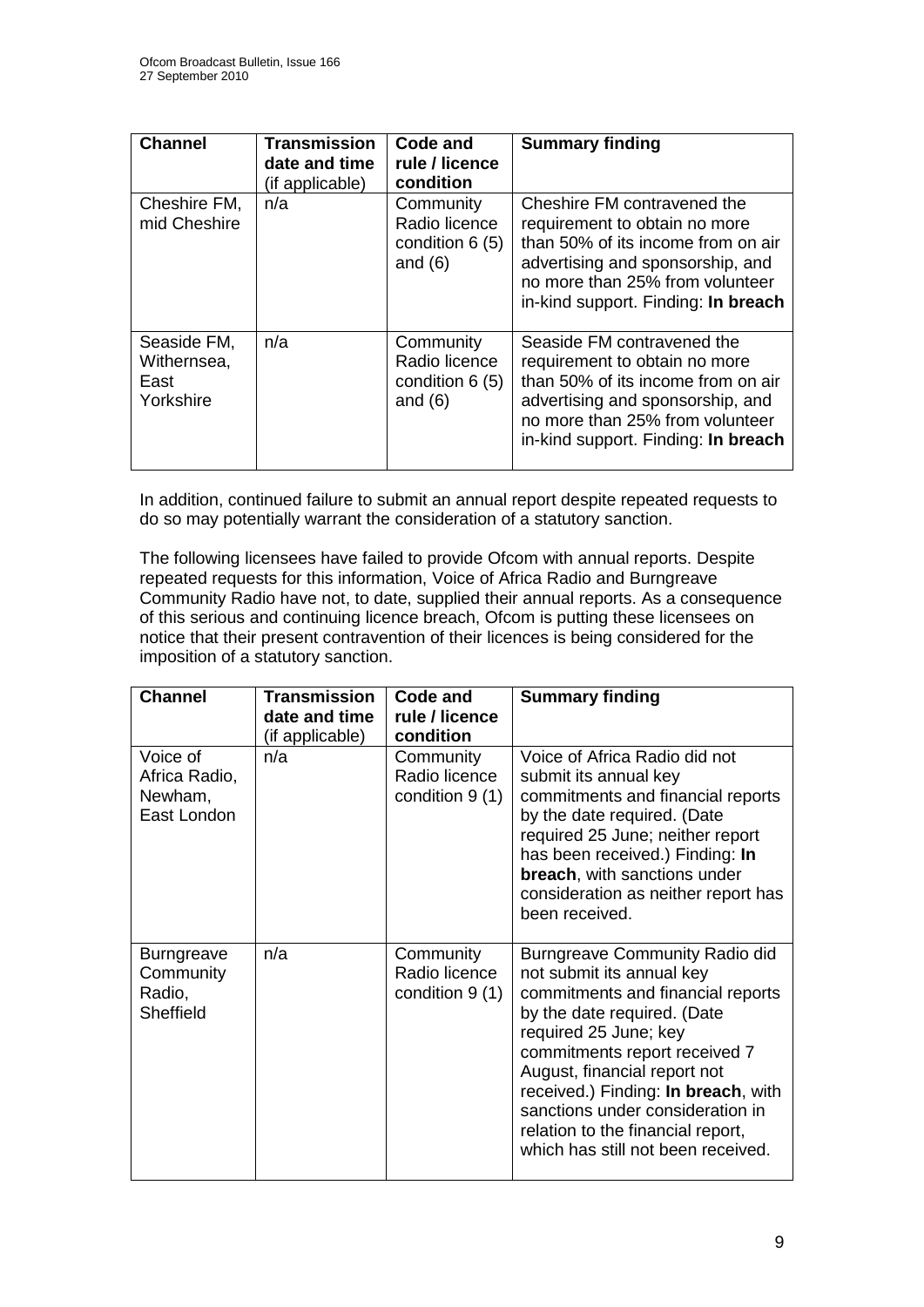| <b>Channel</b>                                  | <b>Transmission</b><br>date and time<br>(if applicable) | Code and<br>rule / licence<br>condition                     | <b>Summary finding</b>                                                                                                                                                                                           |
|-------------------------------------------------|---------------------------------------------------------|-------------------------------------------------------------|------------------------------------------------------------------------------------------------------------------------------------------------------------------------------------------------------------------|
| Cheshire FM,<br>mid Cheshire                    | n/a                                                     | Community<br>Radio licence<br>condition $6(5)$<br>and $(6)$ | Cheshire FM contravened the<br>requirement to obtain no more<br>than 50% of its income from on air<br>advertising and sponsorship, and<br>no more than 25% from volunteer<br>in-kind support. Finding: In breach |
| Seaside FM,<br>Withernsea,<br>East<br>Yorkshire | n/a                                                     | Community<br>Radio licence<br>condition $6(5)$<br>and $(6)$ | Seaside FM contravened the<br>requirement to obtain no more<br>than 50% of its income from on air<br>advertising and sponsorship, and<br>no more than 25% from volunteer<br>in-kind support. Finding: In breach  |

In addition, continued failure to submit an annual report despite repeated requests to do so may potentially warrant the consideration of a statutory sanction.

The following licensees have failed to provide Ofcom with annual reports. Despite repeated requests for this information, Voice of Africa Radio and Burngreave Community Radio have not, to date, supplied their annual reports. As a consequence of this serious and continuing licence breach, Ofcom is putting these licensees on notice that their present contravention of their licences is being considered for the imposition of a statutory sanction.

| <b>Channel</b>                                        | Transmission<br>date and time | Code and<br>rule / licence<br>condition        | <b>Summary finding</b>                                                                                                                                                                                                                                                                                                                                                          |
|-------------------------------------------------------|-------------------------------|------------------------------------------------|---------------------------------------------------------------------------------------------------------------------------------------------------------------------------------------------------------------------------------------------------------------------------------------------------------------------------------------------------------------------------------|
| Voice of<br>Africa Radio,<br>Newham,<br>East London   | (if applicable)<br>n/a        | Community<br>Radio licence<br>condition $9(1)$ | Voice of Africa Radio did not<br>submit its annual key<br>commitments and financial reports<br>by the date required. (Date<br>required 25 June; neither report<br>has been received.) Finding: In<br>breach, with sanctions under<br>consideration as neither report has<br>been received.                                                                                      |
| <b>Burngreave</b><br>Community<br>Radio,<br>Sheffield | n/a                           | Community<br>Radio licence<br>condition $9(1)$ | Burngreave Community Radio did<br>not submit its annual key<br>commitments and financial reports<br>by the date required. (Date<br>required 25 June; key<br>commitments report received 7<br>August, financial report not<br>received.) Finding: In breach, with<br>sanctions under consideration in<br>relation to the financial report,<br>which has still not been received. |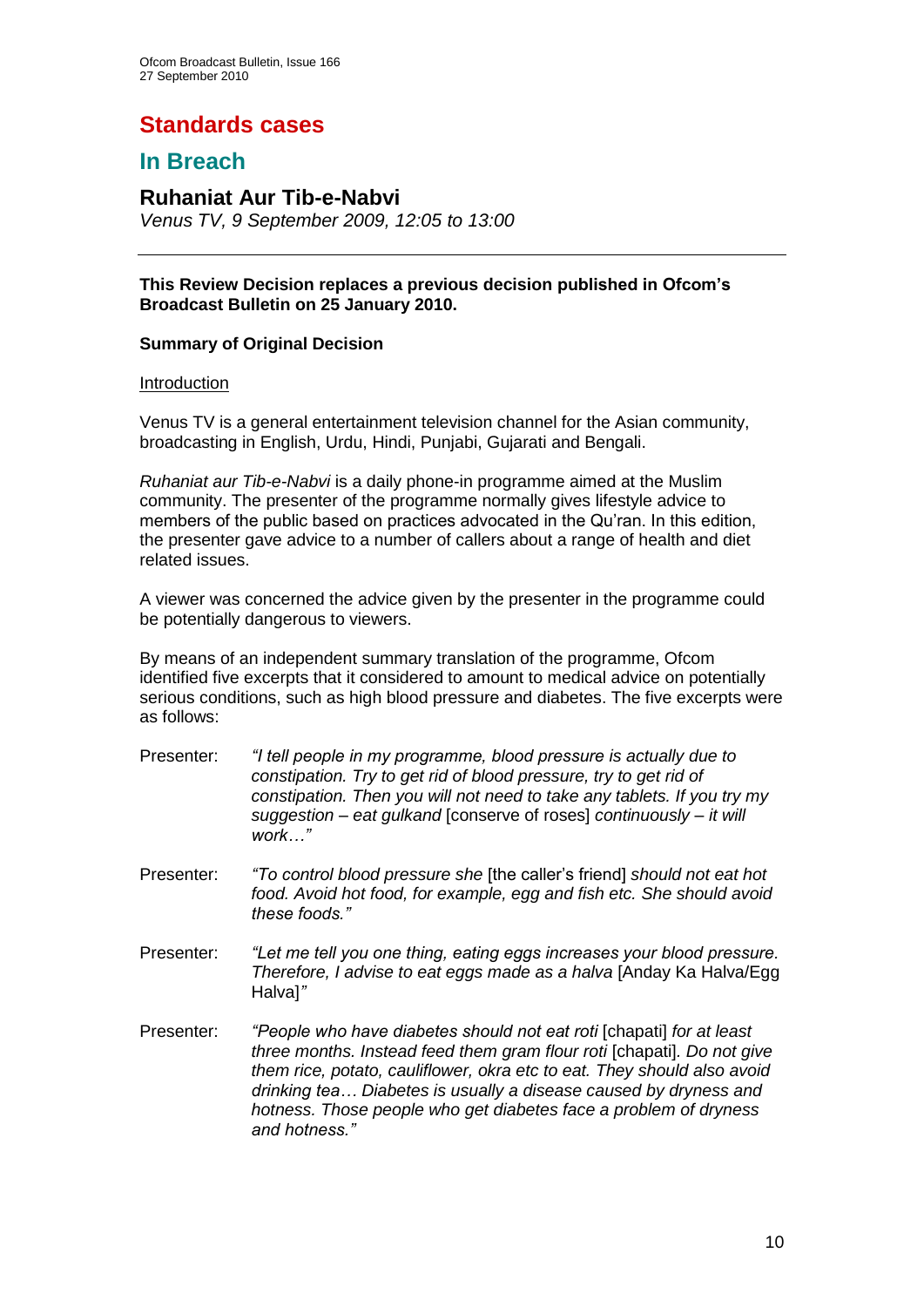## **Standards cases**

## **In Breach**

**Ruhaniat Aur Tib-e-Nabvi** *Venus TV, 9 September 2009, 12:05 to 13:00*

#### **This Review Decision replaces a previous decision published in Ofcom's Broadcast Bulletin on 25 January 2010.**

#### **Summary of Original Decision**

#### Introduction

Venus TV is a general entertainment television channel for the Asian community, broadcasting in English, Urdu, Hindi, Punjabi, Gujarati and Bengali.

*Ruhaniat aur Tib-e-Nabvi* is a daily phone-in programme aimed at the Muslim community. The presenter of the programme normally gives lifestyle advice to members of the public based on practices advocated in the Qu"ran. In this edition, the presenter gave advice to a number of callers about a range of health and diet related issues.

A viewer was concerned the advice given by the presenter in the programme could be potentially dangerous to viewers.

By means of an independent summary translation of the programme, Ofcom identified five excerpts that it considered to amount to medical advice on potentially serious conditions, such as high blood pressure and diabetes. The five excerpts were as follows:

| Presenter: | "I tell people in my programme, blood pressure is actually due to<br>constipation. Try to get rid of blood pressure, try to get rid of<br>constipation. Then you will not need to take any tablets. If you try my<br>suggestion – eat gulkand [conserve of roses] continuously – it will<br>work" |
|------------|---------------------------------------------------------------------------------------------------------------------------------------------------------------------------------------------------------------------------------------------------------------------------------------------------|
|            |                                                                                                                                                                                                                                                                                                   |

- Presenter: *―To control blood pressure she* [the caller"s friend] *should not eat hot food. Avoid hot food, for example, egg and fish etc. She should avoid these foods.‖*
- Presenter: *―Let me tell you one thing, eating eggs increases your blood pressure. Therefore, I advise to eat eggs made as a halva* [Anday Ka Halva/Egg Halva]*‖*
- Presenter: *―People who have diabetes should not eat roti* [chapati] *for at least three months. Instead feed them gram flour roti* [chapati]*. Do not give them rice, potato, cauliflower, okra etc to eat. They should also avoid drinking tea… Diabetes is usually a disease caused by dryness and hotness. Those people who get diabetes face a problem of dryness and hotness.‖*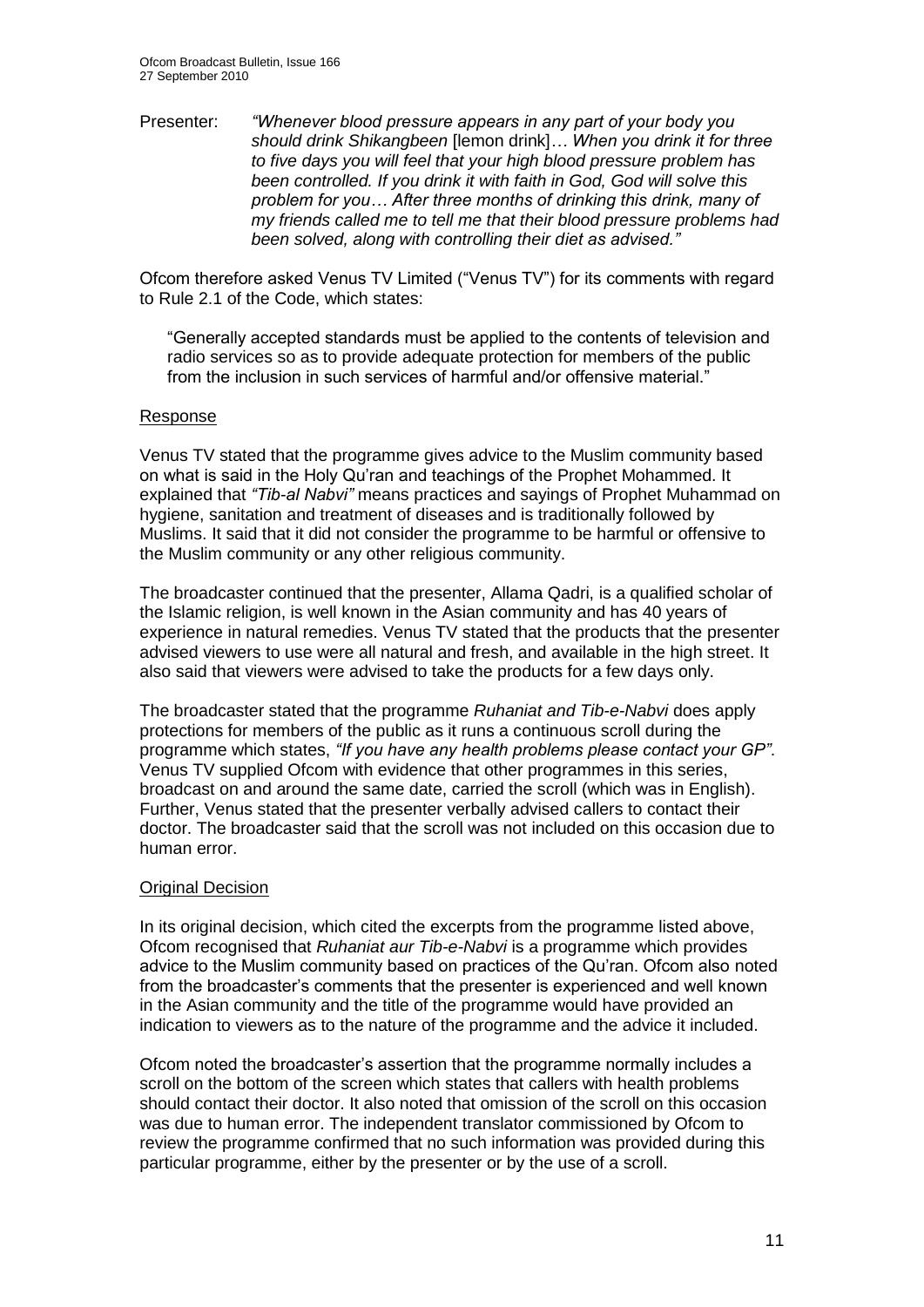Presenter: *―Whenever blood pressure appears in any part of your body you should drink Shikangbeen* [lemon drink]*… When you drink it for three to five days you will feel that your high blood pressure problem has been controlled. If you drink it with faith in God, God will solve this problem for you… After three months of drinking this drink, many of my friends called me to tell me that their blood pressure problems had been solved, along with controlling their diet as advised.‖*

Ofcom therefore asked Venus TV Limited ("Venus TV") for its comments with regard to Rule 2.1 of the Code, which states:

"Generally accepted standards must be applied to the contents of television and radio services so as to provide adequate protection for members of the public from the inclusion in such services of harmful and/or offensive material."

#### Response

Venus TV stated that the programme gives advice to the Muslim community based on what is said in the Holy Qu"ran and teachings of the Prophet Mohammed. It explained that *"Tib-al Nabvi"* means practices and sayings of Prophet Muhammad on hygiene, sanitation and treatment of diseases and is traditionally followed by Muslims. It said that it did not consider the programme to be harmful or offensive to the Muslim community or any other religious community.

The broadcaster continued that the presenter, Allama Qadri, is a qualified scholar of the Islamic religion, is well known in the Asian community and has 40 years of experience in natural remedies. Venus TV stated that the products that the presenter advised viewers to use were all natural and fresh, and available in the high street. It also said that viewers were advised to take the products for a few days only.

The broadcaster stated that the programme *Ruhaniat and Tib-e-Nabvi* does apply protections for members of the public as it runs a continuous scroll during the programme which states, "If you have any health problems please contact your GP". Venus TV supplied Ofcom with evidence that other programmes in this series, broadcast on and around the same date, carried the scroll (which was in English). Further, Venus stated that the presenter verbally advised callers to contact their doctor. The broadcaster said that the scroll was not included on this occasion due to human error.

#### Original Decision

In its original decision, which cited the excerpts from the programme listed above, Ofcom recognised that *Ruhaniat aur Tib-e-Nabvi* is a programme which provides advice to the Muslim community based on practices of the Qu"ran. Ofcom also noted from the broadcaster"s comments that the presenter is experienced and well known in the Asian community and the title of the programme would have provided an indication to viewers as to the nature of the programme and the advice it included.

Ofcom noted the broadcaster"s assertion that the programme normally includes a scroll on the bottom of the screen which states that callers with health problems should contact their doctor. It also noted that omission of the scroll on this occasion was due to human error. The independent translator commissioned by Ofcom to review the programme confirmed that no such information was provided during this particular programme, either by the presenter or by the use of a scroll.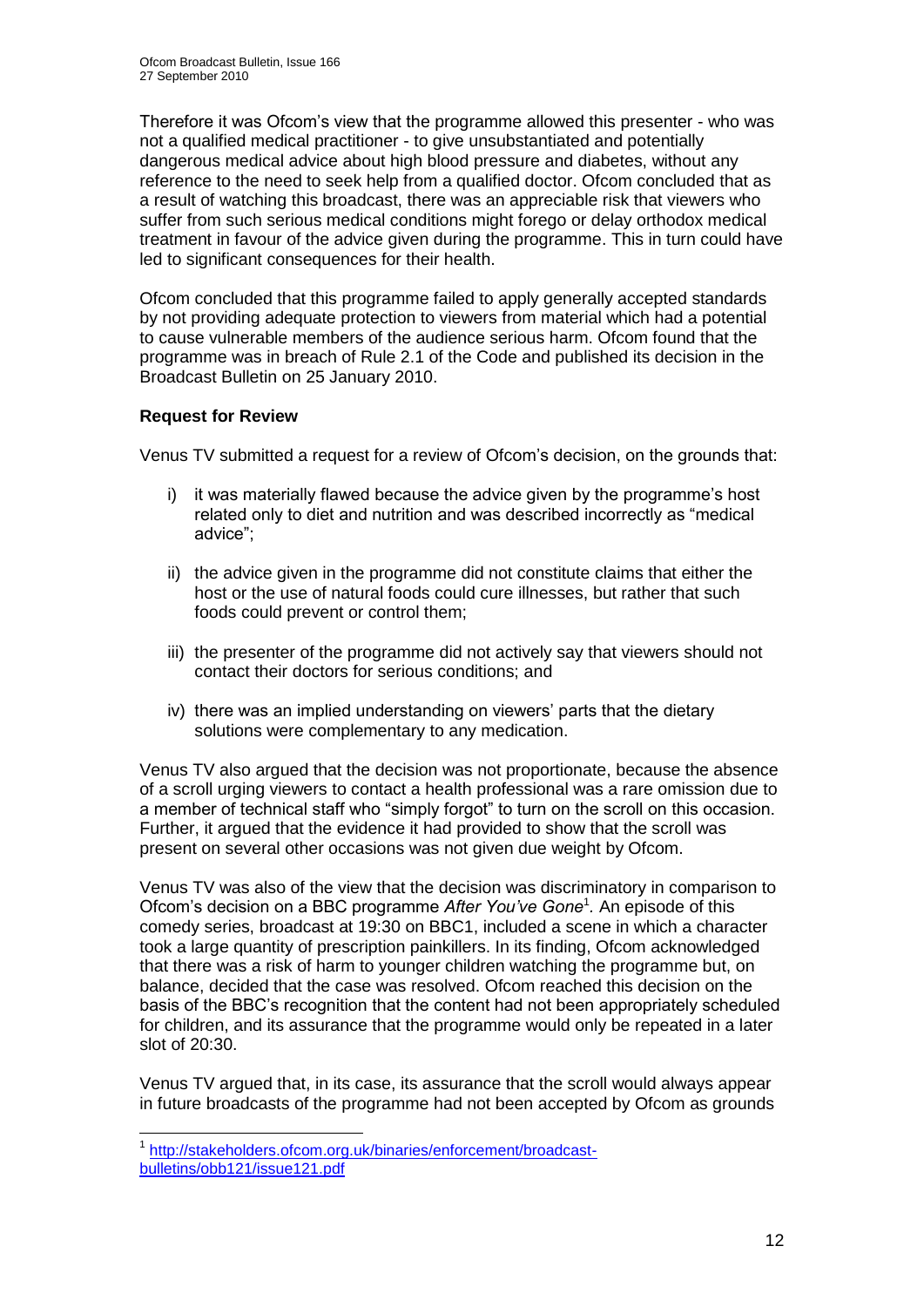Therefore it was Ofcom"s view that the programme allowed this presenter - who was not a qualified medical practitioner - to give unsubstantiated and potentially dangerous medical advice about high blood pressure and diabetes, without any reference to the need to seek help from a qualified doctor. Ofcom concluded that as a result of watching this broadcast, there was an appreciable risk that viewers who suffer from such serious medical conditions might forego or delay orthodox medical treatment in favour of the advice given during the programme. This in turn could have led to significant consequences for their health.

Ofcom concluded that this programme failed to apply generally accepted standards by not providing adequate protection to viewers from material which had a potential to cause vulnerable members of the audience serious harm. Ofcom found that the programme was in breach of Rule 2.1 of the Code and published its decision in the Broadcast Bulletin on 25 January 2010.

#### **Request for Review**

1

Venus TV submitted a request for a review of Ofcom"s decision, on the grounds that:

- i) it was materially flawed because the advice given by the programme's host related only to diet and nutrition and was described incorrectly as "medical advice";
- ii) the advice given in the programme did not constitute claims that either the host or the use of natural foods could cure illnesses, but rather that such foods could prevent or control them;
- iii) the presenter of the programme did not actively say that viewers should not contact their doctors for serious conditions; and
- iv) there was an implied understanding on viewers" parts that the dietary solutions were complementary to any medication.

Venus TV also argued that the decision was not proportionate, because the absence of a scroll urging viewers to contact a health professional was a rare omission due to a member of technical staff who "simply forgot" to turn on the scroll on this occasion. Further, it argued that the evidence it had provided to show that the scroll was present on several other occasions was not given due weight by Ofcom.

Venus TV was also of the view that the decision was discriminatory in comparison to Ofcom"s decision on a BBC programme *After You've Gone*<sup>1</sup> *.* An episode of this comedy series, broadcast at 19:30 on BBC1, included a scene in which a character took a large quantity of prescription painkillers. In its finding, Ofcom acknowledged that there was a risk of harm to younger children watching the programme but, on balance, decided that the case was resolved. Ofcom reached this decision on the basis of the BBC"s recognition that the content had not been appropriately scheduled for children, and its assurance that the programme would only be repeated in a later slot of 20:30.

Venus TV argued that, in its case, its assurance that the scroll would always appear in future broadcasts of the programme had not been accepted by Ofcom as grounds

<sup>1</sup> [http://stakeholders.ofcom.org.uk/binaries/enforcement/broadcast](http://stakeholders.ofcom.org.uk/binaries/enforcement/broadcast-bulletins/obb121/issue121.pdf)[bulletins/obb121/issue121.pdf](http://stakeholders.ofcom.org.uk/binaries/enforcement/broadcast-bulletins/obb121/issue121.pdf)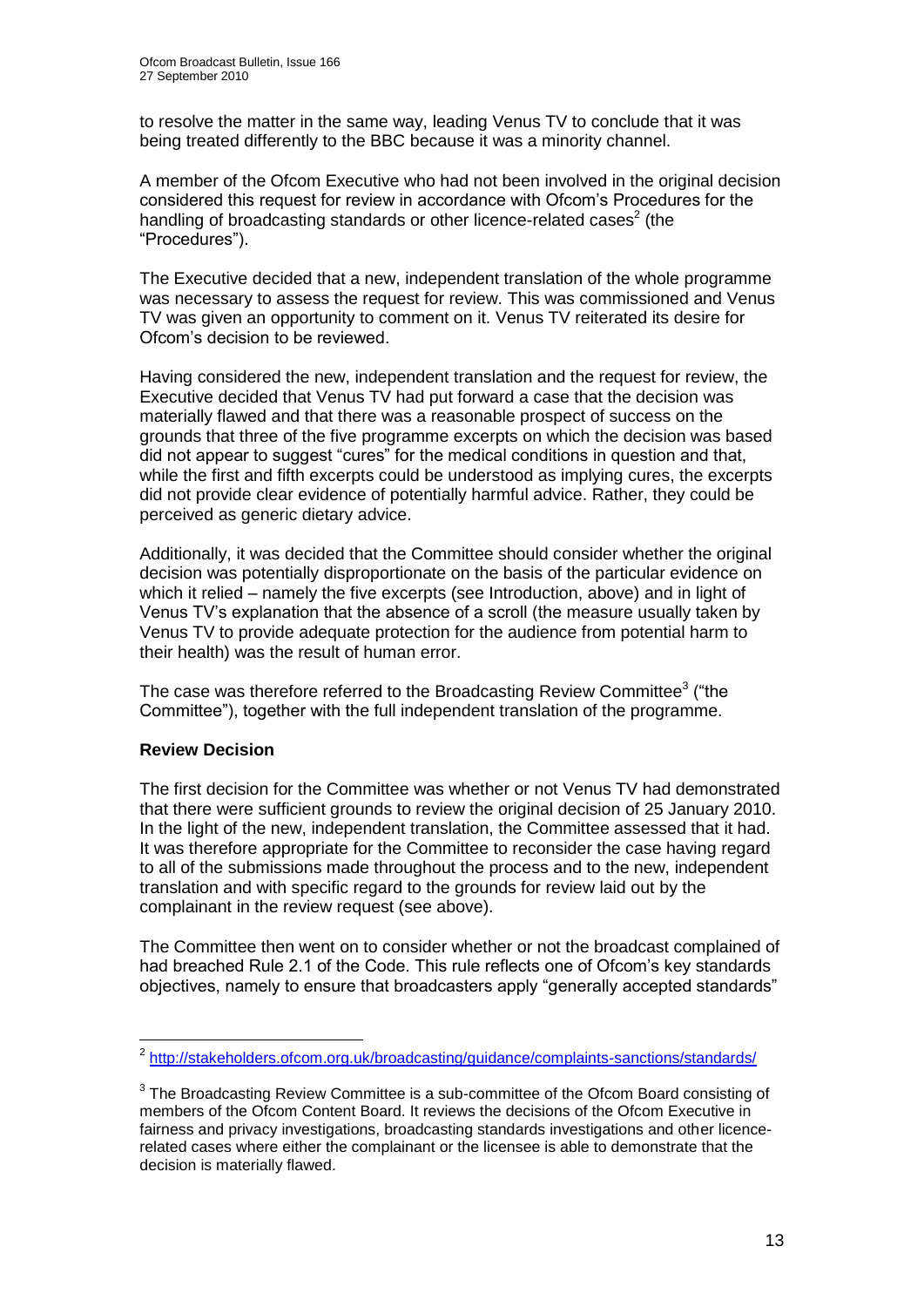to resolve the matter in the same way, leading Venus TV to conclude that it was being treated differently to the BBC because it was a minority channel.

A member of the Ofcom Executive who had not been involved in the original decision considered this request for review in accordance with Ofcom"s Procedures for the handling of broadcasting standards or other licence-related cases $2$  (the "Procedures").

The Executive decided that a new, independent translation of the whole programme was necessary to assess the request for review. This was commissioned and Venus TV was given an opportunity to comment on it. Venus TV reiterated its desire for Ofcom"s decision to be reviewed.

Having considered the new, independent translation and the request for review, the Executive decided that Venus TV had put forward a case that the decision was materially flawed and that there was a reasonable prospect of success on the grounds that three of the five programme excerpts on which the decision was based did not appear to suggest "cures" for the medical conditions in question and that, while the first and fifth excerpts could be understood as implying cures, the excerpts did not provide clear evidence of potentially harmful advice. Rather, they could be perceived as generic dietary advice.

Additionally, it was decided that the Committee should consider whether the original decision was potentially disproportionate on the basis of the particular evidence on which it relied – namely the five excerpts (see Introduction, above) and in light of Venus TV"s explanation that the absence of a scroll (the measure usually taken by Venus TV to provide adequate protection for the audience from potential harm to their health) was the result of human error.

The case was therefore referred to the Broadcasting Review Committee<sup>3</sup> ("the Committee"), together with the full independent translation of the programme.

#### **Review Decision**

The first decision for the Committee was whether or not Venus TV had demonstrated that there were sufficient grounds to review the original decision of 25 January 2010. In the light of the new, independent translation, the Committee assessed that it had. It was therefore appropriate for the Committee to reconsider the case having regard to all of the submissions made throughout the process and to the new, independent translation and with specific regard to the grounds for review laid out by the complainant in the review request (see above).

The Committee then went on to consider whether or not the broadcast complained of had breached Rule 2.1 of the Code. This rule reflects one of Ofcom"s key standards objectives, namely to ensure that broadcasters apply "generally accepted standards"

 2 <http://stakeholders.ofcom.org.uk/broadcasting/guidance/complaints-sanctions/standards/>

 $3$  The Broadcasting Review Committee is a sub-committee of the Ofcom Board consisting of members of the Ofcom Content Board. It reviews the decisions of the Ofcom Executive in fairness and privacy investigations, broadcasting standards investigations and other licencerelated cases where either the complainant or the licensee is able to demonstrate that the decision is materially flawed.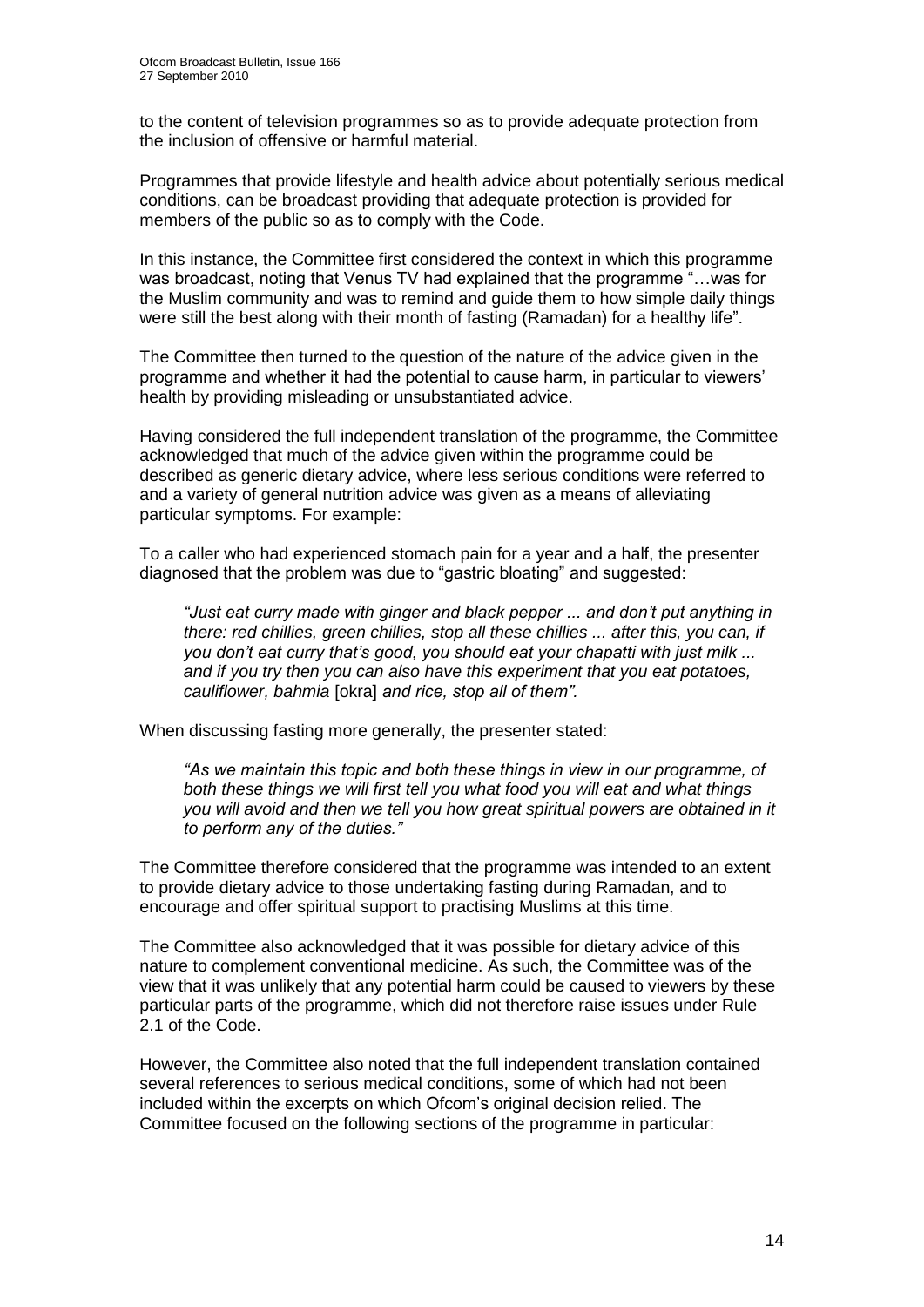to the content of television programmes so as to provide adequate protection from the inclusion of offensive or harmful material.

Programmes that provide lifestyle and health advice about potentially serious medical conditions, can be broadcast providing that adequate protection is provided for members of the public so as to comply with the Code.

In this instance, the Committee first considered the context in which this programme was broadcast, noting that Venus TV had explained that the programme "…was for the Muslim community and was to remind and guide them to how simple daily things were still the best along with their month of fasting (Ramadan) for a healthy life".

The Committee then turned to the question of the nature of the advice given in the programme and whether it had the potential to cause harm, in particular to viewers" health by providing misleading or unsubstantiated advice.

Having considered the full independent translation of the programme, the Committee acknowledged that much of the advice given within the programme could be described as generic dietary advice, where less serious conditions were referred to and a variety of general nutrition advice was given as a means of alleviating particular symptoms. For example:

To a caller who had experienced stomach pain for a year and a half, the presenter diagnosed that the problem was due to "gastric bloating" and suggested:

*―Just eat curry made with ginger and black pepper ... and don't put anything in there: red chillies, green chillies, stop all these chillies ... after this, you can, if you don't eat curry that's good, you should eat your chapatti with just milk ... and if you try then you can also have this experiment that you eat potatoes, cauliflower, bahmia* [okra] *and rice, stop all of them‖.*

When discussing fasting more generally, the presenter stated:

*―As we maintain this topic and both these things in view in our programme, of both these things we will first tell you what food you will eat and what things you will avoid and then we tell you how great spiritual powers are obtained in it to perform any of the duties.‖*

The Committee therefore considered that the programme was intended to an extent to provide dietary advice to those undertaking fasting during Ramadan, and to encourage and offer spiritual support to practising Muslims at this time.

The Committee also acknowledged that it was possible for dietary advice of this nature to complement conventional medicine. As such, the Committee was of the view that it was unlikely that any potential harm could be caused to viewers by these particular parts of the programme, which did not therefore raise issues under Rule 2.1 of the Code.

However, the Committee also noted that the full independent translation contained several references to serious medical conditions, some of which had not been included within the excerpts on which Ofcom"s original decision relied. The Committee focused on the following sections of the programme in particular: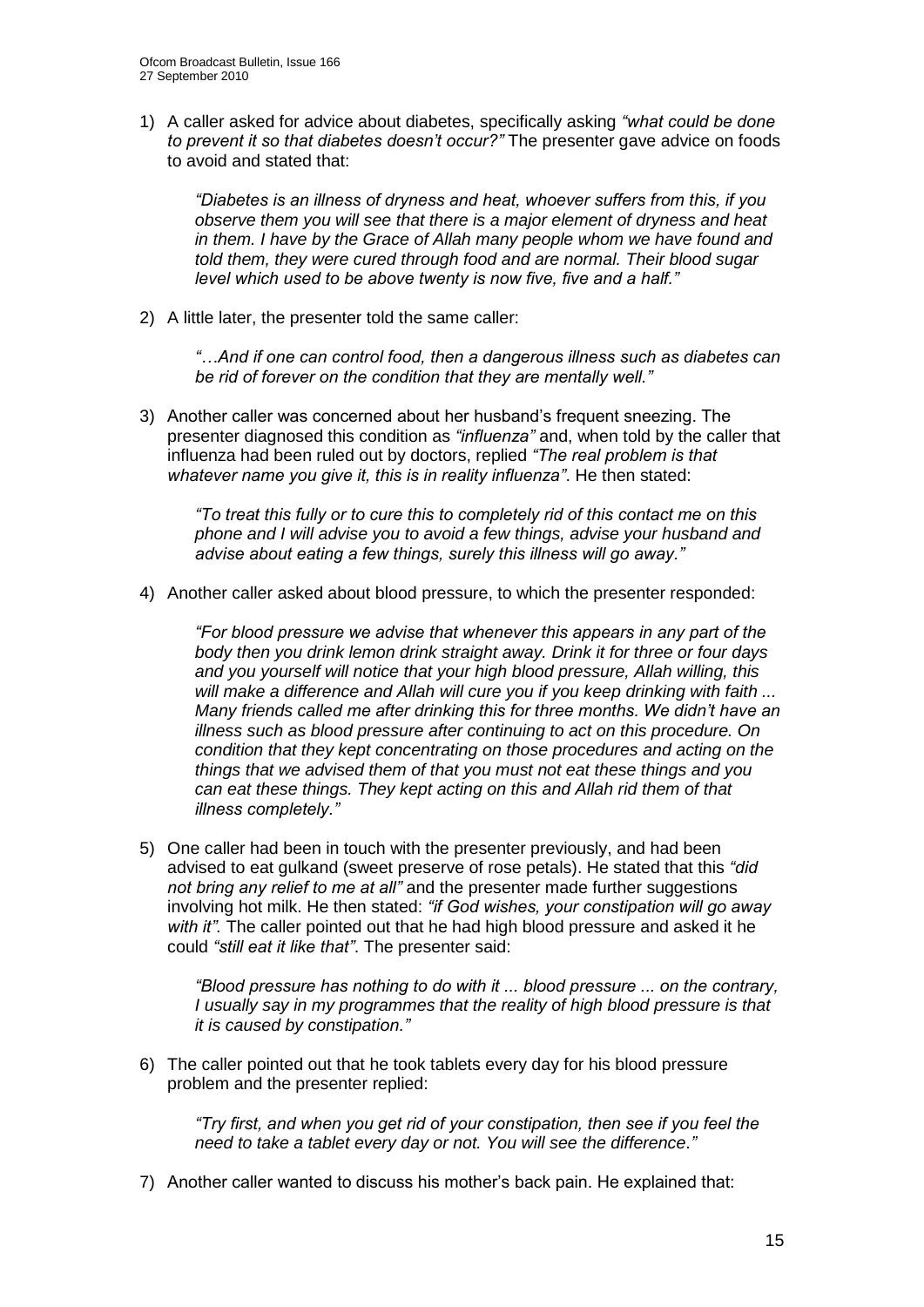1) A caller asked for advice about diabetes, specifically asking *"what could be done to prevent it so that diabetes doesn't occur?‖* The presenter gave advice on foods to avoid and stated that:

*―Diabetes is an illness of dryness and heat, whoever suffers from this, if you observe them you will see that there is a major element of dryness and heat in them. I have by the Grace of Allah many people whom we have found and told them, they were cured through food and are normal. Their blood sugar level which used to be above twenty is now five, five and a half.‖*

2) A little later, the presenter told the same caller:

*―…And if one can control food, then a dangerous illness such as diabetes can be rid of forever on the condition that they are mentally well.‖*

3) Another caller was concerned about her husband"s frequent sneezing. The presenter diagnosed this condition as "influenza" and, when told by the caller that influenza had been ruled out by doctors, replied "The real problem is that *whatever name you give it, this is in reality influenza*". He then stated:

*―To treat this fully or to cure this to completely rid of this contact me on this phone and I will advise you to avoid a few things, advise your husband and advise about eating a few things, surely this illness will go away.‖*

4) Another caller asked about blood pressure, to which the presenter responded:

*―For blood pressure we advise that whenever this appears in any part of the body then you drink lemon drink straight away. Drink it for three or four days and you yourself will notice that your high blood pressure, Allah willing, this will make a difference and Allah will cure you if you keep drinking with faith ... Many friends called me after drinking this for three months. We didn't have an illness such as blood pressure after continuing to act on this procedure. On condition that they kept concentrating on those procedures and acting on the things that we advised them of that you must not eat these things and you can eat these things. They kept acting on this and Allah rid them of that illness completely.‖*

5) One caller had been in touch with the presenter previously, and had been advised to eat gulkand (sweet preserve of rose petals). He stated that this "did *not bring any relief to me at all*" and the presenter made further suggestions involving hot milk. He then stated: "if God wishes, your constipation will go away *with it*". The caller pointed out that he had high blood pressure and asked it he could "still eat it like that". The presenter said:

*―Blood pressure has nothing to do with it ... blood pressure ... on the contrary, I usually say in my programmes that the reality of high blood pressure is that it is caused by constipation.‖*

6) The caller pointed out that he took tablets every day for his blood pressure problem and the presenter replied:

*―Try first, and when you get rid of your constipation, then see if you feel the need to take a tablet every day or not. You will see the difference*.*‖*

7) Another caller wanted to discuss his mother"s back pain. He explained that: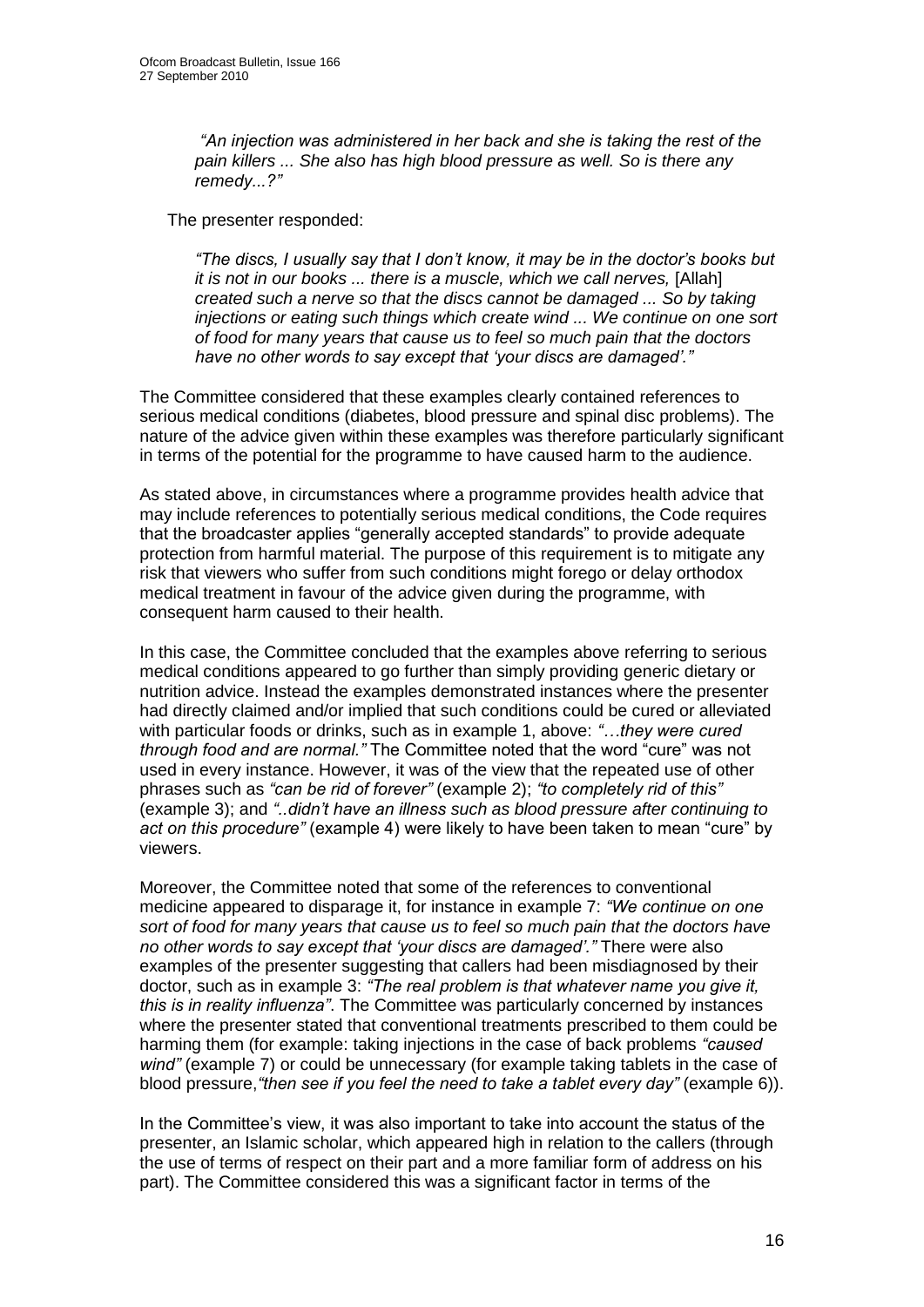*―An injection was administered in her back and she is taking the rest of the pain killers ... She also has high blood pressure as well. So is there any remedy...?‖*

The presenter responded:

*―The discs, I usually say that I don't know, it may be in the doctor's books but it is not in our books ... there is a muscle, which we call nerves,* [Allah] *created such a nerve so that the discs cannot be damaged ... So by taking injections or eating such things which create wind ... We continue on one sort of food for many years that cause us to feel so much pain that the doctors have no other words to say except that ‗your discs are damaged'.‖*

The Committee considered that these examples clearly contained references to serious medical conditions (diabetes, blood pressure and spinal disc problems). The nature of the advice given within these examples was therefore particularly significant in terms of the potential for the programme to have caused harm to the audience.

As stated above, in circumstances where a programme provides health advice that may include references to potentially serious medical conditions, the Code requires that the broadcaster applies "generally accepted standards" to provide adequate protection from harmful material. The purpose of this requirement is to mitigate any risk that viewers who suffer from such conditions might forego or delay orthodox medical treatment in favour of the advice given during the programme, with consequent harm caused to their health.

In this case, the Committee concluded that the examples above referring to serious medical conditions appeared to go further than simply providing generic dietary or nutrition advice. Instead the examples demonstrated instances where the presenter had directly claimed and/or implied that such conditions could be cured or alleviated with particular foods or drinks, such as in example 1, above: "...they were cured *through food and are normal.‖* The Committee noted that the word "cure" was not used in every instance. However, it was of the view that the repeated use of other phrases such as "can be rid of forever" (example 2); "to completely rid of this" (example 3); and *―..didn't have an illness such as blood pressure after continuing to act on this procedure‖* (example 4) were likely to have been taken to mean "cure" by viewers.

Moreover, the Committee noted that some of the references to conventional medicine appeared to disparage it, for instance in example 7: *"We continue on one sort of food for many years that cause us to feel so much pain that the doctors have no other words to say except that ‗your discs are damaged'.‖* There were also examples of the presenter suggesting that callers had been misdiagnosed by their doctor, such as in example 3: *"The real problem is that whatever name you give it, this is in reality influenza‖*. The Committee was particularly concerned by instances where the presenter stated that conventional treatments prescribed to them could be harming them (for example: taking injections in the case of back problems *"caused wind*" (example 7) or could be unnecessary (for example taking tablets in the case of blood pressure, *"then see if you feel the need to take a tablet every day"* (example 6)).

In the Committee"s view, it was also important to take into account the status of the presenter, an Islamic scholar, which appeared high in relation to the callers (through the use of terms of respect on their part and a more familiar form of address on his part). The Committee considered this was a significant factor in terms of the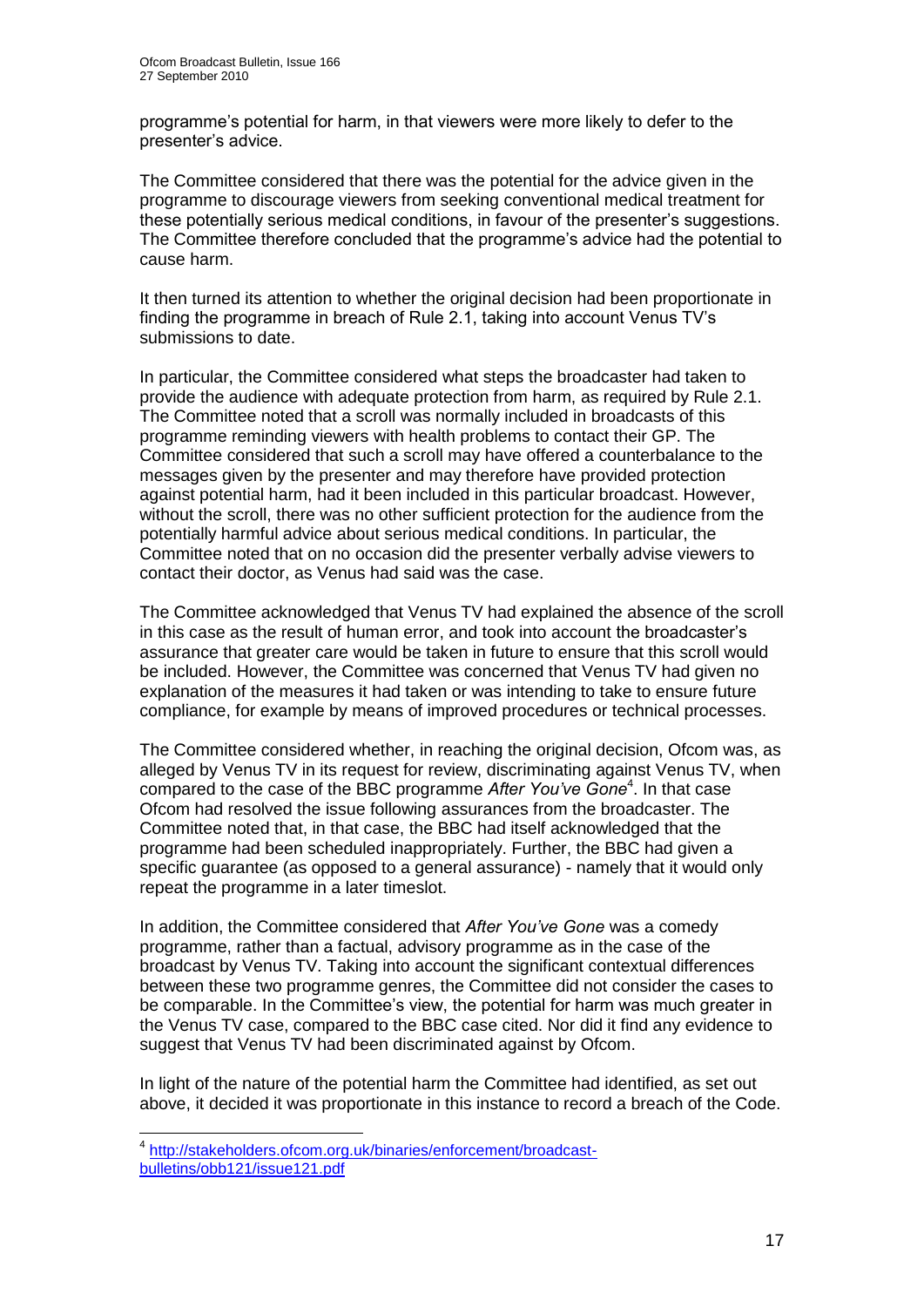programme"s potential for harm, in that viewers were more likely to defer to the presenter"s advice.

The Committee considered that there was the potential for the advice given in the programme to discourage viewers from seeking conventional medical treatment for these potentially serious medical conditions, in favour of the presenter"s suggestions. The Committee therefore concluded that the programme's advice had the potential to cause harm.

It then turned its attention to whether the original decision had been proportionate in finding the programme in breach of Rule 2.1, taking into account Venus TV"s submissions to date.

In particular, the Committee considered what steps the broadcaster had taken to provide the audience with adequate protection from harm, as required by Rule 2.1. The Committee noted that a scroll was normally included in broadcasts of this programme reminding viewers with health problems to contact their GP. The Committee considered that such a scroll may have offered a counterbalance to the messages given by the presenter and may therefore have provided protection against potential harm, had it been included in this particular broadcast. However, without the scroll, there was no other sufficient protection for the audience from the potentially harmful advice about serious medical conditions. In particular, the Committee noted that on no occasion did the presenter verbally advise viewers to contact their doctor, as Venus had said was the case.

The Committee acknowledged that Venus TV had explained the absence of the scroll in this case as the result of human error, and took into account the broadcaster"s assurance that greater care would be taken in future to ensure that this scroll would be included. However, the Committee was concerned that Venus TV had given no explanation of the measures it had taken or was intending to take to ensure future compliance, for example by means of improved procedures or technical processes.

The Committee considered whether, in reaching the original decision, Ofcom was, as alleged by Venus TV in its request for review, discriminating against Venus TV, when compared to the case of the BBC programme *After You've Gone*<sup>4</sup> . In that case Ofcom had resolved the issue following assurances from the broadcaster. The Committee noted that, in that case, the BBC had itself acknowledged that the programme had been scheduled inappropriately. Further, the BBC had given a specific guarantee (as opposed to a general assurance) - namely that it would only repeat the programme in a later timeslot.

In addition, the Committee considered that *After You've Gone* was a comedy programme, rather than a factual, advisory programme as in the case of the broadcast by Venus TV. Taking into account the significant contextual differences between these two programme genres, the Committee did not consider the cases to be comparable. In the Committee"s view, the potential for harm was much greater in the Venus TV case, compared to the BBC case cited. Nor did it find any evidence to suggest that Venus TV had been discriminated against by Ofcom.

In light of the nature of the potential harm the Committee had identified, as set out above, it decided it was proportionate in this instance to record a breach of the Code.

1

<sup>4</sup> [http://stakeholders.ofcom.org.uk/binaries/enforcement/broadcast](http://stakeholders.ofcom.org.uk/binaries/enforcement/broadcast-bulletins/obb121/issue121.pdf)[bulletins/obb121/issue121.pdf](http://stakeholders.ofcom.org.uk/binaries/enforcement/broadcast-bulletins/obb121/issue121.pdf)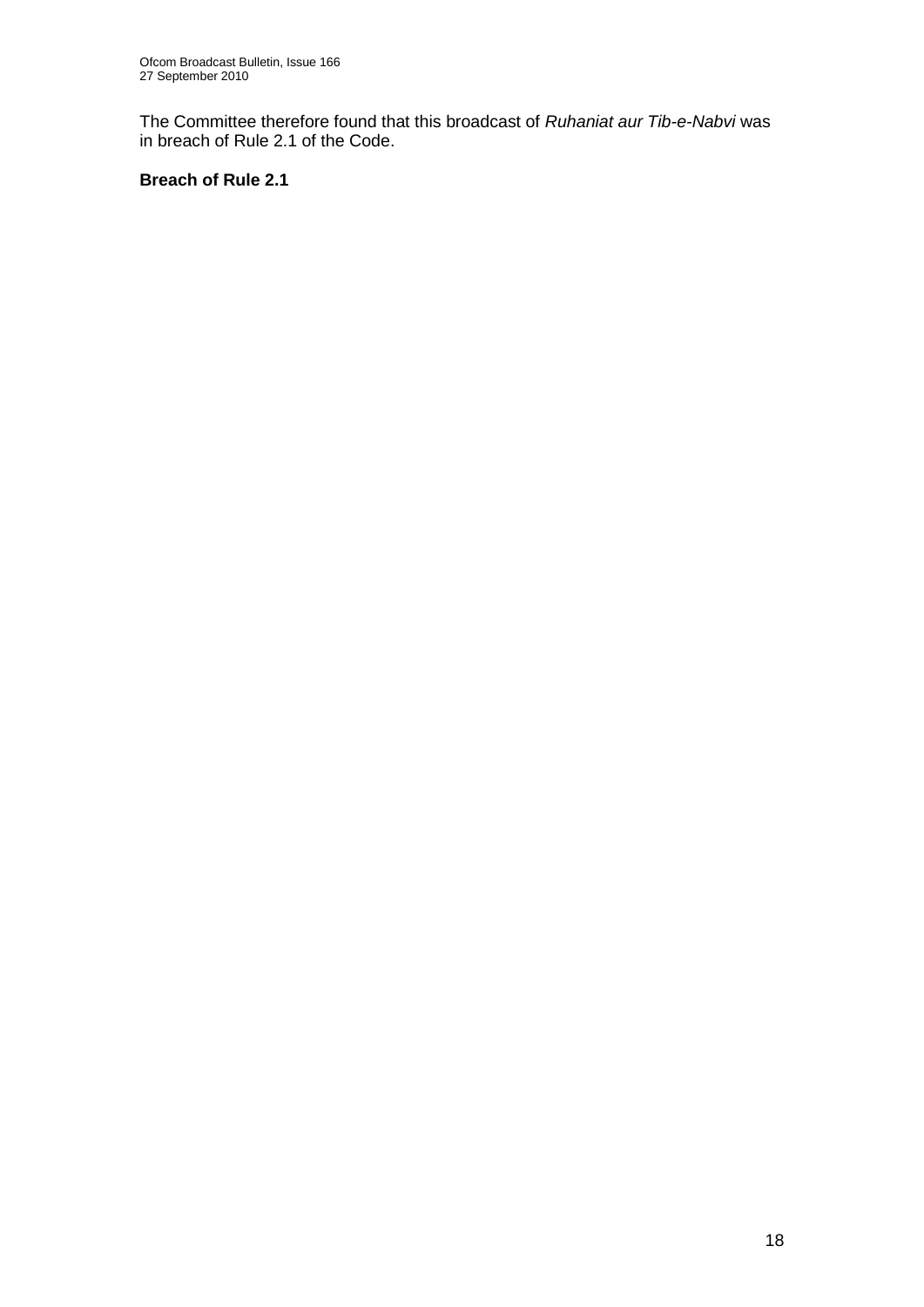The Committee therefore found that this broadcast of *Ruhaniat aur Tib-e-Nabvi* was in breach of Rule 2.1 of the Code.

## **Breach of Rule 2.1**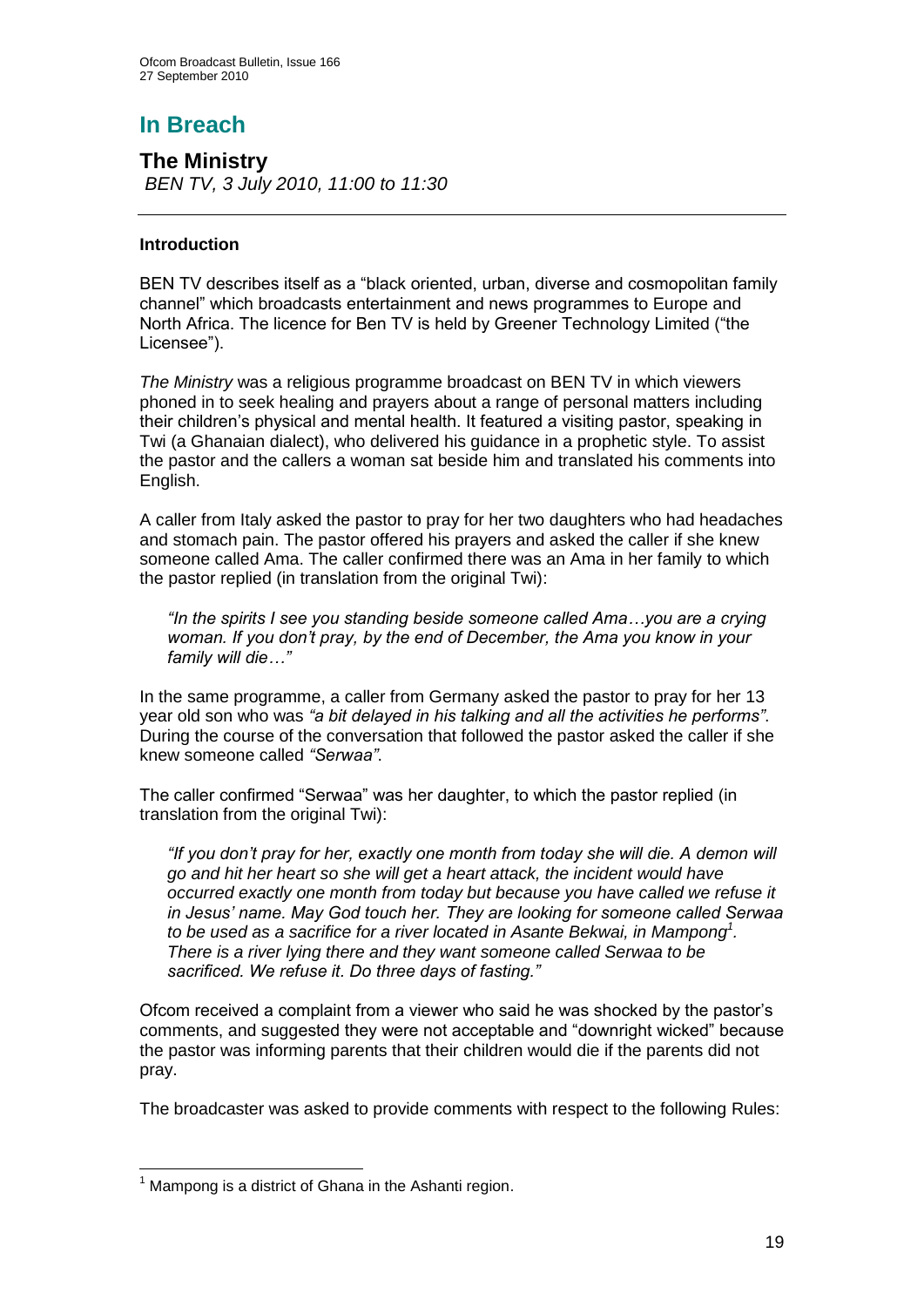# **In Breach**

**The Ministry** *BEN TV, 3 July 2010, 11:00 to 11:30*

#### **Introduction**

BEN TV describes itself as a "black oriented, urban, diverse and cosmopolitan family channel" which broadcasts entertainment and news programmes to Europe and North Africa. The licence for Ben TV is held by Greener Technology Limited ("the Licensee").

*The Ministry* was a religious programme broadcast on BEN TV in which viewers phoned in to seek healing and prayers about a range of personal matters including their children"s physical and mental health. It featured a visiting pastor, speaking in Twi (a Ghanaian dialect), who delivered his guidance in a prophetic style. To assist the pastor and the callers a woman sat beside him and translated his comments into English.

A caller from Italy asked the pastor to pray for her two daughters who had headaches and stomach pain. The pastor offered his prayers and asked the caller if she knew someone called Ama. The caller confirmed there was an Ama in her family to which the pastor replied (in translation from the original Twi):

*―In the spirits I see you standing beside someone called Ama…you are a crying woman. If you don't pray, by the end of December, the Ama you know in your family will die…‖*

In the same programme, a caller from Germany asked the pastor to pray for her 13 year old son who was "a bit delayed in his talking and all the activities he performs". During the course of the conversation that followed the pastor asked the caller if she knew someone called *"Serwaa"* 

The caller confirmed "Serwaa" was her daughter, to which the pastor replied (in translation from the original Twi):

*―If you don't pray for her, exactly one month from today she will die. A demon will go and hit her heart so she will get a heart attack, the incident would have occurred exactly one month from today but because you have called we refuse it in Jesus' name. May God touch her. They are looking for someone called Serwaa to be used as a sacrifice for a river located in Asante Bekwai, in Mampong<sup>1</sup> . There is a river lying there and they want someone called Serwaa to be sacrificed. We refuse it. Do three days of fasting.‖*

Ofcom received a complaint from a viewer who said he was shocked by the pastor"s comments, and suggested they were not acceptable and "downright wicked" because the pastor was informing parents that their children would die if the parents did not pray.

The broadcaster was asked to provide comments with respect to the following Rules:

<sup>1</sup>  $1$  Mampong is a district of Ghana in the Ashanti region.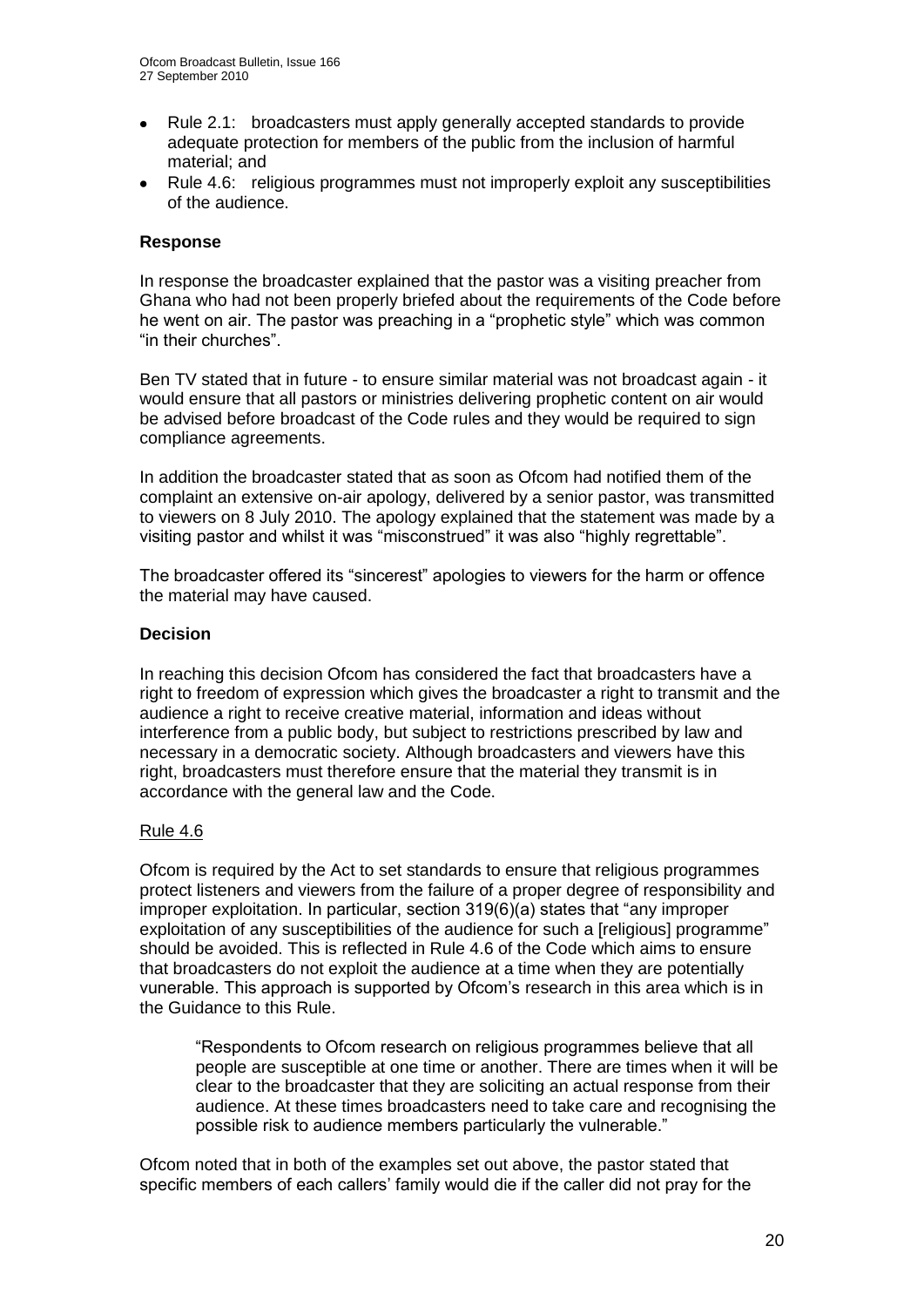- $\bullet$ Rule 2.1: broadcasters must apply generally accepted standards to provide adequate protection for members of the public from the inclusion of harmful material; and
- Rule 4.6: religious programmes must not improperly exploit any susceptibilities  $\bullet$ of the audience.

#### **Response**

In response the broadcaster explained that the pastor was a visiting preacher from Ghana who had not been properly briefed about the requirements of the Code before he went on air. The pastor was preaching in a "prophetic style" which was common "in their churches".

Ben TV stated that in future - to ensure similar material was not broadcast again - it would ensure that all pastors or ministries delivering prophetic content on air would be advised before broadcast of the Code rules and they would be required to sign compliance agreements.

In addition the broadcaster stated that as soon as Ofcom had notified them of the complaint an extensive on-air apology, delivered by a senior pastor, was transmitted to viewers on 8 July 2010. The apology explained that the statement was made by a visiting pastor and whilst it was "misconstrued" it was also "highly regrettable".

The broadcaster offered its "sincerest" apologies to viewers for the harm or offence the material may have caused.

#### **Decision**

In reaching this decision Ofcom has considered the fact that broadcasters have a right to freedom of expression which gives the broadcaster a right to transmit and the audience a right to receive creative material, information and ideas without interference from a public body, but subject to restrictions prescribed by law and necessary in a democratic society. Although broadcasters and viewers have this right, broadcasters must therefore ensure that the material they transmit is in accordance with the general law and the Code.

#### Rule 4.6

Ofcom is required by the Act to set standards to ensure that religious programmes protect listeners and viewers from the failure of a proper degree of responsibility and improper exploitation. In particular, section 319(6)(a) states that "any improper exploitation of any susceptibilities of the audience for such a [religious] programme" should be avoided. This is reflected in Rule 4.6 of the Code which aims to ensure that broadcasters do not exploit the audience at a time when they are potentially vunerable. This approach is supported by Ofcom"s research in this area which is in the Guidance to this Rule.

"Respondents to Ofcom research on religious programmes believe that all people are susceptible at one time or another. There are times when it will be clear to the broadcaster that they are soliciting an actual response from their audience. At these times broadcasters need to take care and recognising the possible risk to audience members particularly the vulnerable."

Ofcom noted that in both of the examples set out above, the pastor stated that specific members of each callers" family would die if the caller did not pray for the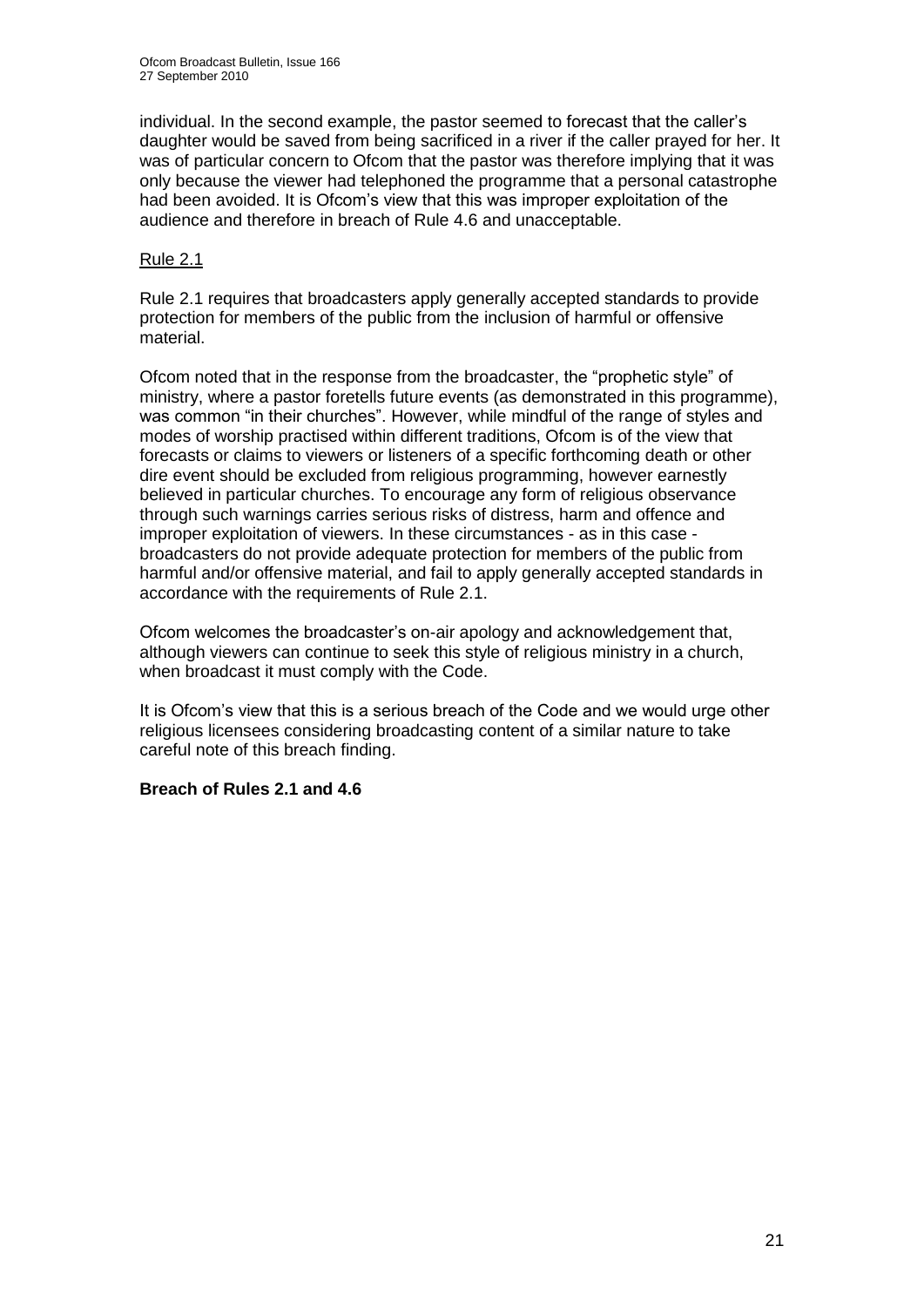individual. In the second example, the pastor seemed to forecast that the caller"s daughter would be saved from being sacrificed in a river if the caller prayed for her. It was of particular concern to Ofcom that the pastor was therefore implying that it was only because the viewer had telephoned the programme that a personal catastrophe had been avoided. It is Ofcom"s view that this was improper exploitation of the audience and therefore in breach of Rule 4.6 and unacceptable.

## Rule 2.1

Rule 2.1 requires that broadcasters apply generally accepted standards to provide protection for members of the public from the inclusion of harmful or offensive material.

Ofcom noted that in the response from the broadcaster, the "prophetic style" of ministry, where a pastor foretells future events (as demonstrated in this programme), was common "in their churches". However, while mindful of the range of styles and modes of worship practised within different traditions, Ofcom is of the view that forecasts or claims to viewers or listeners of a specific forthcoming death or other dire event should be excluded from religious programming, however earnestly believed in particular churches. To encourage any form of religious observance through such warnings carries serious risks of distress, harm and offence and improper exploitation of viewers. In these circumstances - as in this case broadcasters do not provide adequate protection for members of the public from harmful and/or offensive material, and fail to apply generally accepted standards in accordance with the requirements of Rule 2.1.

Ofcom welcomes the broadcaster"s on-air apology and acknowledgement that, although viewers can continue to seek this style of religious ministry in a church, when broadcast it must comply with the Code.

It is Ofcom"s view that this is a serious breach of the Code and we would urge other religious licensees considering broadcasting content of a similar nature to take careful note of this breach finding.

#### **Breach of Rules 2.1 and 4.6**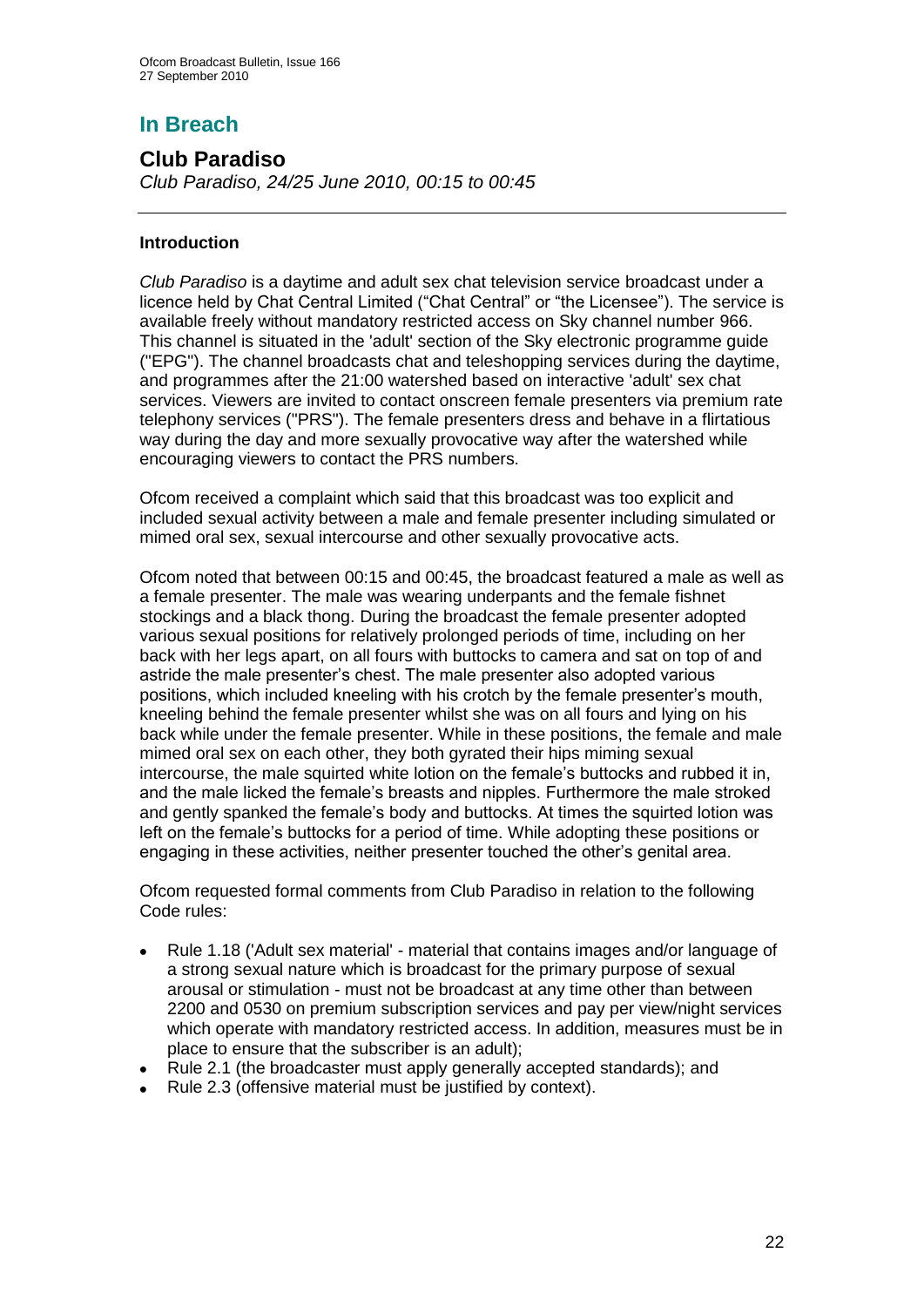## **In Breach**

## **Club Paradiso**

*Club Paradiso, 24/25 June 2010, 00:15 to 00:45*

## **Introduction**

*Club Paradiso* is a daytime and adult sex chat television service broadcast under a licence held by Chat Central Limited ("Chat Central" or "the Licensee"). The service is available freely without mandatory restricted access on Sky channel number 966. This channel is situated in the 'adult' section of the Sky electronic programme guide ("EPG"). The channel broadcasts chat and teleshopping services during the daytime, and programmes after the 21:00 watershed based on interactive 'adult' sex chat services. Viewers are invited to contact onscreen female presenters via premium rate telephony services ("PRS"). The female presenters dress and behave in a flirtatious way during the day and more sexually provocative way after the watershed while encouraging viewers to contact the PRS numbers.

Ofcom received a complaint which said that this broadcast was too explicit and included sexual activity between a male and female presenter including simulated or mimed oral sex, sexual intercourse and other sexually provocative acts.

Ofcom noted that between 00:15 and 00:45, the broadcast featured a male as well as a female presenter. The male was wearing underpants and the female fishnet stockings and a black thong. During the broadcast the female presenter adopted various sexual positions for relatively prolonged periods of time, including on her back with her legs apart, on all fours with buttocks to camera and sat on top of and astride the male presenter"s chest. The male presenter also adopted various positions, which included kneeling with his crotch by the female presenter"s mouth, kneeling behind the female presenter whilst she was on all fours and lying on his back while under the female presenter. While in these positions, the female and male mimed oral sex on each other, they both gyrated their hips miming sexual intercourse, the male squirted white lotion on the female"s buttocks and rubbed it in, and the male licked the female"s breasts and nipples. Furthermore the male stroked and gently spanked the female"s body and buttocks. At times the squirted lotion was left on the female's buttocks for a period of time. While adopting these positions or engaging in these activities, neither presenter touched the other"s genital area.

Ofcom requested formal comments from Club Paradiso in relation to the following Code rules:

- Rule 1.18 ('Adult sex material' material that contains images and/or language of  $\bullet$ a strong sexual nature which is broadcast for the primary purpose of sexual arousal or stimulation - must not be broadcast at any time other than between 2200 and 0530 on premium subscription services and pay per view/night services which operate with mandatory restricted access. In addition, measures must be in place to ensure that the subscriber is an adult);
- Rule 2.1 (the broadcaster must apply generally accepted standards); and
- Rule 2.3 (offensive material must be justified by context).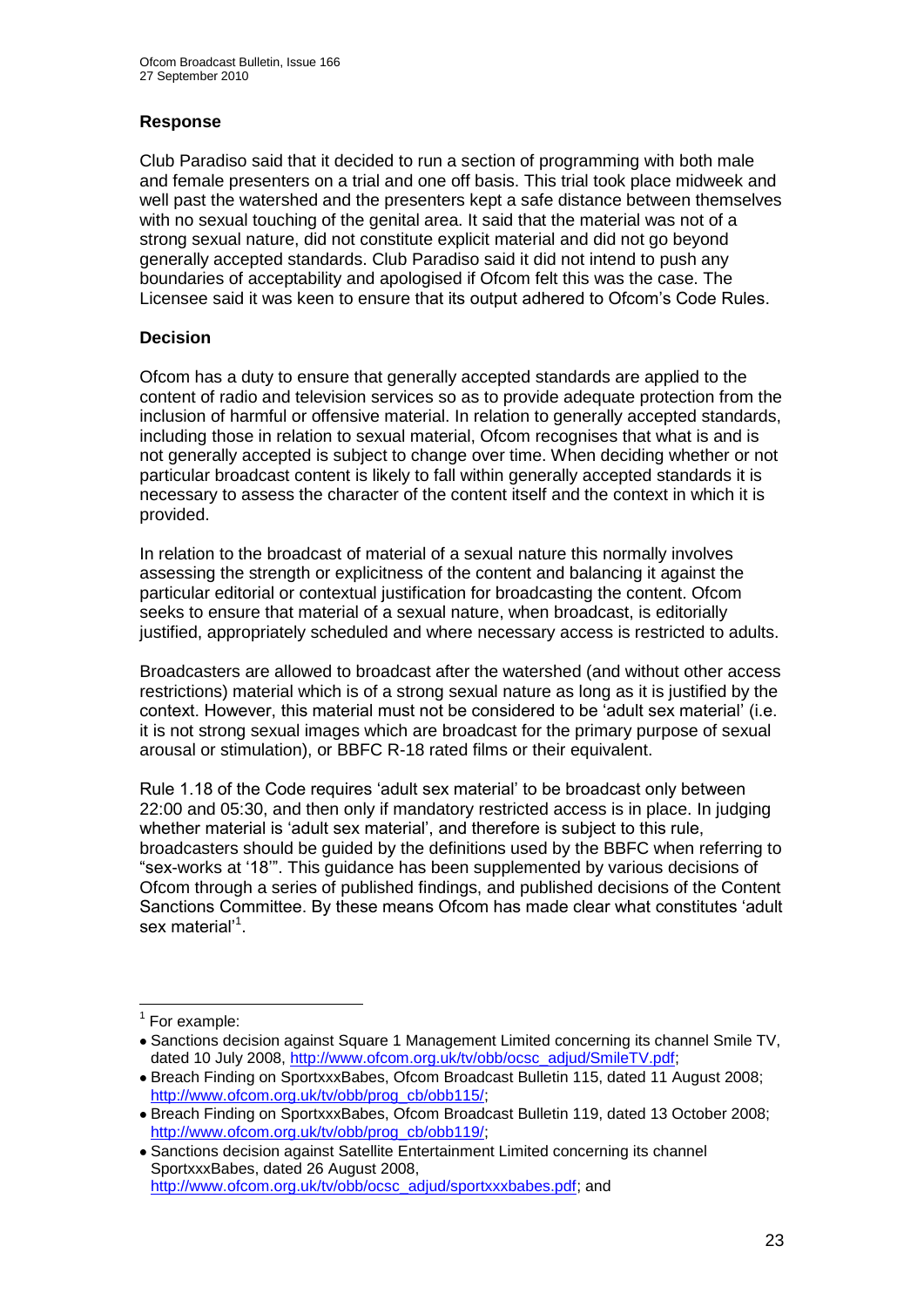#### **Response**

Club Paradiso said that it decided to run a section of programming with both male and female presenters on a trial and one off basis. This trial took place midweek and well past the watershed and the presenters kept a safe distance between themselves with no sexual touching of the genital area. It said that the material was not of a strong sexual nature, did not constitute explicit material and did not go beyond generally accepted standards. Club Paradiso said it did not intend to push any boundaries of acceptability and apologised if Ofcom felt this was the case. The Licensee said it was keen to ensure that its output adhered to Ofcom"s Code Rules.

#### **Decision**

Ofcom has a duty to ensure that generally accepted standards are applied to the content of radio and television services so as to provide adequate protection from the inclusion of harmful or offensive material. In relation to generally accepted standards, including those in relation to sexual material, Ofcom recognises that what is and is not generally accepted is subject to change over time. When deciding whether or not particular broadcast content is likely to fall within generally accepted standards it is necessary to assess the character of the content itself and the context in which it is provided.

In relation to the broadcast of material of a sexual nature this normally involves assessing the strength or explicitness of the content and balancing it against the particular editorial or contextual justification for broadcasting the content. Ofcom seeks to ensure that material of a sexual nature, when broadcast, is editorially justified, appropriately scheduled and where necessary access is restricted to adults.

Broadcasters are allowed to broadcast after the watershed (and without other access restrictions) material which is of a strong sexual nature as long as it is justified by the context. However, this material must not be considered to be "adult sex material" (i.e. it is not strong sexual images which are broadcast for the primary purpose of sexual arousal or stimulation), or BBFC R-18 rated films or their equivalent.

Rule 1.18 of the Code requires "adult sex material" to be broadcast only between 22:00 and 05:30, and then only if mandatory restricted access is in place. In judging whether material is 'adult sex material', and therefore is subject to this rule, broadcasters should be guided by the definitions used by the BBFC when referring to "sex-works at "18"". This guidance has been supplemented by various decisions of Ofcom through a series of published findings, and published decisions of the Content Sanctions Committee. By these means Ofcom has made clear what constitutes "adult sex material'<sup>1</sup>.

1

<sup>&</sup>lt;sup>1</sup> For example:

Sanctions decision against Square 1 Management Limited concerning its channel Smile TV, dated 10 July 2008, [http://www.ofcom.org.uk/tv/obb/ocsc\\_adjud/SmileTV.pdf;](http://www.ofcom.org.uk/tv/obb/ocsc_adjud/SmileTV.pdf)

Breach Finding on SportxxxBabes, Ofcom Broadcast Bulletin 115, dated 11 August 2008; [http://www.ofcom.org.uk/tv/obb/prog\\_cb/obb115/;](http://www.ofcom.org.uk/tv/obb/prog_cb/obb115/)

Breach Finding on SportxxxBabes, Ofcom Broadcast Bulletin 119, dated 13 October 2008; [http://www.ofcom.org.uk/tv/obb/prog\\_cb/obb119/;](http://www.ofcom.org.uk/tv/obb/prog_cb/obb119/)

Sanctions decision against Satellite Entertainment Limited concerning its channel SportxxxBabes, dated 26 August 2008, [http://www.ofcom.org.uk/tv/obb/ocsc\\_adjud/sportxxxbabes.pdf;](http://www.ofcom.org.uk/tv/obb/ocsc_adjud/sportxxxbabes.pdf) and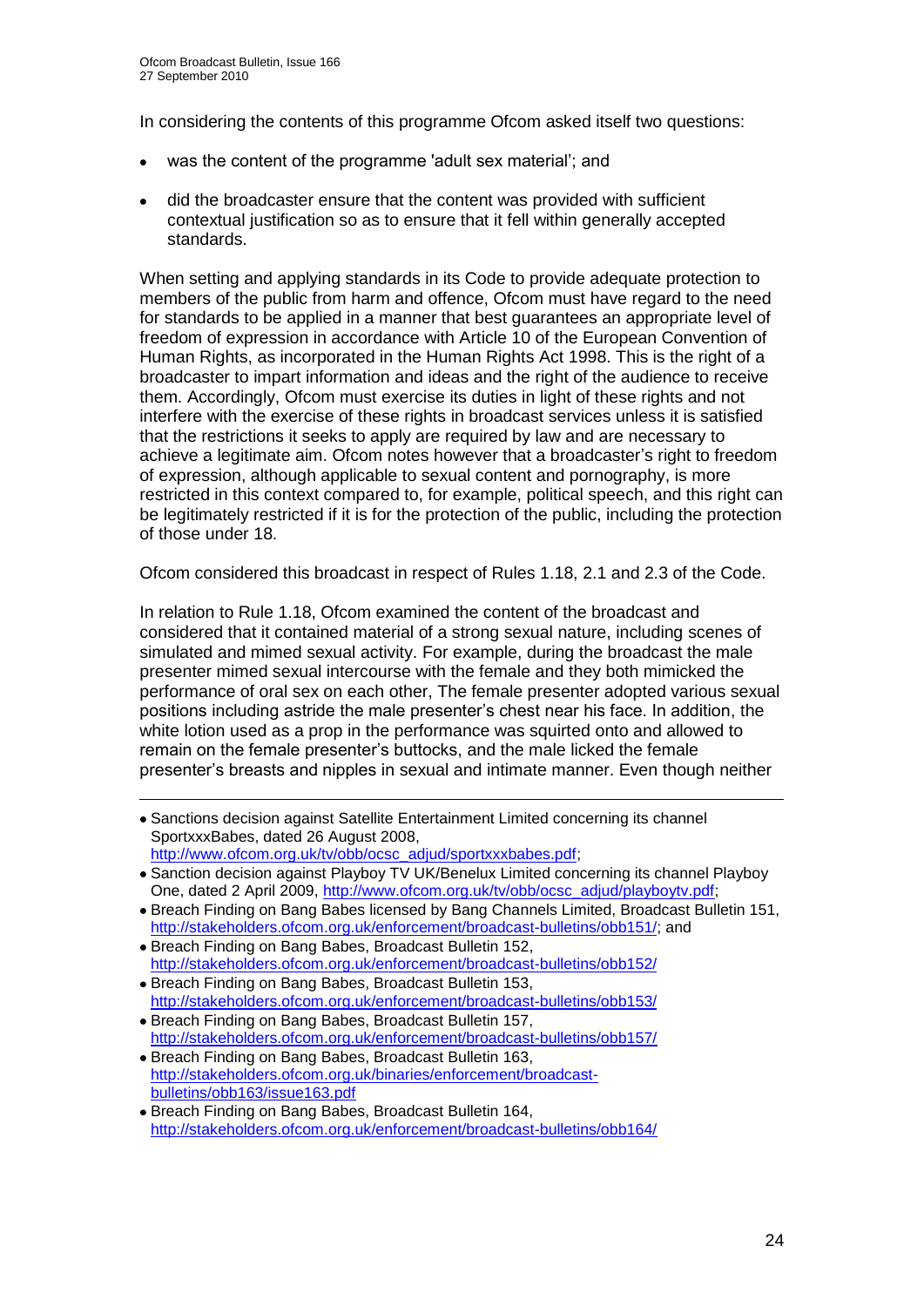In considering the contents of this programme Ofcom asked itself two questions:

- was the content of the programme 'adult sex material"; and
- did the broadcaster ensure that the content was provided with sufficient  $\bullet$ contextual justification so as to ensure that it fell within generally accepted standards.

When setting and applying standards in its Code to provide adequate protection to members of the public from harm and offence, Ofcom must have regard to the need for standards to be applied in a manner that best guarantees an appropriate level of freedom of expression in accordance with Article 10 of the European Convention of Human Rights, as incorporated in the Human Rights Act 1998. This is the right of a broadcaster to impart information and ideas and the right of the audience to receive them. Accordingly, Ofcom must exercise its duties in light of these rights and not interfere with the exercise of these rights in broadcast services unless it is satisfied that the restrictions it seeks to apply are required by law and are necessary to achieve a legitimate aim. Ofcom notes however that a broadcaster's right to freedom of expression, although applicable to sexual content and pornography, is more restricted in this context compared to, for example, political speech, and this right can be legitimately restricted if it is for the protection of the public, including the protection of those under 18.

Ofcom considered this broadcast in respect of Rules 1.18, 2.1 and 2.3 of the Code.

In relation to Rule 1.18, Ofcom examined the content of the broadcast and considered that it contained material of a strong sexual nature, including scenes of simulated and mimed sexual activity. For example, during the broadcast the male presenter mimed sexual intercourse with the female and they both mimicked the performance of oral sex on each other, The female presenter adopted various sexual positions including astride the male presenter"s chest near his face. In addition, the white lotion used as a prop in the performance was squirted onto and allowed to remain on the female presenter"s buttocks, and the male licked the female presenter"s breasts and nipples in sexual and intimate manner. Even though neither

- 1 Sanctions decision against Satellite Entertainment Limited concerning its channel SportxxxBabes, dated 26 August 2008, [http://www.ofcom.org.uk/tv/obb/ocsc\\_adjud/sportxxxbabes.pdf;](http://www.ofcom.org.uk/tv/obb/ocsc_adjud/sportxxxbabes.pdf)
- Sanction decision against Playboy TV UK/Benelux Limited concerning its channel Playboy One, dated 2 April 2009, [http://www.ofcom.org.uk/tv/obb/ocsc\\_adjud/playboytv.pdf;](http://www.ofcom.org.uk/tv/obb/ocsc_adjud/playboytv.pdf)
- Breach Finding on Bang Babes licensed by Bang Channels Limited, Broadcast Bulletin 151, [http://stakeholders.ofcom.org.uk/enforcement/broadcast-bulletins/obb151/;](http://stakeholders.ofcom.org.uk/enforcement/broadcast-bulletins/obb151/) and
- Breach Finding on Bang Babes, Broadcast Bulletin 152, <http://stakeholders.ofcom.org.uk/enforcement/broadcast-bulletins/obb152/>
- Breach Finding on Bang Babes, Broadcast Bulletin 153, <http://stakeholders.ofcom.org.uk/enforcement/broadcast-bulletins/obb153/>
- Breach Finding on Bang Babes, Broadcast Bulletin 157, <http://stakeholders.ofcom.org.uk/enforcement/broadcast-bulletins/obb157/>
- Breach Finding on Bang Babes, Broadcast Bulletin 163, [http://stakeholders.ofcom.org.uk/binaries/enforcement/broadcast](http://stakeholders.ofcom.org.uk/binaries/enforcement/broadcast-bulletins/obb163/issue163.pdf)[bulletins/obb163/issue163.pdf](http://stakeholders.ofcom.org.uk/binaries/enforcement/broadcast-bulletins/obb163/issue163.pdf)
- Breach Finding on Bang Babes, Broadcast Bulletin 164, <http://stakeholders.ofcom.org.uk/enforcement/broadcast-bulletins/obb164/>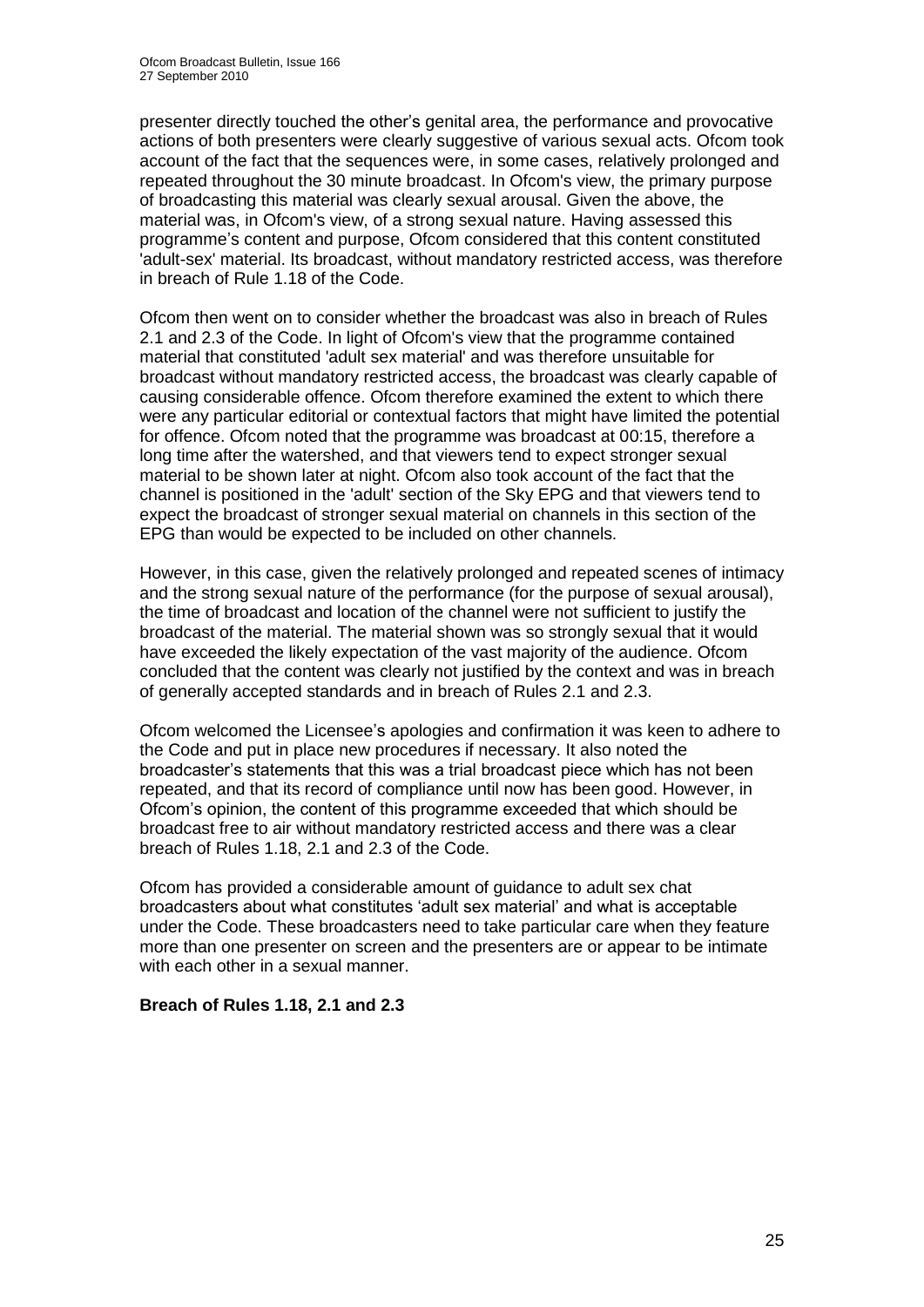presenter directly touched the other"s genital area, the performance and provocative actions of both presenters were clearly suggestive of various sexual acts. Ofcom took account of the fact that the sequences were, in some cases, relatively prolonged and repeated throughout the 30 minute broadcast. In Ofcom's view, the primary purpose of broadcasting this material was clearly sexual arousal. Given the above, the material was, in Ofcom's view, of a strong sexual nature. Having assessed this programme"s content and purpose, Ofcom considered that this content constituted 'adult-sex' material. Its broadcast, without mandatory restricted access, was therefore in breach of Rule 1.18 of the Code.

Ofcom then went on to consider whether the broadcast was also in breach of Rules 2.1 and 2.3 of the Code. In light of Ofcom's view that the programme contained material that constituted 'adult sex material' and was therefore unsuitable for broadcast without mandatory restricted access, the broadcast was clearly capable of causing considerable offence. Ofcom therefore examined the extent to which there were any particular editorial or contextual factors that might have limited the potential for offence. Ofcom noted that the programme was broadcast at 00:15, therefore a long time after the watershed, and that viewers tend to expect stronger sexual material to be shown later at night. Ofcom also took account of the fact that the channel is positioned in the 'adult' section of the Sky EPG and that viewers tend to expect the broadcast of stronger sexual material on channels in this section of the EPG than would be expected to be included on other channels.

However, in this case, given the relatively prolonged and repeated scenes of intimacy and the strong sexual nature of the performance (for the purpose of sexual arousal), the time of broadcast and location of the channel were not sufficient to justify the broadcast of the material. The material shown was so strongly sexual that it would have exceeded the likely expectation of the vast majority of the audience. Ofcom concluded that the content was clearly not justified by the context and was in breach of generally accepted standards and in breach of Rules 2.1 and 2.3.

Ofcom welcomed the Licensee"s apologies and confirmation it was keen to adhere to the Code and put in place new procedures if necessary. It also noted the broadcaster"s statements that this was a trial broadcast piece which has not been repeated, and that its record of compliance until now has been good. However, in Ofcom"s opinion, the content of this programme exceeded that which should be broadcast free to air without mandatory restricted access and there was a clear breach of Rules 1.18, 2.1 and 2.3 of the Code.

Ofcom has provided a considerable amount of guidance to adult sex chat broadcasters about what constitutes "adult sex material" and what is acceptable under the Code. These broadcasters need to take particular care when they feature more than one presenter on screen and the presenters are or appear to be intimate with each other in a sexual manner.

**Breach of Rules 1.18, 2.1 and 2.3**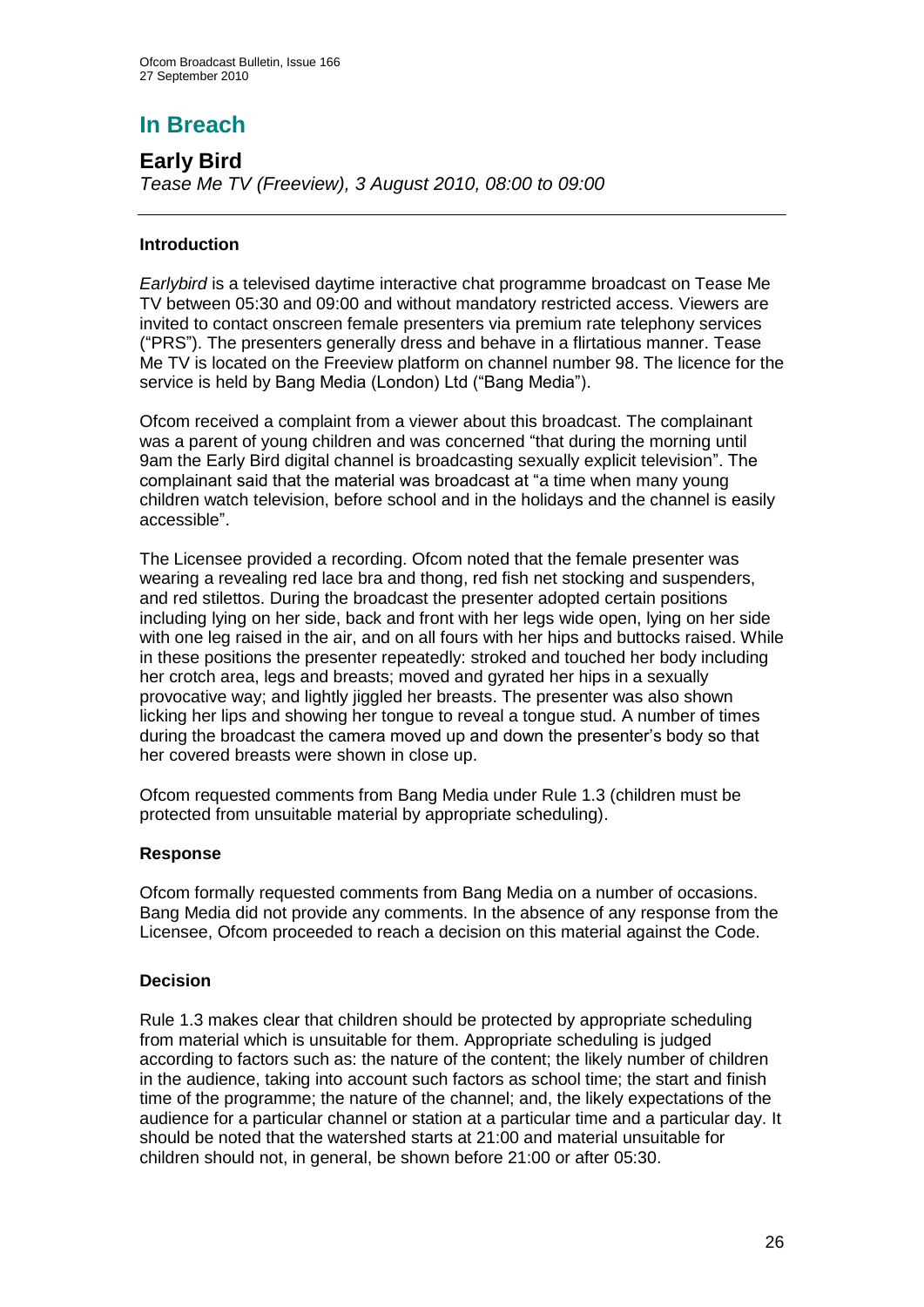# **In Breach**

## **Early Bird**

*Tease Me TV (Freeview), 3 August 2010, 08:00 to 09:00*

## **Introduction**

*Earlybird* is a televised daytime interactive chat programme broadcast on Tease Me TV between 05:30 and 09:00 and without mandatory restricted access. Viewers are invited to contact onscreen female presenters via premium rate telephony services ("PRS"). The presenters generally dress and behave in a flirtatious manner. Tease Me TV is located on the Freeview platform on channel number 98. The licence for the service is held by Bang Media (London) Ltd ("Bang Media").

Ofcom received a complaint from a viewer about this broadcast. The complainant was a parent of young children and was concerned "that during the morning until 9am the Early Bird digital channel is broadcasting sexually explicit television". The complainant said that the material was broadcast at "a time when many young children watch television, before school and in the holidays and the channel is easily accessible".

The Licensee provided a recording. Ofcom noted that the female presenter was wearing a revealing red lace bra and thong, red fish net stocking and suspenders, and red stilettos. During the broadcast the presenter adopted certain positions including lying on her side, back and front with her legs wide open, lying on her side with one leg raised in the air, and on all fours with her hips and buttocks raised. While in these positions the presenter repeatedly: stroked and touched her body including her crotch area, legs and breasts; moved and gyrated her hips in a sexually provocative way; and lightly jiggled her breasts. The presenter was also shown licking her lips and showing her tongue to reveal a tongue stud. A number of times during the broadcast the camera moved up and down the presenter"s body so that her covered breasts were shown in close up.

Ofcom requested comments from Bang Media under Rule 1.3 (children must be protected from unsuitable material by appropriate scheduling).

## **Response**

Ofcom formally requested comments from Bang Media on a number of occasions. Bang Media did not provide any comments. In the absence of any response from the Licensee, Ofcom proceeded to reach a decision on this material against the Code.

## **Decision**

Rule 1.3 makes clear that children should be protected by appropriate scheduling from material which is unsuitable for them. Appropriate scheduling is judged according to factors such as: the nature of the content; the likely number of children in the audience, taking into account such factors as school time; the start and finish time of the programme; the nature of the channel; and, the likely expectations of the audience for a particular channel or station at a particular time and a particular day. It should be noted that the watershed starts at 21:00 and material unsuitable for children should not, in general, be shown before 21:00 or after 05:30.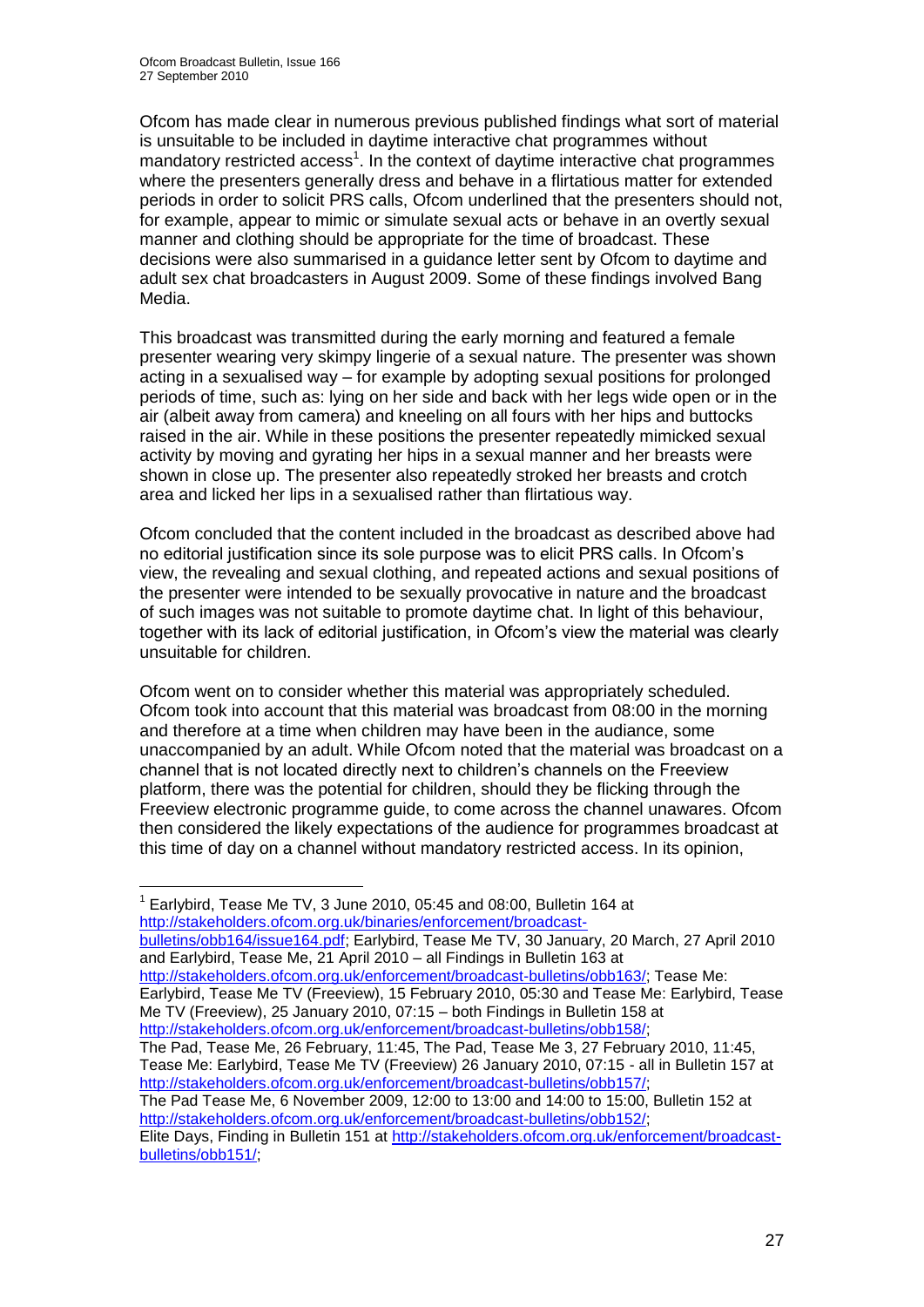1

Ofcom has made clear in numerous previous published findings what sort of material is unsuitable to be included in daytime interactive chat programmes without mandatory restricted access<sup>1</sup>. In the context of daytime interactive chat programmes where the presenters generally dress and behave in a flirtatious matter for extended periods in order to solicit PRS calls, Ofcom underlined that the presenters should not, for example, appear to mimic or simulate sexual acts or behave in an overtly sexual manner and clothing should be appropriate for the time of broadcast. These decisions were also summarised in a guidance letter sent by Ofcom to daytime and adult sex chat broadcasters in August 2009. Some of these findings involved Bang Media.

This broadcast was transmitted during the early morning and featured a female presenter wearing very skimpy lingerie of a sexual nature. The presenter was shown acting in a sexualised way – for example by adopting sexual positions for prolonged periods of time, such as: lying on her side and back with her legs wide open or in the air (albeit away from camera) and kneeling on all fours with her hips and buttocks raised in the air. While in these positions the presenter repeatedly mimicked sexual activity by moving and gyrating her hips in a sexual manner and her breasts were shown in close up. The presenter also repeatedly stroked her breasts and crotch area and licked her lips in a sexualised rather than flirtatious way.

Ofcom concluded that the content included in the broadcast as described above had no editorial justification since its sole purpose was to elicit PRS calls. In Ofcom"s view, the revealing and sexual clothing, and repeated actions and sexual positions of the presenter were intended to be sexually provocative in nature and the broadcast of such images was not suitable to promote daytime chat. In light of this behaviour, together with its lack of editorial justification, in Ofcom"s view the material was clearly unsuitable for children.

Ofcom went on to consider whether this material was appropriately scheduled. Ofcom took into account that this material was broadcast from 08:00 in the morning and therefore at a time when children may have been in the audiance, some unaccompanied by an adult. While Ofcom noted that the material was broadcast on a channel that is not located directly next to children"s channels on the Freeview platform, there was the potential for children, should they be flicking through the Freeview electronic programme guide, to come across the channel unawares. Ofcom then considered the likely expectations of the audience for programmes broadcast at this time of day on a channel without mandatory restricted access. In its opinion,

 $1$  Earlybird, Tease Me TV, 3 June 2010, 05:45 and 08:00, Bulletin 164 at [http://stakeholders.ofcom.org.uk/binaries/enforcement/broadcast](http://stakeholders.ofcom.org.uk/binaries/enforcement/broadcast-bulletins/obb164/issue164.pdf)[bulletins/obb164/issue164.pdf;](http://stakeholders.ofcom.org.uk/binaries/enforcement/broadcast-bulletins/obb164/issue164.pdf) Earlybird, Tease Me TV, 30 January, 20 March, 27 April 2010 and Earlybird, Tease Me, 21 April 2010 – all Findings in Bulletin 163 at [http://stakeholders.ofcom.org.uk/enforcement/broadcast-bulletins/obb163/;](http://stakeholders.ofcom.org.uk/enforcement/broadcast-bulletins/obb163/) Tease Me: Earlybird, Tease Me TV (Freeview), 15 February 2010, 05:30 and Tease Me: Earlybird, Tease Me TV (Freeview), 25 January 2010, 07:15 – both Findings in Bulletin 158 at [http://stakeholders.ofcom.org.uk/enforcement/broadcast-bulletins/obb158/;](http://stakeholders.ofcom.org.uk/enforcement/broadcast-bulletins/obb158/) The Pad, Tease Me, 26 February, 11:45, The Pad, Tease Me 3, 27 February 2010, 11:45, Tease Me: Earlybird, Tease Me TV (Freeview) 26 January 2010, 07:15 - all in Bulletin 157 at [http://stakeholders.ofcom.org.uk/enforcement/broadcast-bulletins/obb157/;](http://stakeholders.ofcom.org.uk/enforcement/broadcast-bulletins/obb157/) The Pad Tease Me, 6 November 2009, 12:00 to 13:00 and 14:00 to 15:00, Bulletin 152 at [http://stakeholders.ofcom.org.uk/enforcement/broadcast-bulletins/obb152/;](http://stakeholders.ofcom.org.uk/enforcement/broadcast-bulletins/obb152/) Elite Days, Finding in Bulletin 151 at [http://stakeholders.ofcom.org.uk/enforcement/broadcast](http://stakeholders.ofcom.org.uk/enforcement/broadcast-bulletins/obb151/)[bulletins/obb151/;](http://stakeholders.ofcom.org.uk/enforcement/broadcast-bulletins/obb151/)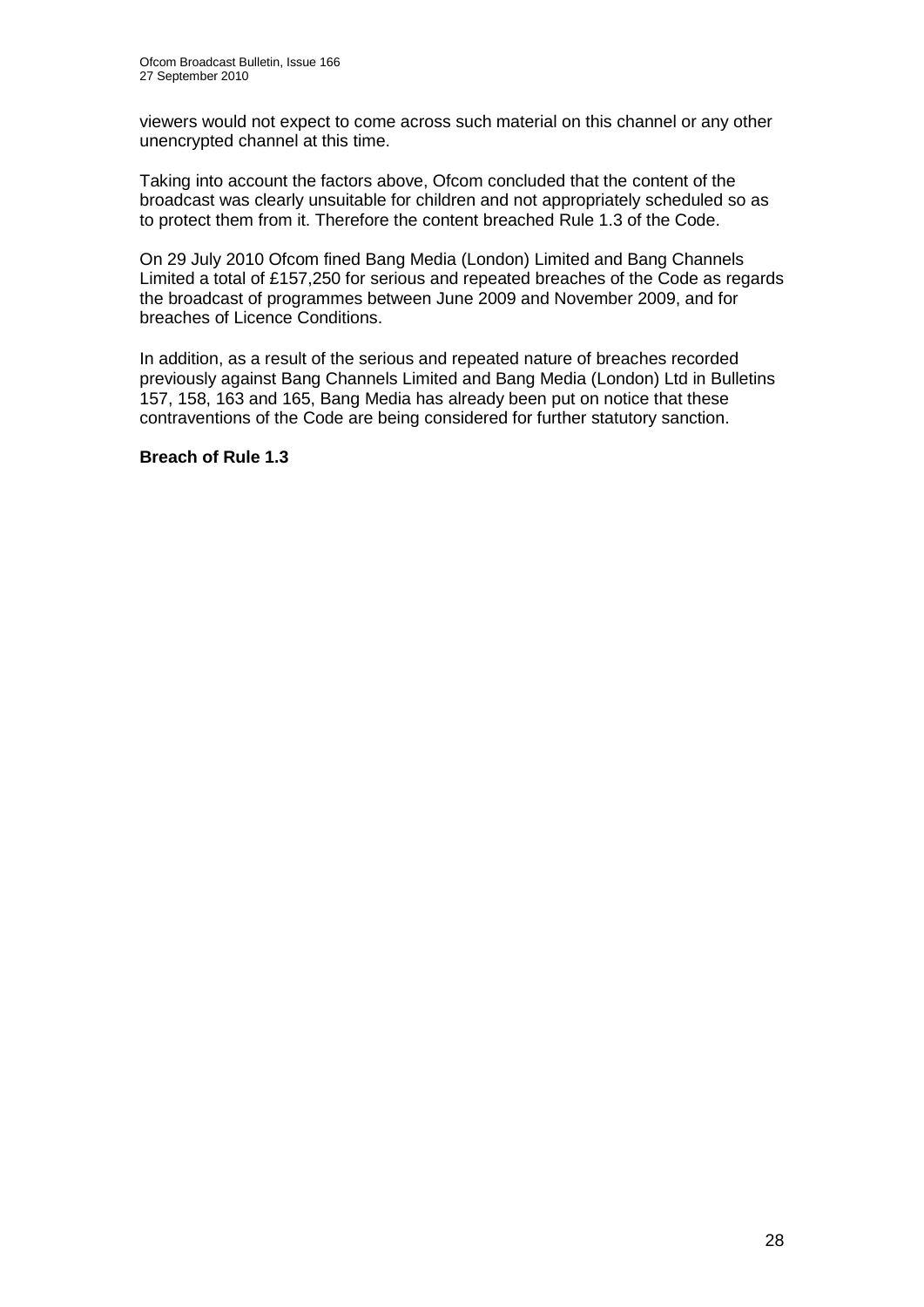viewers would not expect to come across such material on this channel or any other unencrypted channel at this time.

Taking into account the factors above, Ofcom concluded that the content of the broadcast was clearly unsuitable for children and not appropriately scheduled so as to protect them from it. Therefore the content breached Rule 1.3 of the Code.

On 29 July 2010 Ofcom fined Bang Media (London) Limited and Bang Channels Limited a total of £157,250 for serious and repeated breaches of the Code as regards the broadcast of programmes between June 2009 and November 2009, and for breaches of Licence Conditions.

In addition, as a result of the serious and repeated nature of breaches recorded previously against Bang Channels Limited and Bang Media (London) Ltd in Bulletins 157, 158, 163 and 165, Bang Media has already been put on notice that these contraventions of the Code are being considered for further statutory sanction.

#### **Breach of Rule 1.3**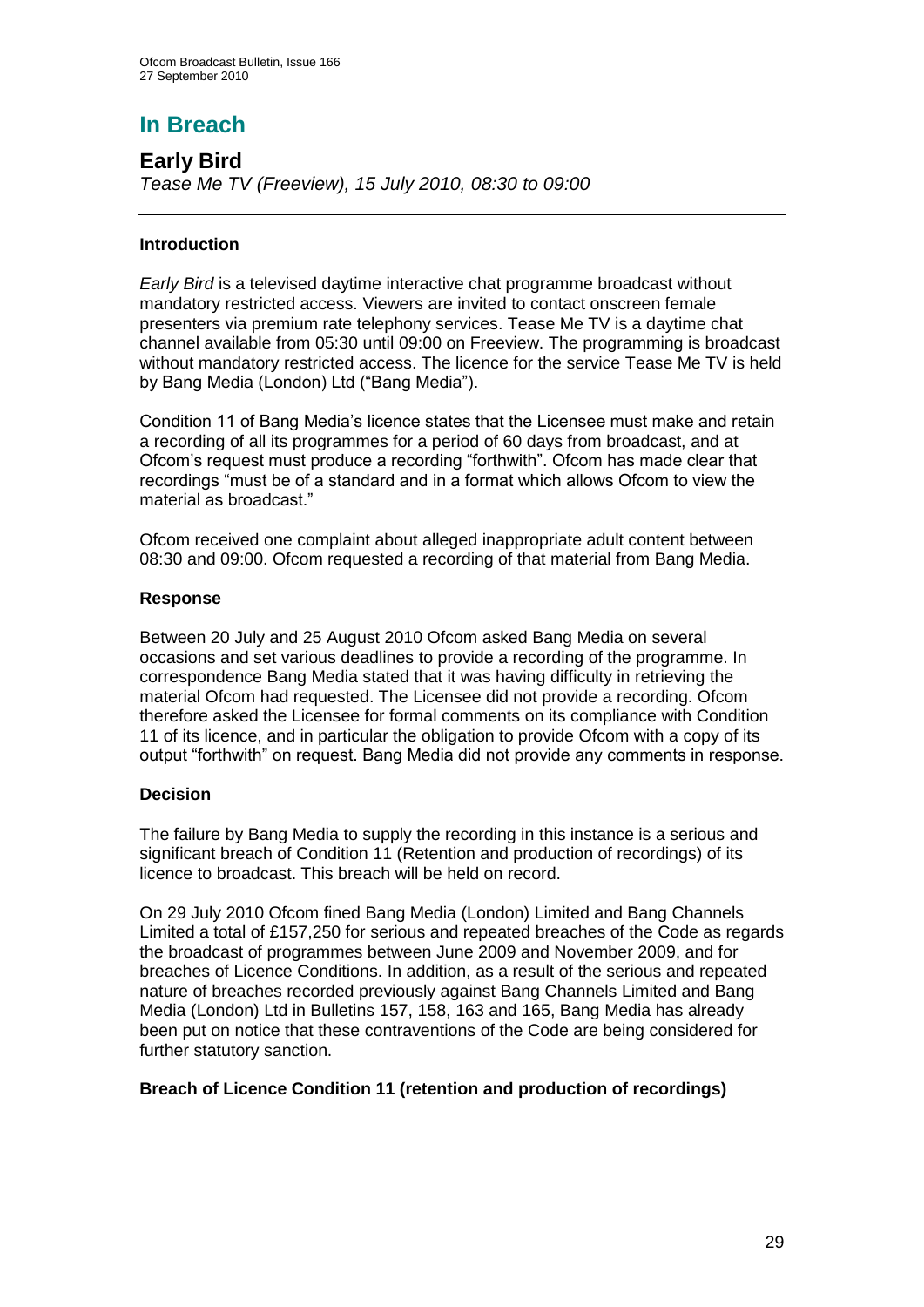# **In Breach**

**Early Bird** *Tease Me TV (Freeview), 15 July 2010, 08:30 to 09:00*

## **Introduction**

*Early Bird* is a televised daytime interactive chat programme broadcast without mandatory restricted access. Viewers are invited to contact onscreen female presenters via premium rate telephony services. Tease Me TV is a daytime chat channel available from 05:30 until 09:00 on Freeview. The programming is broadcast without mandatory restricted access. The licence for the service Tease Me TV is held by Bang Media (London) Ltd ("Bang Media").

Condition 11 of Bang Media"s licence states that the Licensee must make and retain a recording of all its programmes for a period of 60 days from broadcast, and at Ofcom"s request must produce a recording "forthwith". Ofcom has made clear that recordings "must be of a standard and in a format which allows Ofcom to view the material as broadcast."

Ofcom received one complaint about alleged inappropriate adult content between 08:30 and 09:00. Ofcom requested a recording of that material from Bang Media.

## **Response**

Between 20 July and 25 August 2010 Ofcom asked Bang Media on several occasions and set various deadlines to provide a recording of the programme. In correspondence Bang Media stated that it was having difficulty in retrieving the material Ofcom had requested. The Licensee did not provide a recording. Ofcom therefore asked the Licensee for formal comments on its compliance with Condition 11 of its licence, and in particular the obligation to provide Ofcom with a copy of its output "forthwith" on request. Bang Media did not provide any comments in response.

## **Decision**

The failure by Bang Media to supply the recording in this instance is a serious and significant breach of Condition 11 (Retention and production of recordings) of its licence to broadcast. This breach will be held on record.

On 29 July 2010 Ofcom fined Bang Media (London) Limited and Bang Channels Limited a total of £157,250 for serious and repeated breaches of the Code as regards the broadcast of programmes between June 2009 and November 2009, and for breaches of Licence Conditions. In addition, as a result of the serious and repeated nature of breaches recorded previously against Bang Channels Limited and Bang Media (London) Ltd in Bulletins 157, 158, 163 and 165, Bang Media has already been put on notice that these contraventions of the Code are being considered for further statutory sanction.

## **Breach of Licence Condition 11 (retention and production of recordings)**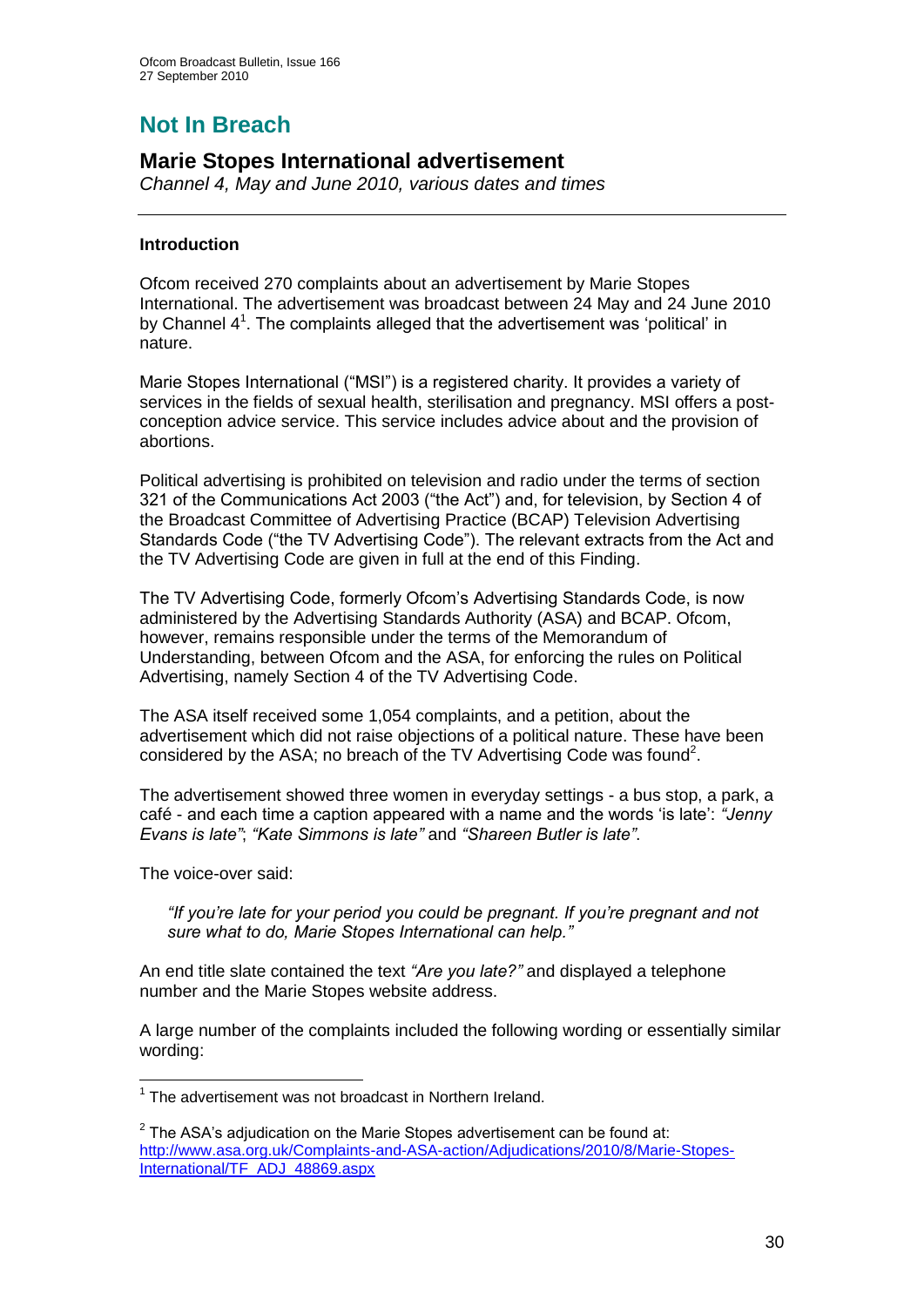# **Not In Breach**

## **Marie Stopes International advertisement**

*Channel 4, May and June 2010, various dates and times*

#### **Introduction**

Ofcom received 270 complaints about an advertisement by Marie Stopes International. The advertisement was broadcast between 24 May and 24 June 2010 by Channel  $4<sup>1</sup>$ . The complaints alleged that the advertisement was 'political' in nature.

Marie Stopes International ("MSI") is a registered charity. It provides a variety of services in the fields of sexual health, sterilisation and pregnancy. MSI offers a postconception advice service. This service includes advice about and the provision of abortions.

Political advertising is prohibited on television and radio under the terms of section 321 of the Communications Act 2003 ("the Act") and, for television, by Section 4 of the Broadcast Committee of Advertising Practice (BCAP) Television Advertising Standards Code ("the TV Advertising Code"). The relevant extracts from the Act and the TV Advertising Code are given in full at the end of this Finding.

The TV Advertising Code, formerly Ofcom"s Advertising Standards Code, is now administered by the Advertising Standards Authority (ASA) and BCAP. Ofcom, however, remains responsible under the terms of the Memorandum of Understanding, between Ofcom and the ASA, for enforcing the rules on Political Advertising, namely Section 4 of the TV Advertising Code.

The ASA itself received some 1,054 complaints, and a petition, about the advertisement which did not raise objections of a political nature. These have been considered by the ASA; no breach of the TV Advertising Code was found<sup>2</sup>.

The advertisement showed three women in everyday settings - a bus stop, a park, a café - and each time a caption appeared with a name and the words "is late": *―Jenny Evans is late‖*; *―Kate Simmons is late‖* and *―Shareen Butler is late‖*.

The voice-over said:

1

*―If you're late for your period you could be pregnant. If you're pregnant and not sure what to do, Marie Stopes International can help.‖*

An end title slate contained the text "Are you late?" and displayed a telephone number and the Marie Stopes website address.

A large number of the complaints included the following wording or essentially similar wording:

<sup>&</sup>lt;sup>1</sup> The advertisement was not broadcast in Northern Ireland.

 $2$  The ASA's adjudication on the Marie Stopes advertisement can be found at: [http://www.asa.org.uk/Complaints-and-ASA-action/Adjudications/2010/8/Marie-Stopes-](http://www.asa.org.uk/Complaints-and-ASA-action/Adjudications/2010/8/Marie-Stopes-International/TF_ADJ_48869.aspx)[International/TF\\_ADJ\\_48869.aspx](http://www.asa.org.uk/Complaints-and-ASA-action/Adjudications/2010/8/Marie-Stopes-International/TF_ADJ_48869.aspx)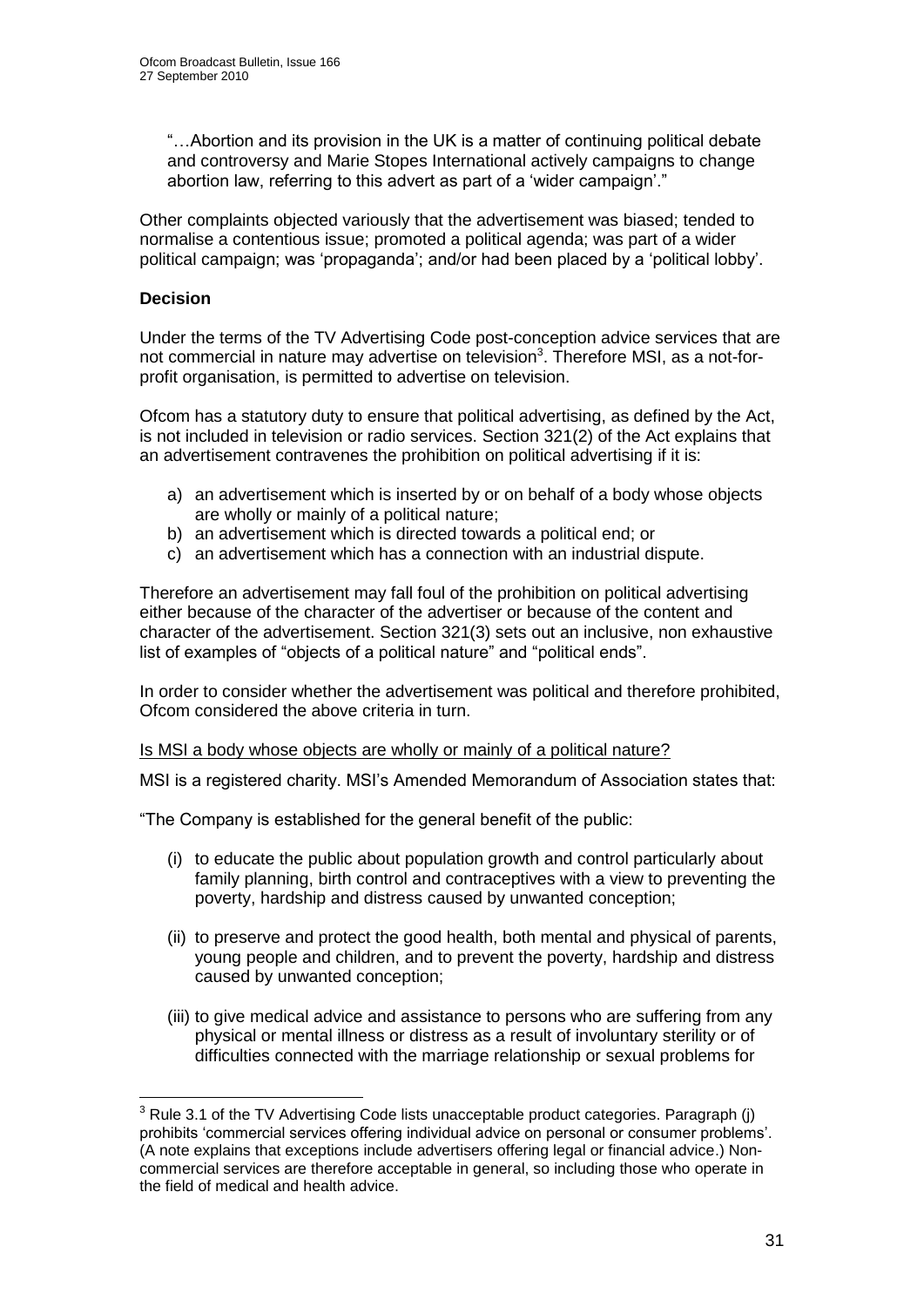"…Abortion and its provision in the UK is a matter of continuing political debate and controversy and Marie Stopes International actively campaigns to change abortion law, referring to this advert as part of a "wider campaign"."

Other complaints objected variously that the advertisement was biased; tended to normalise a contentious issue; promoted a political agenda; was part of a wider political campaign; was "propaganda"; and/or had been placed by a "political lobby".

#### **Decision**

1

Under the terms of the TV Advertising Code post-conception advice services that are not commercial in nature may advertise on television $3$ . Therefore MSI, as a not-forprofit organisation, is permitted to advertise on television.

Ofcom has a statutory duty to ensure that political advertising, as defined by the Act, is not included in television or radio services. Section 321(2) of the Act explains that an advertisement contravenes the prohibition on political advertising if it is:

- a) an advertisement which is inserted by or on behalf of a body whose objects are wholly or mainly of a political nature;
- b) an advertisement which is directed towards a political end; or
- c) an advertisement which has a connection with an industrial dispute.

Therefore an advertisement may fall foul of the prohibition on political advertising either because of the character of the advertiser or because of the content and character of the advertisement. Section 321(3) sets out an inclusive, non exhaustive list of examples of "objects of a political nature" and "political ends".

In order to consider whether the advertisement was political and therefore prohibited, Ofcom considered the above criteria in turn.

#### Is MSI a body whose objects are wholly or mainly of a political nature?

MSI is a registered charity. MSI"s Amended Memorandum of Association states that:

"The Company is established for the general benefit of the public:

- (i) to educate the public about population growth and control particularly about family planning, birth control and contraceptives with a view to preventing the poverty, hardship and distress caused by unwanted conception;
- (ii) to preserve and protect the good health, both mental and physical of parents, young people and children, and to prevent the poverty, hardship and distress caused by unwanted conception;
- (iii) to give medical advice and assistance to persons who are suffering from any physical or mental illness or distress as a result of involuntary sterility or of difficulties connected with the marriage relationship or sexual problems for

 $3$  Rule 3.1 of the TV Advertising Code lists unacceptable product categories. Paragraph (j) prohibits "commercial services offering individual advice on personal or consumer problems". (A note explains that exceptions include advertisers offering legal or financial advice.) Noncommercial services are therefore acceptable in general, so including those who operate in the field of medical and health advice.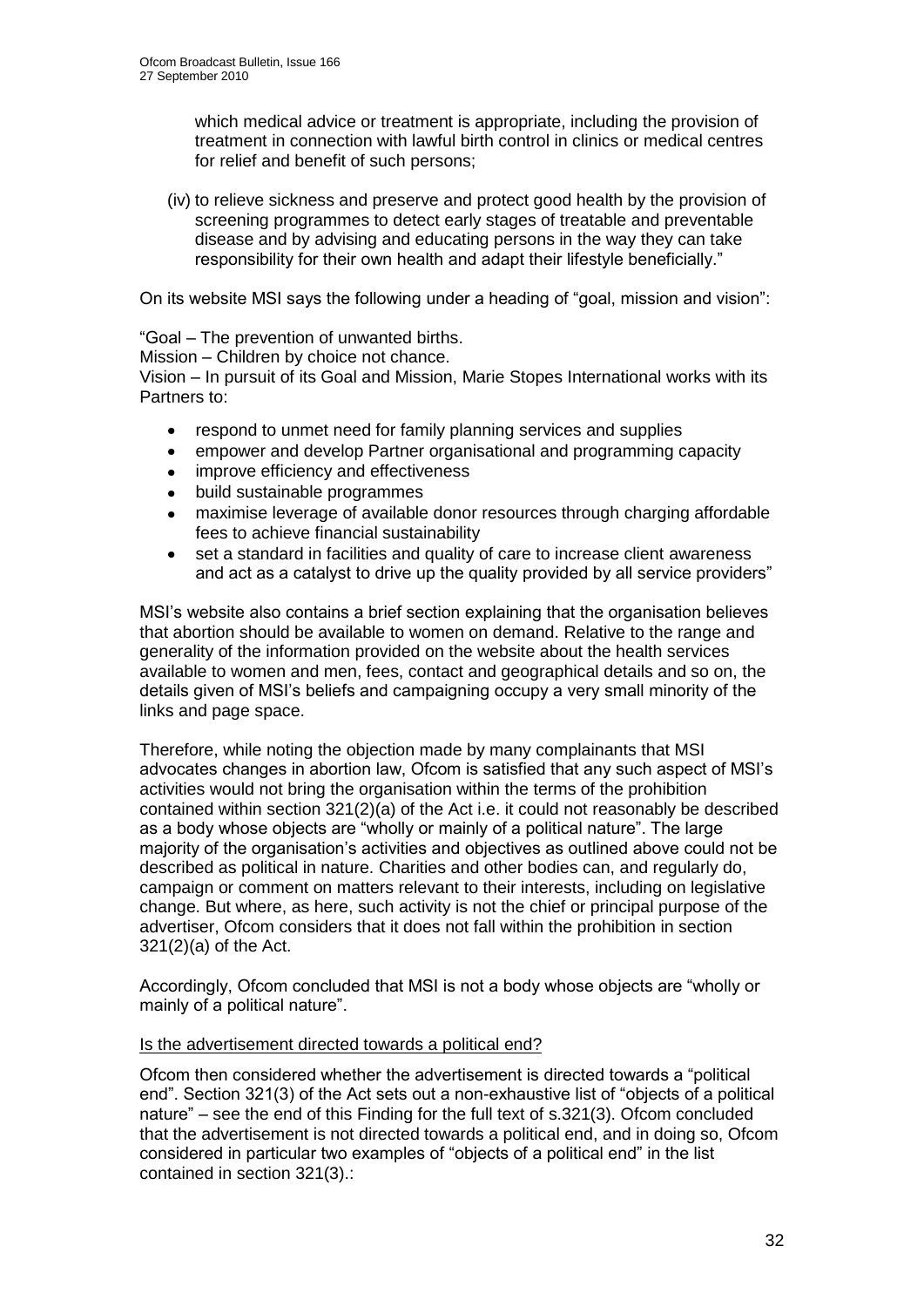which medical advice or treatment is appropriate, including the provision of treatment in connection with lawful birth control in clinics or medical centres for relief and benefit of such persons;

(iv) to relieve sickness and preserve and protect good health by the provision of screening programmes to detect early stages of treatable and preventable disease and by advising and educating persons in the way they can take responsibility for their own health and adapt their lifestyle beneficially."

On its website MSI says the following under a heading of "goal, mission and vision":

"Goal – The prevention of unwanted births.

Mission – Children by choice not chance.

Vision – In pursuit of its Goal and Mission, Marie Stopes International works with its Partners to:

- respond to unmet need for family planning services and supplies  $\bullet$
- empower and develop Partner organisational and programming capacity
- improve efficiency and effectiveness
- build sustainable programmes
- maximise leverage of available donor resources through charging affordable fees to achieve financial sustainability
- set a standard in facilities and quality of care to increase client awareness and act as a catalyst to drive up the quality provided by all service providers"

MSI"s website also contains a brief section explaining that the organisation believes that abortion should be available to women on demand. Relative to the range and generality of the information provided on the website about the health services available to women and men, fees, contact and geographical details and so on, the details given of MSI"s beliefs and campaigning occupy a very small minority of the links and page space.

Therefore, while noting the objection made by many complainants that MSI advocates changes in abortion law, Ofcom is satisfied that any such aspect of MSI"s activities would not bring the organisation within the terms of the prohibition contained within section 321(2)(a) of the Act i.e. it could not reasonably be described as a body whose objects are "wholly or mainly of a political nature". The large majority of the organisation"s activities and objectives as outlined above could not be described as political in nature. Charities and other bodies can, and regularly do, campaign or comment on matters relevant to their interests, including on legislative change. But where, as here, such activity is not the chief or principal purpose of the advertiser, Ofcom considers that it does not fall within the prohibition in section 321(2)(a) of the Act.

Accordingly, Ofcom concluded that MSI is not a body whose objects are "wholly or mainly of a political nature".

#### Is the advertisement directed towards a political end?

Ofcom then considered whether the advertisement is directed towards a "political end". Section 321(3) of the Act sets out a non-exhaustive list of "objects of a political nature" – see the end of this Finding for the full text of s.321(3). Ofcom concluded that the advertisement is not directed towards a political end, and in doing so, Ofcom considered in particular two examples of "objects of a political end" in the list contained in section 321(3).: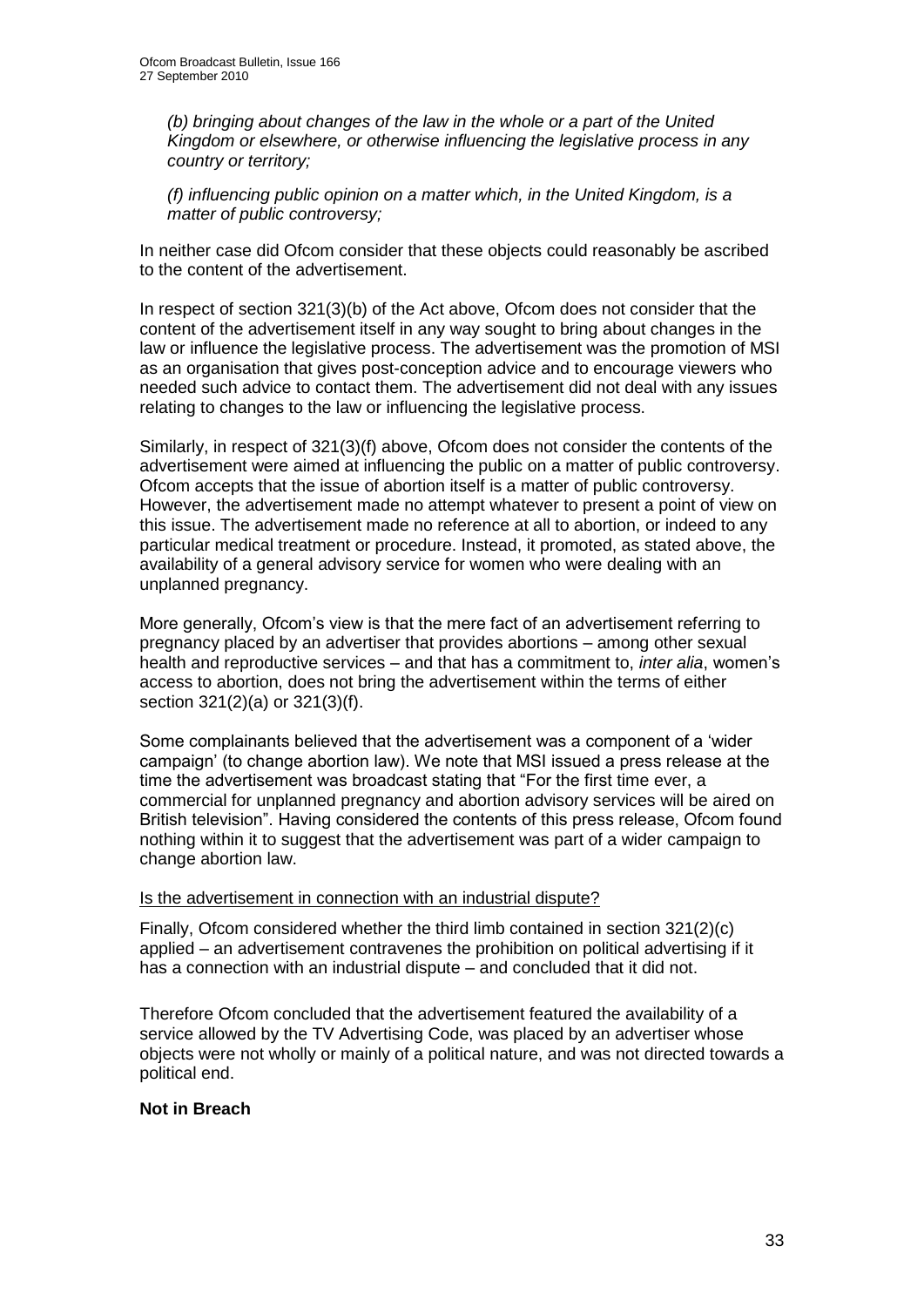*(b) bringing about changes of the law in the whole or a part of the United Kingdom or elsewhere, or otherwise influencing the legislative process in any country or territory;*

*(f) influencing public opinion on a matter which, in the United Kingdom, is a matter of public controversy;*

In neither case did Ofcom consider that these objects could reasonably be ascribed to the content of the advertisement.

In respect of section 321(3)(b) of the Act above, Ofcom does not consider that the content of the advertisement itself in any way sought to bring about changes in the law or influence the legislative process. The advertisement was the promotion of MSI as an organisation that gives post-conception advice and to encourage viewers who needed such advice to contact them. The advertisement did not deal with any issues relating to changes to the law or influencing the legislative process.

Similarly, in respect of 321(3)(f) above, Ofcom does not consider the contents of the advertisement were aimed at influencing the public on a matter of public controversy. Ofcom accepts that the issue of abortion itself is a matter of public controversy. However, the advertisement made no attempt whatever to present a point of view on this issue. The advertisement made no reference at all to abortion, or indeed to any particular medical treatment or procedure. Instead, it promoted, as stated above, the availability of a general advisory service for women who were dealing with an unplanned pregnancy.

More generally, Ofcom"s view is that the mere fact of an advertisement referring to pregnancy placed by an advertiser that provides abortions – among other sexual health and reproductive services – and that has a commitment to, *inter alia*, women"s access to abortion, does not bring the advertisement within the terms of either section 321(2)(a) or 321(3)(f).

Some complainants believed that the advertisement was a component of a "wider campaign" (to change abortion law). We note that MSI issued a press release at the time the advertisement was broadcast stating that "For the first time ever, a commercial for unplanned pregnancy and abortion advisory services will be aired on British television". Having considered the contents of this press release, Ofcom found nothing within it to suggest that the advertisement was part of a wider campaign to change abortion law.

#### Is the advertisement in connection with an industrial dispute?

Finally, Ofcom considered whether the third limb contained in section 321(2)(c) applied – an advertisement contravenes the prohibition on political advertising if it has a connection with an industrial dispute – and concluded that it did not.

Therefore Ofcom concluded that the advertisement featured the availability of a service allowed by the TV Advertising Code, was placed by an advertiser whose objects were not wholly or mainly of a political nature, and was not directed towards a political end.

#### **Not in Breach**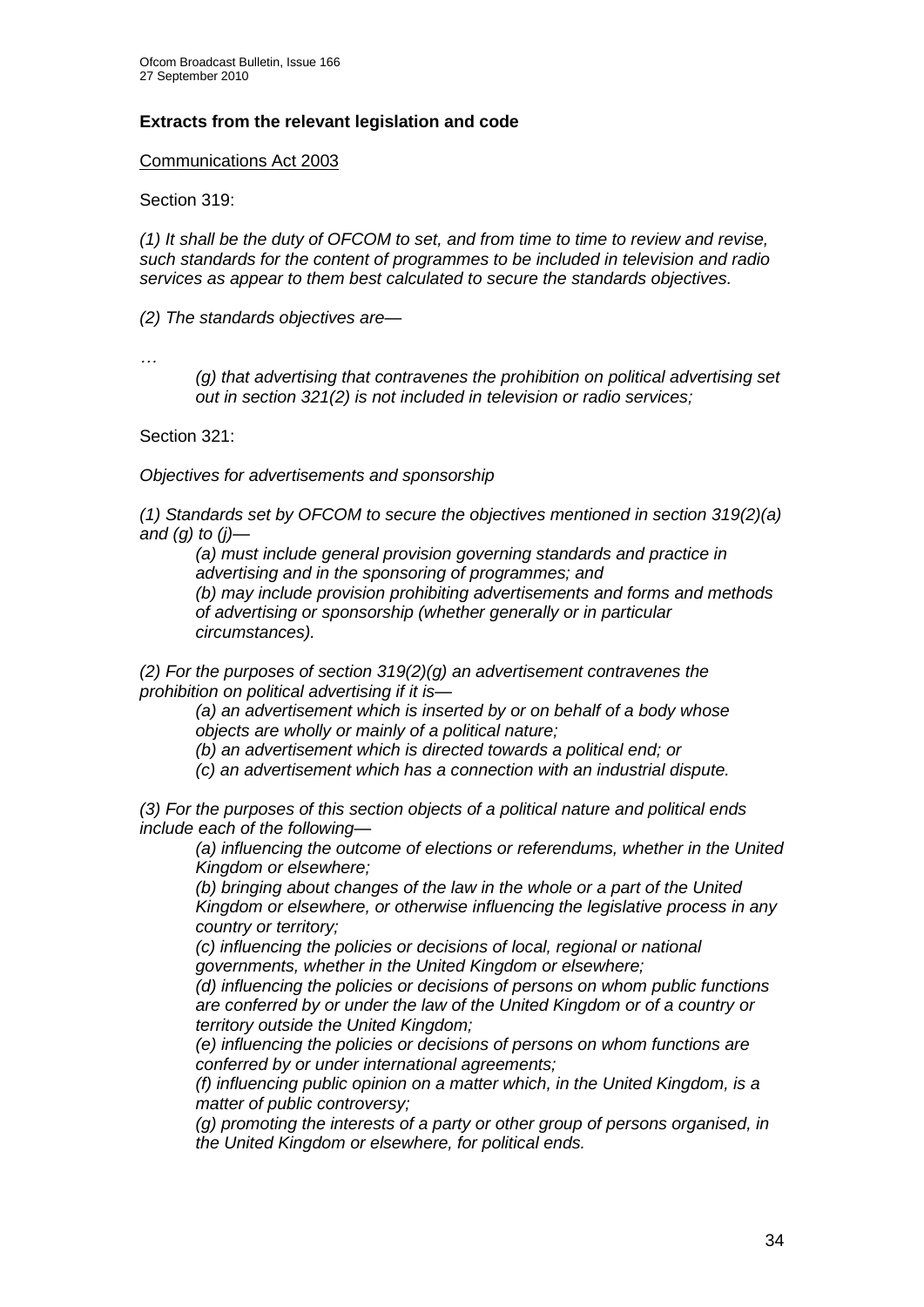#### **Extracts from the relevant legislation and code**

Communications Act 2003

Section 319:

*(1) It shall be the duty of OFCOM to set, and from time to time to review and revise, such standards for the content of programmes to be included in television and radio services as appear to them best calculated to secure the standards objectives.*

*(2) The standards objectives are—*

*…*

*(g) that advertising that contravenes the prohibition on political advertising set out in section 321(2) is not included in television or radio services;*

Section 321:

*Objectives for advertisements and sponsorship*

*(1) Standards set by OFCOM to secure the objectives mentioned in section 319(2)(a) and (g) to (j)—*

*(a) must include general provision governing standards and practice in advertising and in the sponsoring of programmes; and (b) may include provision prohibiting advertisements and forms and methods of advertising or sponsorship (whether generally or in particular circumstances).*

*(2) For the purposes of section 319(2)(g) an advertisement contravenes the prohibition on political advertising if it is—*

*(a) an advertisement which is inserted by or on behalf of a body whose objects are wholly or mainly of a political nature;*

*(b) an advertisement which is directed towards a political end; or*

*(c) an advertisement which has a connection with an industrial dispute.*

*(3) For the purposes of this section objects of a political nature and political ends include each of the following—*

*(a) influencing the outcome of elections or referendums, whether in the United Kingdom or elsewhere;*

*(b) bringing about changes of the law in the whole or a part of the United Kingdom or elsewhere, or otherwise influencing the legislative process in any country or territory;*

*(c) influencing the policies or decisions of local, regional or national governments, whether in the United Kingdom or elsewhere;*

*(d) influencing the policies or decisions of persons on whom public functions are conferred by or under the law of the United Kingdom or of a country or territory outside the United Kingdom;*

*(e) influencing the policies or decisions of persons on whom functions are conferred by or under international agreements;*

*(f) influencing public opinion on a matter which, in the United Kingdom, is a matter of public controversy;*

*(g) promoting the interests of a party or other group of persons organised, in the United Kingdom or elsewhere, for political ends.*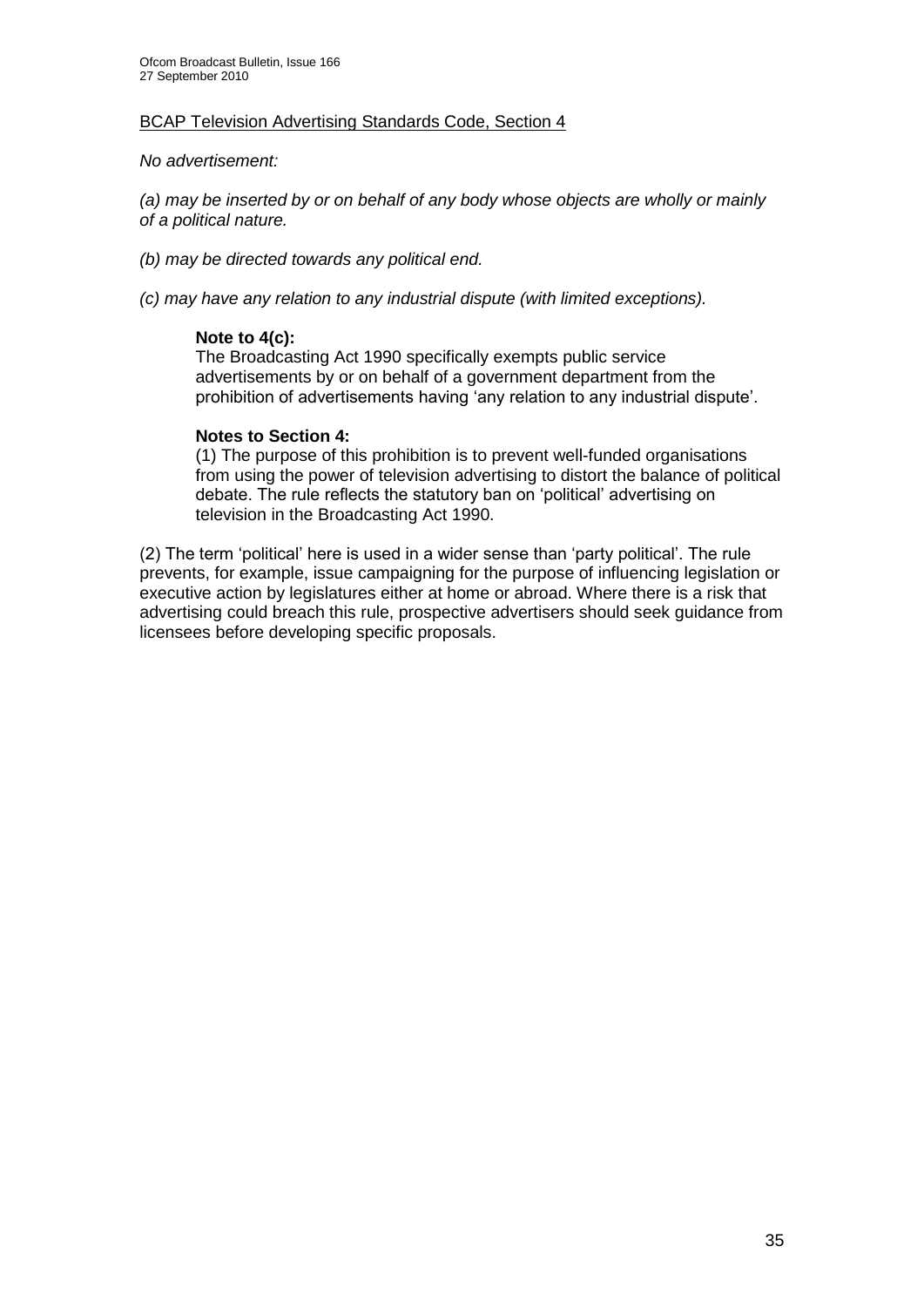#### BCAP Television Advertising Standards Code, Section 4

*No advertisement:*

*(a) may be inserted by or on behalf of any body whose objects are wholly or mainly of a political nature.*

*(b) may be directed towards any political end.*

*(c) may have any relation to any industrial dispute (with limited exceptions).*

#### **Note to 4(c):**

The Broadcasting Act 1990 specifically exempts public service advertisements by or on behalf of a government department from the prohibition of advertisements having "any relation to any industrial dispute".

#### **Notes to Section 4:**

(1) The purpose of this prohibition is to prevent well-funded organisations from using the power of television advertising to distort the balance of political debate. The rule reflects the statutory ban on "political" advertising on television in the Broadcasting Act 1990.

(2) The term "political" here is used in a wider sense than "party political". The rule prevents, for example, issue campaigning for the purpose of influencing legislation or executive action by legislatures either at home or abroad. Where there is a risk that advertising could breach this rule, prospective advertisers should seek guidance from licensees before developing specific proposals.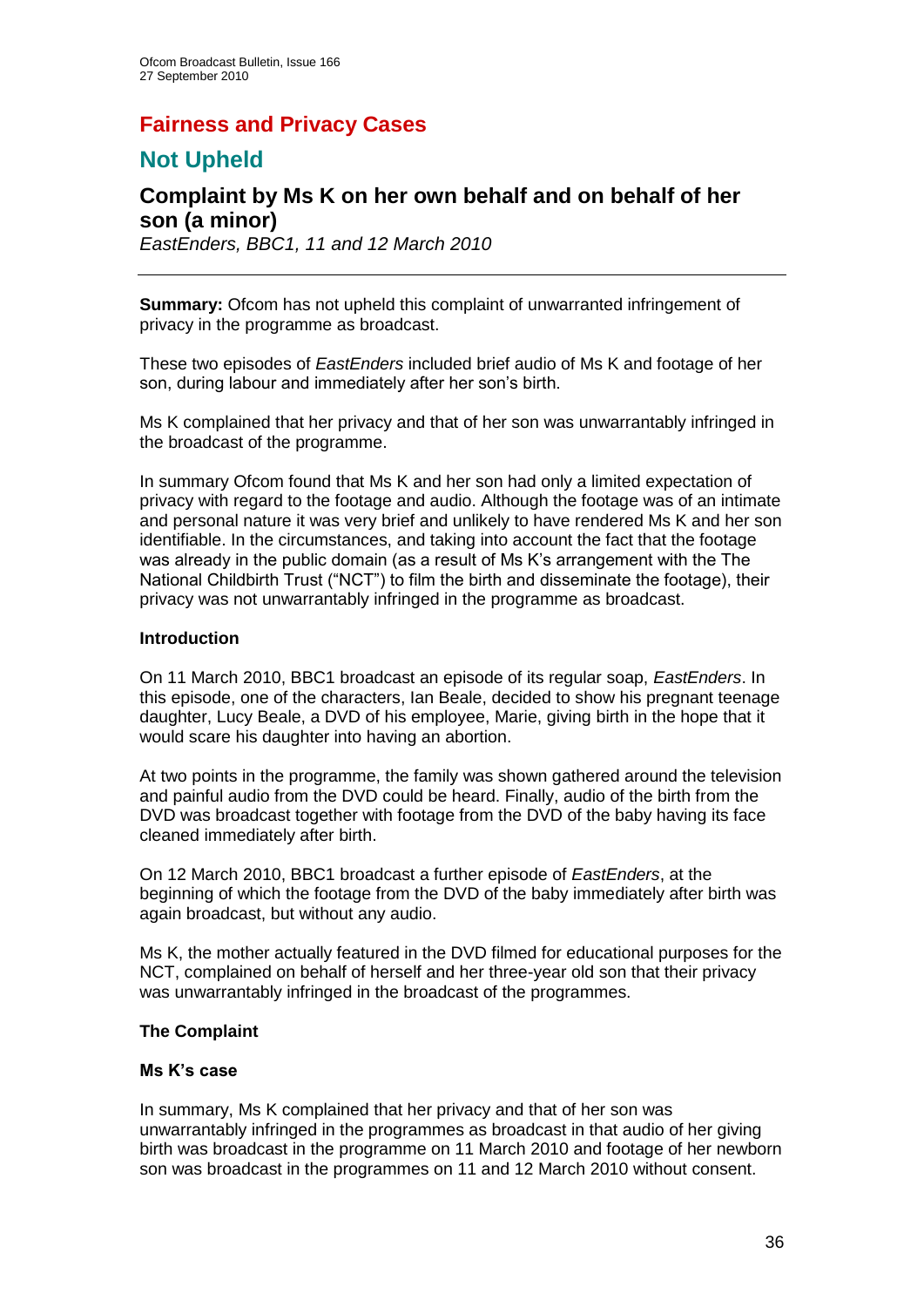## **Fairness and Privacy Cases**

## **Not Upheld**

## **Complaint by Ms K on her own behalf and on behalf of her son (a minor)**

*EastEnders, BBC1, 11 and 12 March 2010*

**Summary:** Ofcom has not upheld this complaint of unwarranted infringement of privacy in the programme as broadcast.

These two episodes of *EastEnders* included brief audio of Ms K and footage of her son, during labour and immediately after her son's birth.

Ms K complained that her privacy and that of her son was unwarrantably infringed in the broadcast of the programme.

In summary Ofcom found that Ms K and her son had only a limited expectation of privacy with regard to the footage and audio. Although the footage was of an intimate and personal nature it was very brief and unlikely to have rendered Ms K and her son identifiable. In the circumstances, and taking into account the fact that the footage was already in the public domain (as a result of Ms K"s arrangement with the The National Childbirth Trust ("NCT") to film the birth and disseminate the footage), their privacy was not unwarrantably infringed in the programme as broadcast.

#### **Introduction**

On 11 March 2010, BBC1 broadcast an episode of its regular soap, *EastEnders*. In this episode, one of the characters, Ian Beale, decided to show his pregnant teenage daughter, Lucy Beale, a DVD of his employee, Marie, giving birth in the hope that it would scare his daughter into having an abortion.

At two points in the programme, the family was shown gathered around the television and painful audio from the DVD could be heard. Finally, audio of the birth from the DVD was broadcast together with footage from the DVD of the baby having its face cleaned immediately after birth.

On 12 March 2010, BBC1 broadcast a further episode of *EastEnders*, at the beginning of which the footage from the DVD of the baby immediately after birth was again broadcast, but without any audio.

Ms K, the mother actually featured in the DVD filmed for educational purposes for the NCT, complained on behalf of herself and her three-year old son that their privacy was unwarrantably infringed in the broadcast of the programmes.

#### **The Complaint**

#### **Ms K's case**

In summary, Ms K complained that her privacy and that of her son was unwarrantably infringed in the programmes as broadcast in that audio of her giving birth was broadcast in the programme on 11 March 2010 and footage of her newborn son was broadcast in the programmes on 11 and 12 March 2010 without consent.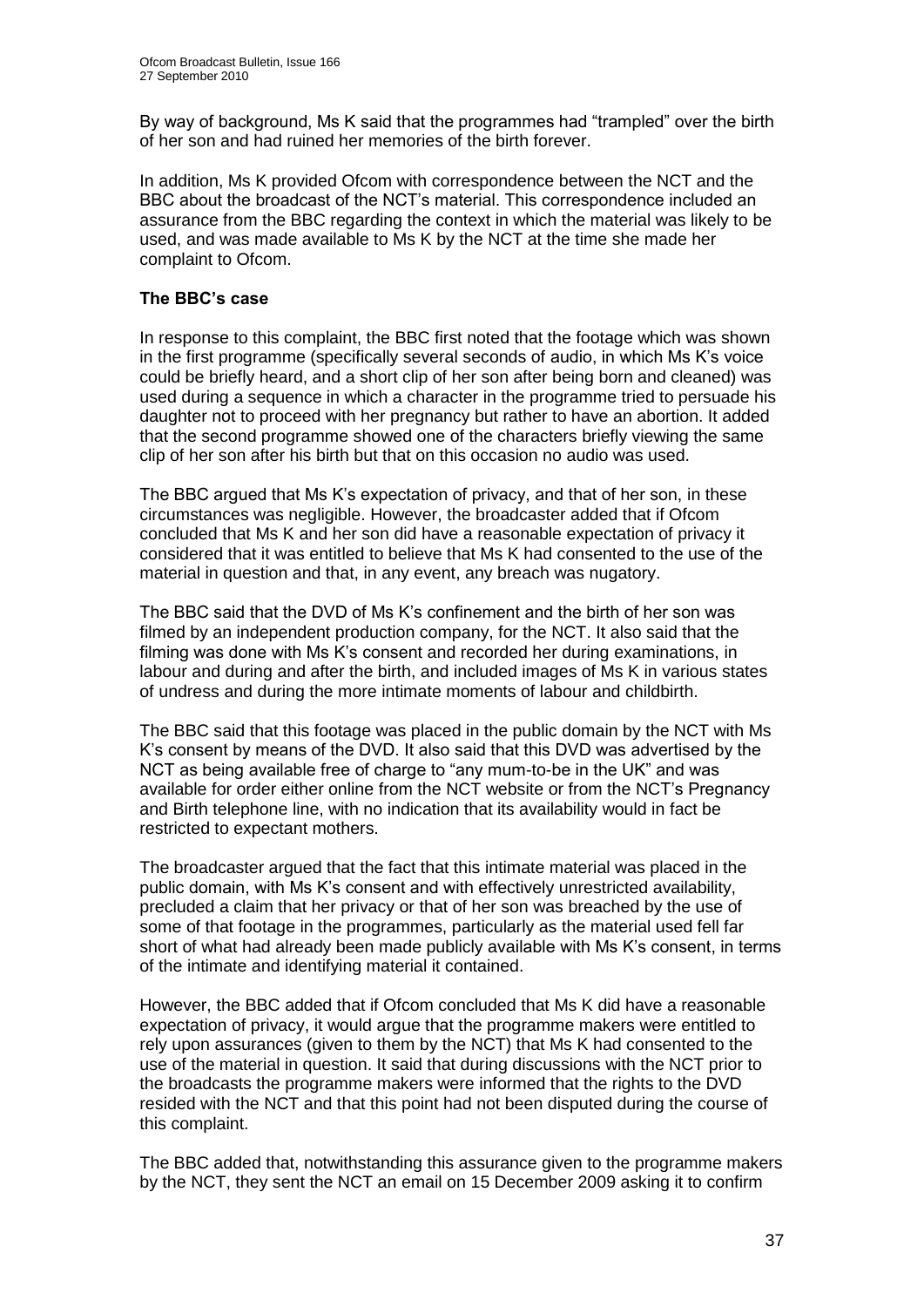By way of background, Ms K said that the programmes had "trampled" over the birth of her son and had ruined her memories of the birth forever.

In addition, Ms K provided Ofcom with correspondence between the NCT and the BBC about the broadcast of the NCT"s material. This correspondence included an assurance from the BBC regarding the context in which the material was likely to be used, and was made available to Ms K by the NCT at the time she made her complaint to Ofcom.

#### **The BBC's case**

In response to this complaint, the BBC first noted that the footage which was shown in the first programme (specifically several seconds of audio, in which Ms K"s voice could be briefly heard, and a short clip of her son after being born and cleaned) was used during a sequence in which a character in the programme tried to persuade his daughter not to proceed with her pregnancy but rather to have an abortion. It added that the second programme showed one of the characters briefly viewing the same clip of her son after his birth but that on this occasion no audio was used.

The BBC argued that Ms K"s expectation of privacy, and that of her son, in these circumstances was negligible. However, the broadcaster added that if Ofcom concluded that Ms K and her son did have a reasonable expectation of privacy it considered that it was entitled to believe that Ms K had consented to the use of the material in question and that, in any event, any breach was nugatory.

The BBC said that the DVD of Ms K"s confinement and the birth of her son was filmed by an independent production company, for the NCT. It also said that the filming was done with Ms K"s consent and recorded her during examinations, in labour and during and after the birth, and included images of Ms K in various states of undress and during the more intimate moments of labour and childbirth.

The BBC said that this footage was placed in the public domain by the NCT with Ms K"s consent by means of the DVD. It also said that this DVD was advertised by the NCT as being available free of charge to "any mum-to-be in the UK" and was available for order either online from the NCT website or from the NCT"s Pregnancy and Birth telephone line, with no indication that its availability would in fact be restricted to expectant mothers.

The broadcaster argued that the fact that this intimate material was placed in the public domain, with Ms K"s consent and with effectively unrestricted availability, precluded a claim that her privacy or that of her son was breached by the use of some of that footage in the programmes, particularly as the material used fell far short of what had already been made publicly available with Ms K"s consent, in terms of the intimate and identifying material it contained.

However, the BBC added that if Ofcom concluded that Ms K did have a reasonable expectation of privacy, it would argue that the programme makers were entitled to rely upon assurances (given to them by the NCT) that Ms K had consented to the use of the material in question. It said that during discussions with the NCT prior to the broadcasts the programme makers were informed that the rights to the DVD resided with the NCT and that this point had not been disputed during the course of this complaint.

The BBC added that, notwithstanding this assurance given to the programme makers by the NCT, they sent the NCT an email on 15 December 2009 asking it to confirm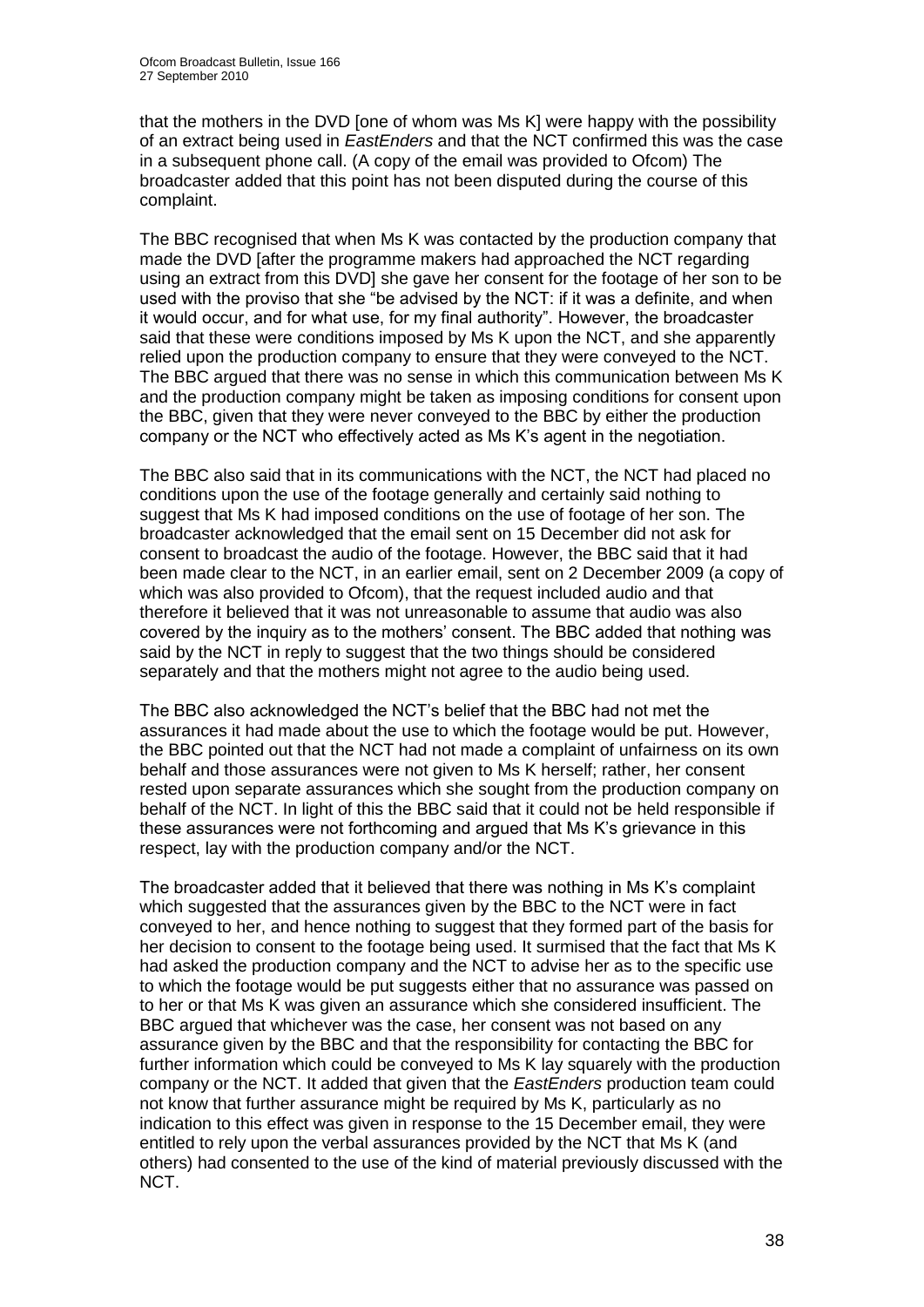that the mothers in the DVD [one of whom was Ms K] were happy with the possibility of an extract being used in *EastEnders* and that the NCT confirmed this was the case in a subsequent phone call. (A copy of the email was provided to Ofcom) The broadcaster added that this point has not been disputed during the course of this complaint.

The BBC recognised that when Ms K was contacted by the production company that made the DVD [after the programme makers had approached the NCT regarding using an extract from this DVD] she gave her consent for the footage of her son to be used with the proviso that she "be advised by the NCT: if it was a definite, and when it would occur, and for what use, for my final authority". However, the broadcaster said that these were conditions imposed by Ms K upon the NCT, and she apparently relied upon the production company to ensure that they were conveyed to the NCT. The BBC argued that there was no sense in which this communication between Ms K and the production company might be taken as imposing conditions for consent upon the BBC, given that they were never conveyed to the BBC by either the production company or the NCT who effectively acted as Ms K"s agent in the negotiation.

The BBC also said that in its communications with the NCT, the NCT had placed no conditions upon the use of the footage generally and certainly said nothing to suggest that Ms K had imposed conditions on the use of footage of her son. The broadcaster acknowledged that the email sent on 15 December did not ask for consent to broadcast the audio of the footage. However, the BBC said that it had been made clear to the NCT, in an earlier email, sent on 2 December 2009 (a copy of which was also provided to Ofcom), that the request included audio and that therefore it believed that it was not unreasonable to assume that audio was also covered by the inquiry as to the mothers" consent. The BBC added that nothing was said by the NCT in reply to suggest that the two things should be considered separately and that the mothers might not agree to the audio being used.

The BBC also acknowledged the NCT"s belief that the BBC had not met the assurances it had made about the use to which the footage would be put. However, the BBC pointed out that the NCT had not made a complaint of unfairness on its own behalf and those assurances were not given to Ms K herself; rather, her consent rested upon separate assurances which she sought from the production company on behalf of the NCT. In light of this the BBC said that it could not be held responsible if these assurances were not forthcoming and argued that Ms K"s grievance in this respect, lay with the production company and/or the NCT.

The broadcaster added that it believed that there was nothing in Ms K"s complaint which suggested that the assurances given by the BBC to the NCT were in fact conveyed to her, and hence nothing to suggest that they formed part of the basis for her decision to consent to the footage being used. It surmised that the fact that Ms K had asked the production company and the NCT to advise her as to the specific use to which the footage would be put suggests either that no assurance was passed on to her or that Ms K was given an assurance which she considered insufficient. The BBC argued that whichever was the case, her consent was not based on any assurance given by the BBC and that the responsibility for contacting the BBC for further information which could be conveyed to Ms K lay squarely with the production company or the NCT. It added that given that the *EastEnders* production team could not know that further assurance might be required by Ms K, particularly as no indication to this effect was given in response to the 15 December email, they were entitled to rely upon the verbal assurances provided by the NCT that Ms K (and others) had consented to the use of the kind of material previously discussed with the NCT.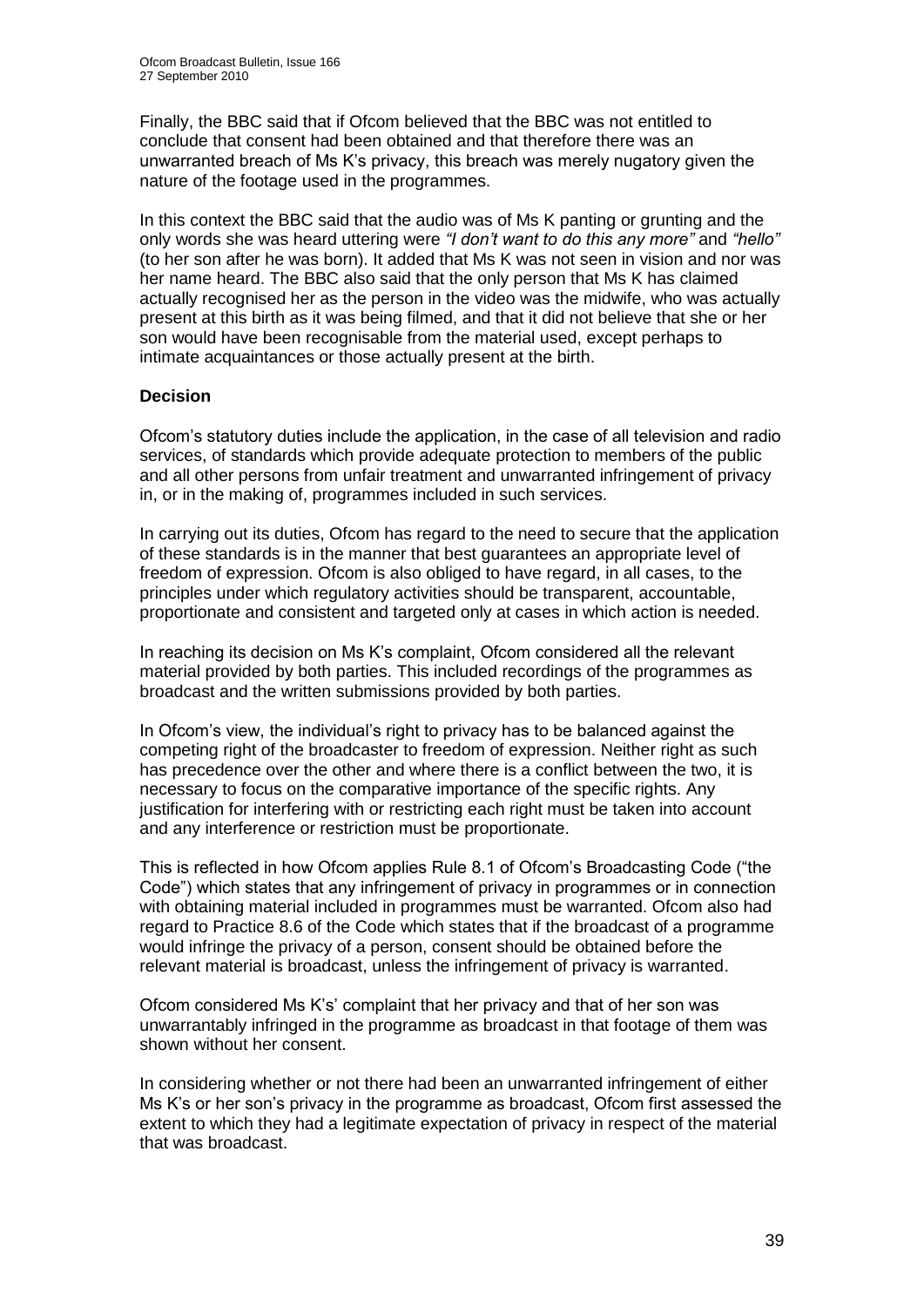Finally, the BBC said that if Ofcom believed that the BBC was not entitled to conclude that consent had been obtained and that therefore there was an unwarranted breach of Ms K"s privacy, this breach was merely nugatory given the nature of the footage used in the programmes.

In this context the BBC said that the audio was of Ms K panting or grunting and the only words she was heard uttering were "I don't want to do this any more" and "hello" (to her son after he was born). It added that Ms K was not seen in vision and nor was her name heard. The BBC also said that the only person that Ms K has claimed actually recognised her as the person in the video was the midwife, who was actually present at this birth as it was being filmed, and that it did not believe that she or her son would have been recognisable from the material used, except perhaps to intimate acquaintances or those actually present at the birth.

#### **Decision**

Ofcom"s statutory duties include the application, in the case of all television and radio services, of standards which provide adequate protection to members of the public and all other persons from unfair treatment and unwarranted infringement of privacy in, or in the making of, programmes included in such services.

In carrying out its duties, Ofcom has regard to the need to secure that the application of these standards is in the manner that best guarantees an appropriate level of freedom of expression. Ofcom is also obliged to have regard, in all cases, to the principles under which regulatory activities should be transparent, accountable, proportionate and consistent and targeted only at cases in which action is needed.

In reaching its decision on Ms K"s complaint, Ofcom considered all the relevant material provided by both parties. This included recordings of the programmes as broadcast and the written submissions provided by both parties.

In Ofcom"s view, the individual"s right to privacy has to be balanced against the competing right of the broadcaster to freedom of expression. Neither right as such has precedence over the other and where there is a conflict between the two, it is necessary to focus on the comparative importance of the specific rights. Any justification for interfering with or restricting each right must be taken into account and any interference or restriction must be proportionate.

This is reflected in how Ofcom applies Rule 8.1 of Ofcom"s Broadcasting Code ("the Code") which states that any infringement of privacy in programmes or in connection with obtaining material included in programmes must be warranted. Ofcom also had regard to Practice 8.6 of the Code which states that if the broadcast of a programme would infringe the privacy of a person, consent should be obtained before the relevant material is broadcast, unless the infringement of privacy is warranted.

Ofcom considered Ms K"s" complaint that her privacy and that of her son was unwarrantably infringed in the programme as broadcast in that footage of them was shown without her consent.

In considering whether or not there had been an unwarranted infringement of either Ms K's or her son's privacy in the programme as broadcast, Ofcom first assessed the extent to which they had a legitimate expectation of privacy in respect of the material that was broadcast.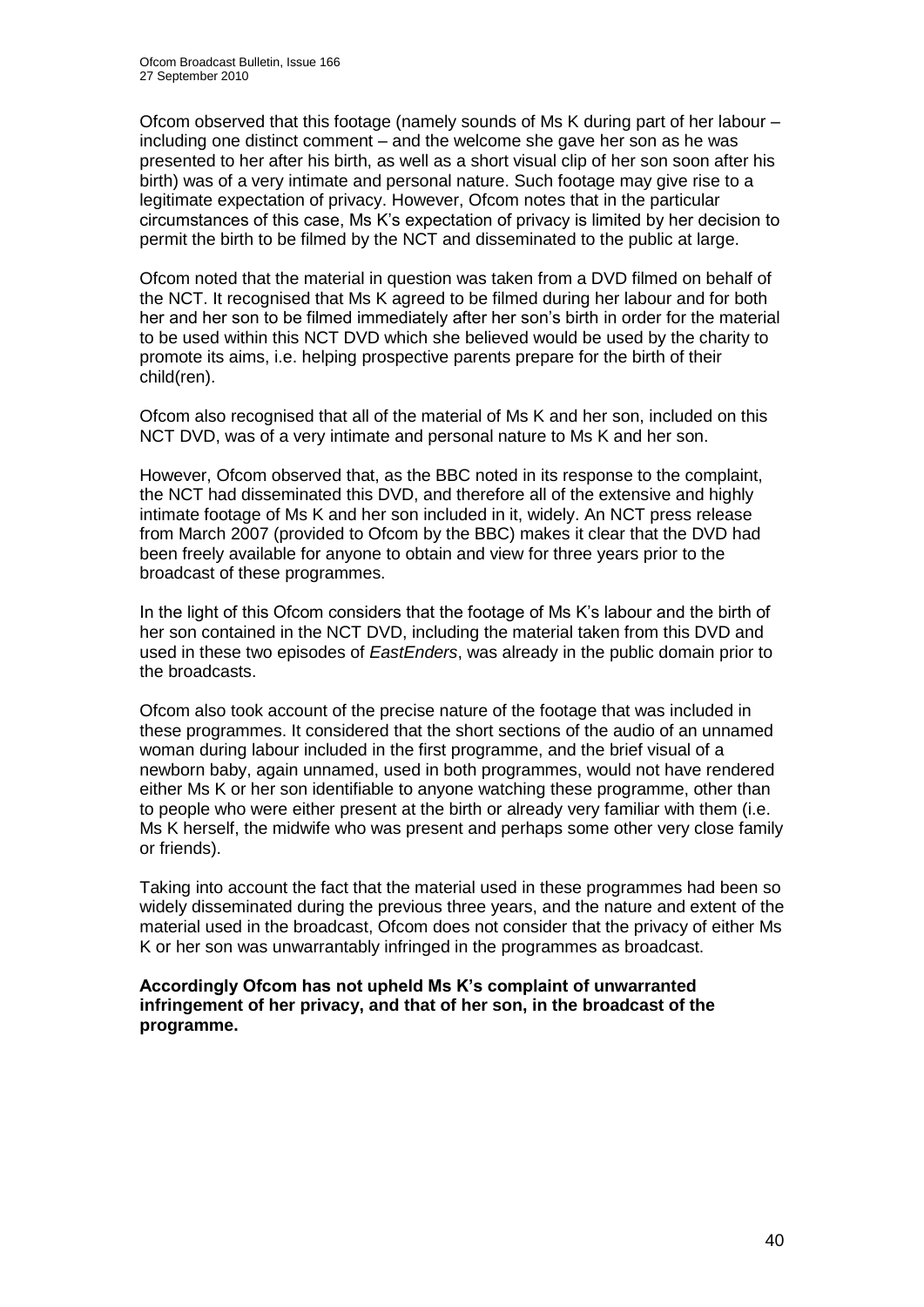Ofcom observed that this footage (namely sounds of Ms K during part of her labour – including one distinct comment – and the welcome she gave her son as he was presented to her after his birth, as well as a short visual clip of her son soon after his birth) was of a very intimate and personal nature. Such footage may give rise to a legitimate expectation of privacy. However, Ofcom notes that in the particular circumstances of this case, Ms K"s expectation of privacy is limited by her decision to permit the birth to be filmed by the NCT and disseminated to the public at large.

Ofcom noted that the material in question was taken from a DVD filmed on behalf of the NCT. It recognised that Ms K agreed to be filmed during her labour and for both her and her son to be filmed immediately after her son's birth in order for the material to be used within this NCT DVD which she believed would be used by the charity to promote its aims, i.e. helping prospective parents prepare for the birth of their child(ren).

Ofcom also recognised that all of the material of Ms K and her son, included on this NCT DVD, was of a very intimate and personal nature to Ms K and her son.

However, Ofcom observed that, as the BBC noted in its response to the complaint, the NCT had disseminated this DVD, and therefore all of the extensive and highly intimate footage of Ms K and her son included in it, widely. An NCT press release from March 2007 (provided to Ofcom by the BBC) makes it clear that the DVD had been freely available for anyone to obtain and view for three years prior to the broadcast of these programmes.

In the light of this Ofcom considers that the footage of Ms K"s labour and the birth of her son contained in the NCT DVD, including the material taken from this DVD and used in these two episodes of *EastEnders*, was already in the public domain prior to the broadcasts.

Ofcom also took account of the precise nature of the footage that was included in these programmes. It considered that the short sections of the audio of an unnamed woman during labour included in the first programme, and the brief visual of a newborn baby, again unnamed, used in both programmes, would not have rendered either Ms K or her son identifiable to anyone watching these programme, other than to people who were either present at the birth or already very familiar with them (i.e. Ms K herself, the midwife who was present and perhaps some other very close family or friends).

Taking into account the fact that the material used in these programmes had been so widely disseminated during the previous three years, and the nature and extent of the material used in the broadcast, Ofcom does not consider that the privacy of either Ms K or her son was unwarrantably infringed in the programmes as broadcast.

**Accordingly Ofcom has not upheld Ms K's complaint of unwarranted infringement of her privacy, and that of her son, in the broadcast of the programme.**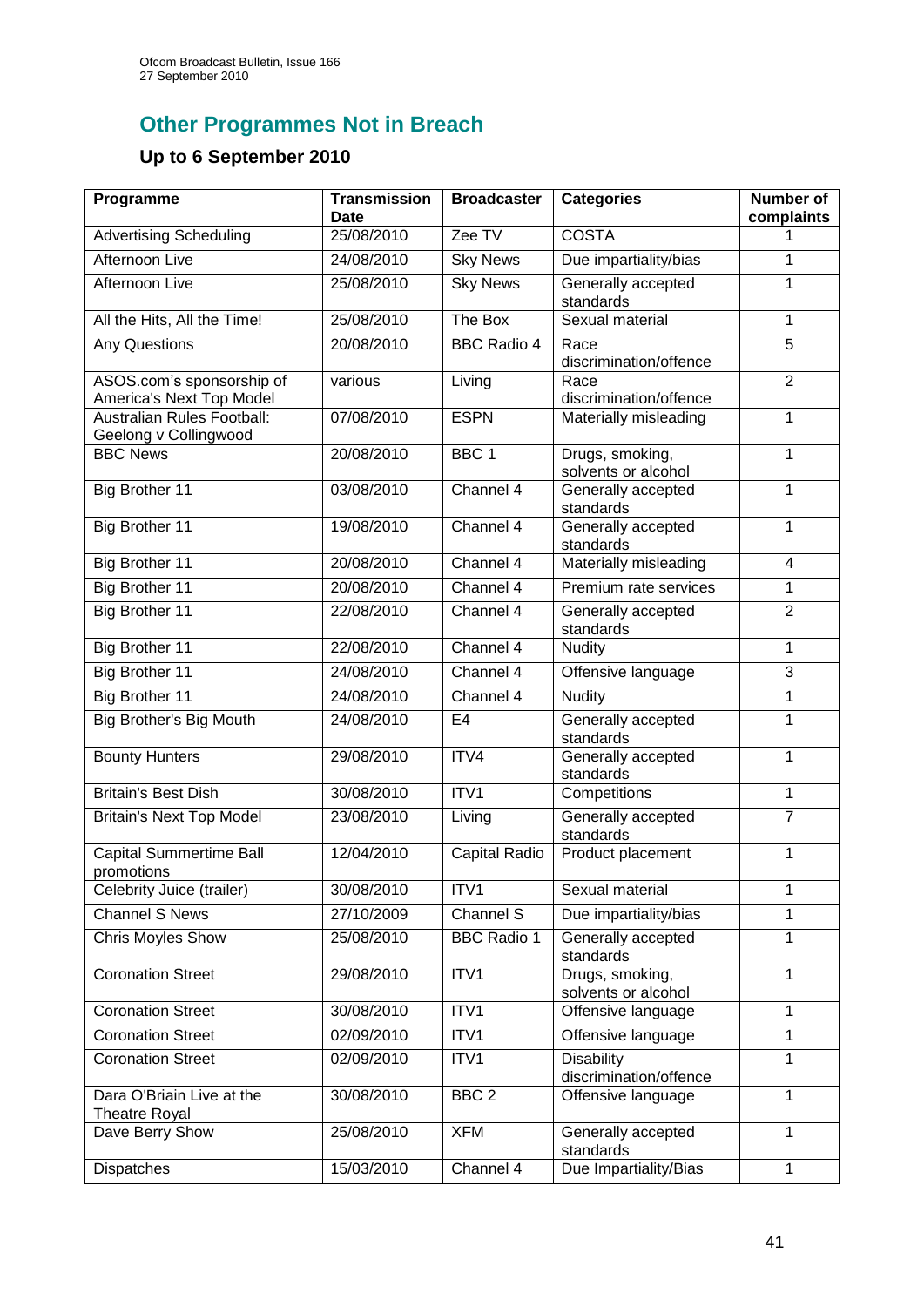# **Other Programmes Not in Breach**

## **Up to 6 September 2010**

| Programme                                             | <b>Transmission</b><br><b>Date</b> | <b>Broadcaster</b>   | <b>Categories</b>                      | <b>Number of</b><br>complaints |
|-------------------------------------------------------|------------------------------------|----------------------|----------------------------------------|--------------------------------|
| <b>Advertising Scheduling</b>                         | 25/08/2010                         | Zee TV               | <b>COSTA</b>                           |                                |
| <b>Afternoon Live</b>                                 | 24/08/2010                         | <b>Sky News</b>      | Due impartiality/bias                  | 1                              |
| Afternoon Live                                        | 25/08/2010                         | <b>Sky News</b>      | Generally accepted<br>standards        | 1                              |
| All the Hits, All the Time!                           | 25/08/2010                         | The Box              | Sexual material                        | 1                              |
| <b>Any Questions</b>                                  | 20/08/2010                         | <b>BBC Radio 4</b>   | Race                                   | 5                              |
|                                                       |                                    |                      | discrimination/offence                 | $\overline{2}$                 |
| ASOS.com's sponsorship of<br>America's Next Top Model | various                            | Living               | Race<br>discrimination/offence         |                                |
| <b>Australian Rules Football:</b>                     | 07/08/2010                         | <b>ESPN</b>          | Materially misleading                  | 1                              |
| Geelong v Collingwood                                 |                                    |                      |                                        |                                |
| <b>BBC News</b>                                       | 20/08/2010                         | BBC <sub>1</sub>     | Drugs, smoking,<br>solvents or alcohol | 1                              |
| Big Brother 11                                        | 03/08/2010                         | Channel 4            | Generally accepted<br>standards        | 1                              |
| <b>Big Brother 11</b>                                 | 19/08/2010                         | Channel 4            | Generally accepted<br>standards        | 1                              |
| <b>Big Brother 11</b>                                 | 20/08/2010                         | Channel 4            | Materially misleading                  | 4                              |
| Big Brother 11                                        | 20/08/2010                         | Channel 4            | Premium rate services                  | $\mathbf{1}$                   |
| <b>Big Brother 11</b>                                 | 22/08/2010                         | Channel 4            | Generally accepted<br>standards        | $\overline{2}$                 |
| Big Brother 11                                        | 22/08/2010                         | Channel 4            | <b>Nudity</b>                          | $\mathbf{1}$                   |
| Big Brother 11                                        | 24/08/2010                         | Channel 4            | Offensive language                     | $\overline{3}$                 |
| <b>Big Brother 11</b>                                 | 24/08/2010                         | Channel 4            | <b>Nudity</b>                          | 1                              |
| <b>Big Brother's Big Mouth</b>                        | 24/08/2010                         | E <sub>4</sub>       | Generally accepted<br>standards        | 1                              |
| <b>Bounty Hunters</b>                                 | 29/08/2010                         | ITV4                 | Generally accepted<br>standards        | 1                              |
| <b>Britain's Best Dish</b>                            | 30/08/2010                         | ITV1                 | Competitions                           | $\mathbf{1}$                   |
| <b>Britain's Next Top Model</b>                       | 23/08/2010                         | Living               | Generally accepted<br>standards        | $\overline{7}$                 |
| <b>Capital Summertime Ball</b><br>promotions          | 12/04/2010                         | <b>Capital Radio</b> | Product placement                      | 1                              |
| Celebrity Juice (trailer)                             | 30/08/2010                         | ITV1                 | Sexual material                        | 1                              |
| <b>Channel S News</b>                                 | 27/10/2009                         | Channel S            | Due impartiality/bias                  | 1                              |
| <b>Chris Moyles Show</b>                              | 25/08/2010                         | <b>BBC Radio 1</b>   | Generally accepted<br>standards        | 1                              |
| <b>Coronation Street</b>                              | 29/08/2010                         | ITV1                 | Drugs, smoking,<br>solvents or alcohol | 1                              |
| <b>Coronation Street</b>                              | 30/08/2010                         | ITV1                 | Offensive language                     | 1                              |
| Coronation Street                                     | 02/09/2010                         | ITV1                 | Offensive language                     | 1                              |
| <b>Coronation Street</b>                              | 02/09/2010                         | ITV1                 | Disability<br>discrimination/offence   | 1                              |
| Dara O'Briain Live at the<br><b>Theatre Royal</b>     | 30/08/2010                         | BBC <sub>2</sub>     | Offensive language                     | 1                              |
| Dave Berry Show                                       | 25/08/2010                         | <b>XFM</b>           | Generally accepted<br>standards        | 1                              |
| Dispatches                                            | 15/03/2010                         | Channel 4            | Due Impartiality/Bias                  | 1                              |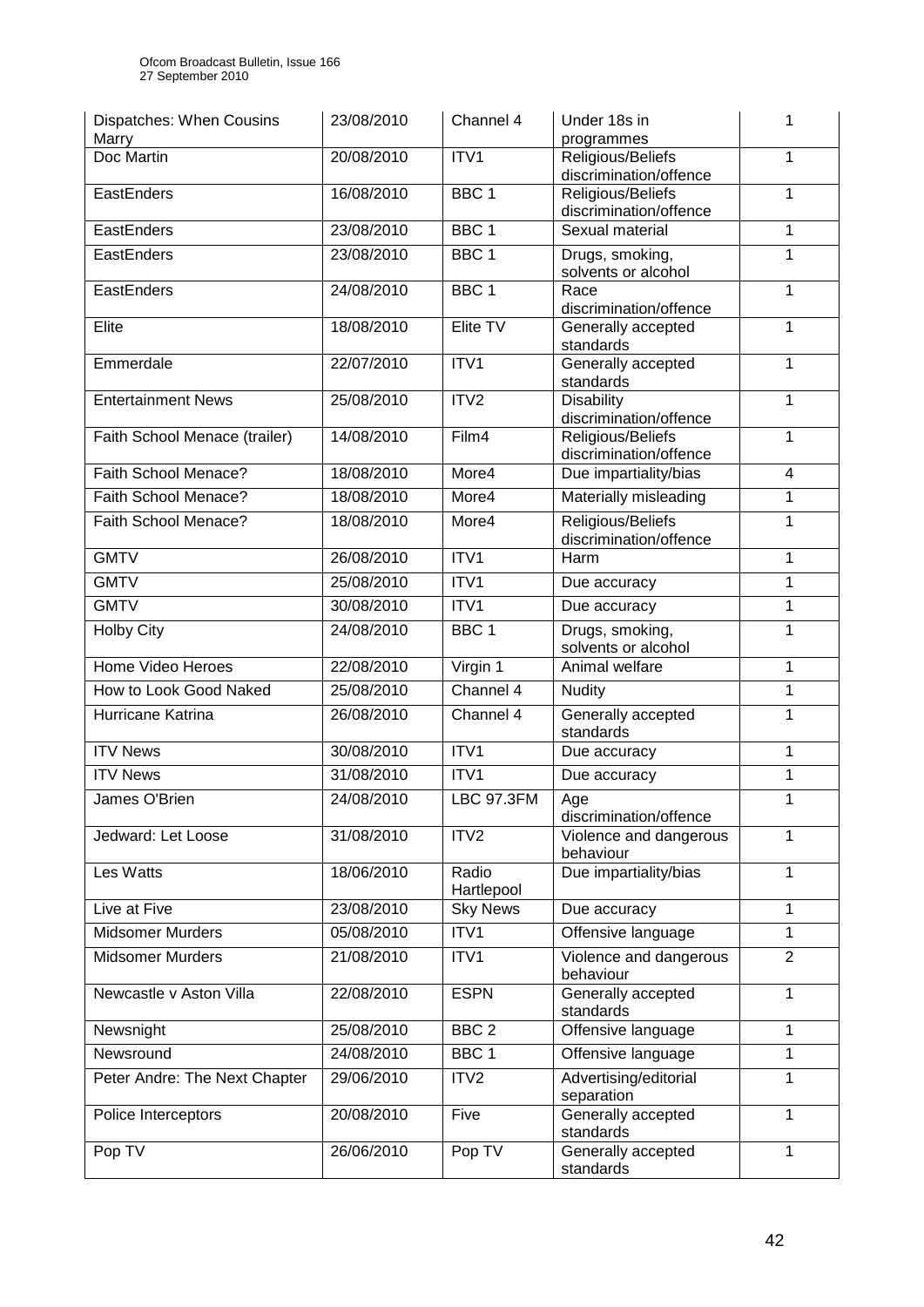| Dispatches: When Cousins<br>Marry | 23/08/2010 | Channel 4           | Under 18s in<br>programmes                  |                |
|-----------------------------------|------------|---------------------|---------------------------------------------|----------------|
| Doc Martin                        | 20/08/2010 | ITV1                | Religious/Beliefs<br>discrimination/offence | 1              |
| EastEnders                        | 16/08/2010 | BBC <sub>1</sub>    | Religious/Beliefs<br>discrimination/offence |                |
| EastEnders                        | 23/08/2010 | BBC1                | Sexual material                             | 1              |
| EastEnders                        | 23/08/2010 | BBC <sub>1</sub>    | Drugs, smoking,<br>solvents or alcohol      | 1              |
| EastEnders                        | 24/08/2010 | BBC 1               | Race<br>discrimination/offence              | 1              |
| Elite                             | 18/08/2010 | Elite TV            | Generally accepted<br>standards             | 1              |
| Emmerdale                         | 22/07/2010 | ITV1                | Generally accepted<br>standards             | 1              |
| <b>Entertainment News</b>         | 25/08/2010 | ITV <sub>2</sub>    | <b>Disability</b><br>discrimination/offence | 1              |
| Faith School Menace (trailer)     | 14/08/2010 | Film4               | Religious/Beliefs<br>discrimination/offence | 1              |
| Faith School Menace?              | 18/08/2010 | More4               | Due impartiality/bias                       | 4              |
| Faith School Menace?              | 18/08/2010 | More4               | Materially misleading                       | 1              |
| Faith School Menace?              | 18/08/2010 | More4               | Religious/Beliefs<br>discrimination/offence | 1              |
| <b>GMTV</b>                       | 26/08/2010 | ITV1                | Harm                                        | 1              |
| <b>GMTV</b>                       | 25/08/2010 | ITV1                | Due accuracy                                | 1              |
| <b>GMTV</b>                       | 30/08/2010 | ITV1                | Due accuracy                                | 1              |
| <b>Holby City</b>                 | 24/08/2010 | BBC <sub>1</sub>    | Drugs, smoking,<br>solvents or alcohol      | 1              |
| Home Video Heroes                 | 22/08/2010 | Virgin 1            | Animal welfare                              | 1              |
| How to Look Good Naked            | 25/08/2010 | Channel 4           | <b>Nudity</b>                               | 1              |
| Hurricane Katrina                 | 26/08/2010 | Channel 4           | Generally accepted<br>standards             | 1              |
| <b>ITV News</b>                   | 30/08/2010 | ITV1                | Due accuracy                                | 1              |
| <b>ITV News</b>                   | 31/08/2010 | ITV1                | Due accuracy                                | 1              |
| James O'Brien                     | 24/08/2010 | <b>LBC 97.3FM</b>   | Age<br>discrimination/offence               |                |
| Jedward: Let Loose                | 31/08/2010 | ITV <sub>2</sub>    | Violence and dangerous<br>behaviour         | 1              |
| Les Watts                         | 18/06/2010 | Radio<br>Hartlepool | Due impartiality/bias                       | 1              |
| Live at Five                      | 23/08/2010 | <b>Sky News</b>     | Due accuracy                                | 1              |
| <b>Midsomer Murders</b>           | 05/08/2010 | ITV1                | Offensive language                          | 1              |
| Midsomer Murders                  | 21/08/2010 | ITV1                | Violence and dangerous<br>behaviour         | $\overline{2}$ |
| Newcastle v Aston Villa           | 22/08/2010 | <b>ESPN</b>         | Generally accepted<br>standards             | 1              |
| Newsnight                         | 25/08/2010 | BBC <sub>2</sub>    | Offensive language                          | 1              |
| Newsround                         | 24/08/2010 | BBC <sub>1</sub>    | Offensive language                          | 1              |
| Peter Andre: The Next Chapter     | 29/06/2010 | ITV2                | Advertising/editorial<br>separation         | 1              |
| Police Interceptors               | 20/08/2010 | Five                | Generally accepted<br>standards             | 1              |
| Pop TV                            | 26/06/2010 | Pop TV              | Generally accepted<br>standards             | 1              |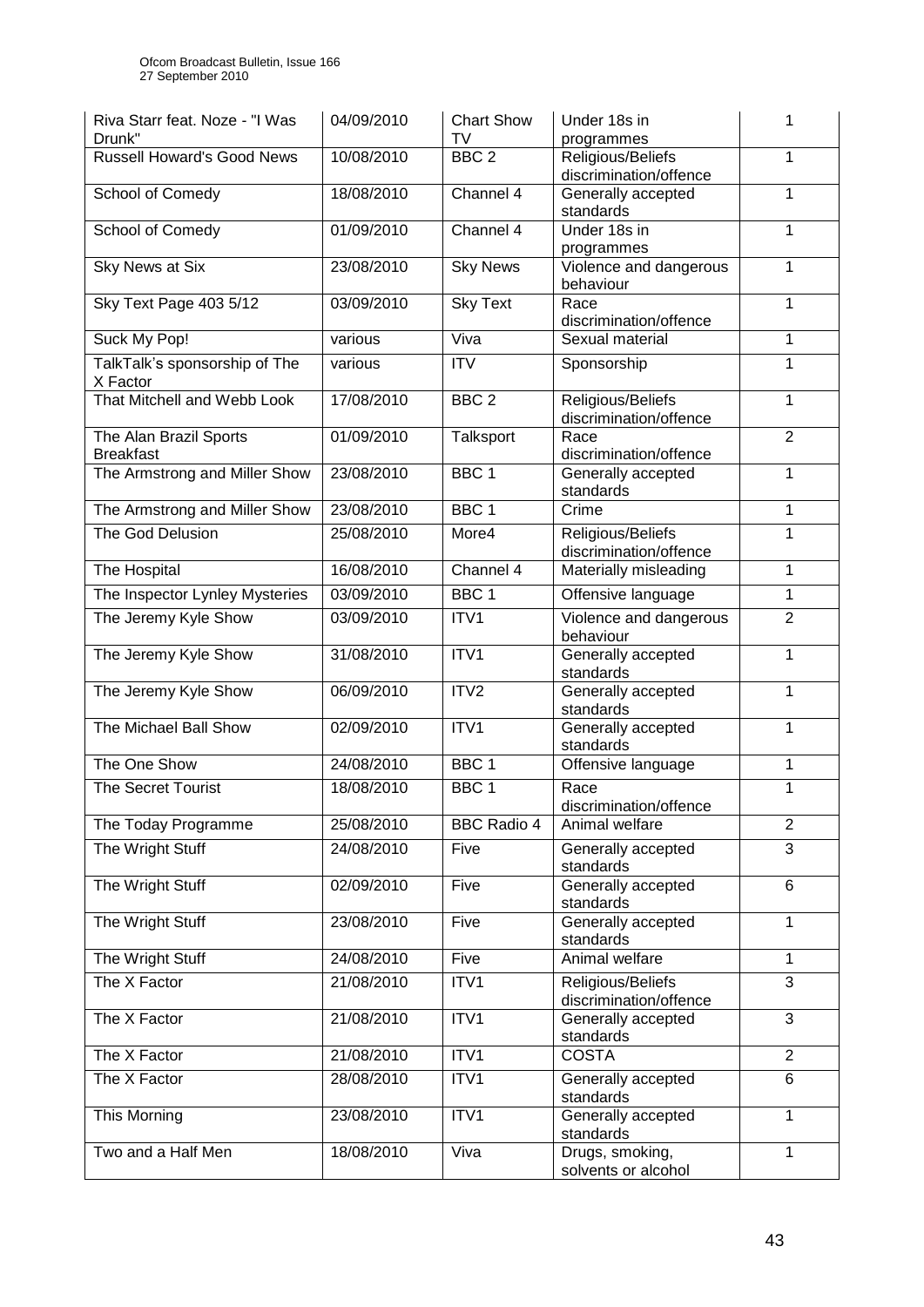| Riva Starr feat. Noze - "I Was<br>Drunk"   | 04/09/2010 | <b>Chart Show</b><br>TV | Under 18s in<br>programmes                  | 1              |
|--------------------------------------------|------------|-------------------------|---------------------------------------------|----------------|
| <b>Russell Howard's Good News</b>          | 10/08/2010 | BBC <sub>2</sub>        | Religious/Beliefs<br>discrimination/offence | 1              |
| School of Comedy                           | 18/08/2010 | Channel 4               | Generally accepted<br>standards             | 1              |
| School of Comedy                           | 01/09/2010 | Channel 4               | Under 18s in<br>programmes                  | 1              |
| <b>Sky News at Six</b>                     | 23/08/2010 | <b>Sky News</b>         | Violence and dangerous<br>behaviour         | 1              |
| Sky Text Page 403 5/12                     | 03/09/2010 | <b>Sky Text</b>         | Race<br>discrimination/offence              | 1              |
| Suck My Pop!                               | various    | Viva                    | Sexual material                             | 1              |
| TalkTalk's sponsorship of The<br>X Factor  | various    | <b>ITV</b>              | Sponsorship                                 | 1              |
| That Mitchell and Webb Look                | 17/08/2010 | BBC <sub>2</sub>        | Religious/Beliefs<br>discrimination/offence | 1              |
| The Alan Brazil Sports<br><b>Breakfast</b> | 01/09/2010 | Talksport               | Race<br>discrimination/offence              | $\overline{2}$ |
| The Armstrong and Miller Show              | 23/08/2010 | BBC <sub>1</sub>        | Generally accepted<br>standards             | 1              |
| The Armstrong and Miller Show              | 23/08/2010 | BBC <sub>1</sub>        | Crime                                       | 1              |
| The God Delusion                           | 25/08/2010 | More4                   | Religious/Beliefs<br>discrimination/offence | 1              |
| The Hospital                               | 16/08/2010 | Channel 4               | Materially misleading                       | 1              |
| The Inspector Lynley Mysteries             | 03/09/2010 | BBC <sub>1</sub>        | Offensive language                          | 1              |
| The Jeremy Kyle Show                       | 03/09/2010 | ITV1                    | Violence and dangerous<br>behaviour         | $\overline{2}$ |
| The Jeremy Kyle Show                       | 31/08/2010 | ITV1                    | Generally accepted<br>standards             | 1              |
| The Jeremy Kyle Show                       | 06/09/2010 | ITV2                    | Generally accepted<br>standards             | 1              |
| The Michael Ball Show                      | 02/09/2010 | ITV1                    | Generally accepted<br>standards             | 1              |
| The One Show                               | 24/08/2010 | BBC <sub>1</sub>        | Offensive language                          | 1              |
| The Secret Tourist                         | 18/08/2010 | BBC <sub>1</sub>        | Race<br>discrimination/offence              | 1              |
| The Today Programme                        | 25/08/2010 | <b>BBC Radio 4</b>      | Animal welfare                              | $\overline{2}$ |
| The Wright Stuff                           | 24/08/2010 | Five                    | Generally accepted<br>standards             | $\overline{3}$ |
| The Wright Stuff                           | 02/09/2010 | Five                    | Generally accepted<br>standards             | 6              |
| The Wright Stuff                           | 23/08/2010 | Five                    | Generally accepted<br>standards             | 1              |
| The Wright Stuff                           | 24/08/2010 | Five                    | Animal welfare                              | 1              |
| The X Factor                               | 21/08/2010 | ITV1                    | Religious/Beliefs<br>discrimination/offence | 3              |
| The X Factor                               | 21/08/2010 | ITV1                    | Generally accepted<br>standards             | $\overline{3}$ |
| The X Factor                               | 21/08/2010 | ITV1                    | <b>COSTA</b>                                | $\overline{2}$ |
| The X Factor                               | 28/08/2010 | ITV1                    | Generally accepted<br>standards             | 6              |
| This Morning                               | 23/08/2010 | ITV1                    | Generally accepted<br>standards             | 1              |
| Two and a Half Men                         | 18/08/2010 | Viva                    | Drugs, smoking,<br>solvents or alcohol      | 1              |